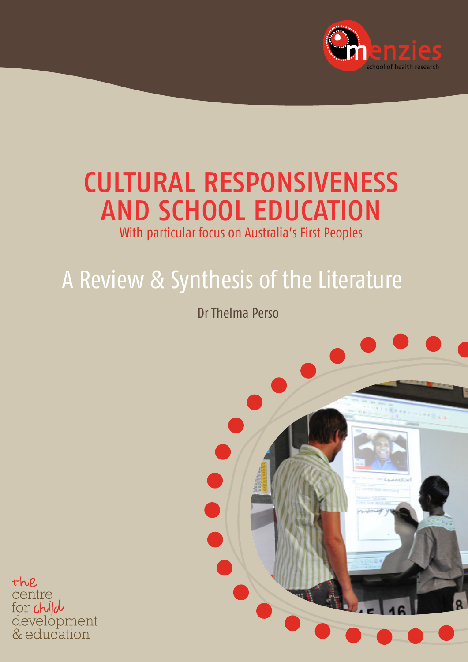

# CULTURAL RESPONSIVENESS AND SCHOOL EDUCATION

# With particular focus on Australia's First Peoples

# A Review & Synthesis of the Literature

Dr Thelma Perso



the centre  $\frac{1}{2}$  for  $\frac{1}{2}$  development<br>& education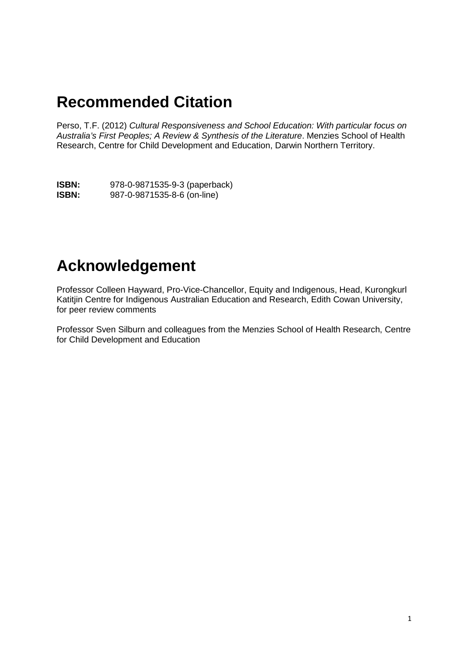# **Recommended Citation**

Perso, T.F. (2012) Cultural Responsiveness and School Education: With particular focus on Australia's First Peoples; A Review & Synthesis of the Literature. Menzies School of Health Research, Centre for Child Development and Education, Darwin Northern Territory.

**ISBN:** 978-0-9871535-9-3 (paperback) **ISBN:** 987-0-9871535-8-6 (on-line)

# **Acknowledgement**

Professor Colleen Hayward, Pro-Vice-Chancellor, Equity and Indigenous, Head, Kurongkurl Katitjin Centre for Indigenous Australian Education and Research, Edith Cowan University, for peer review comments

Professor Sven Silburn and colleagues from the Menzies School of Health Research, Centre for Child Development and Education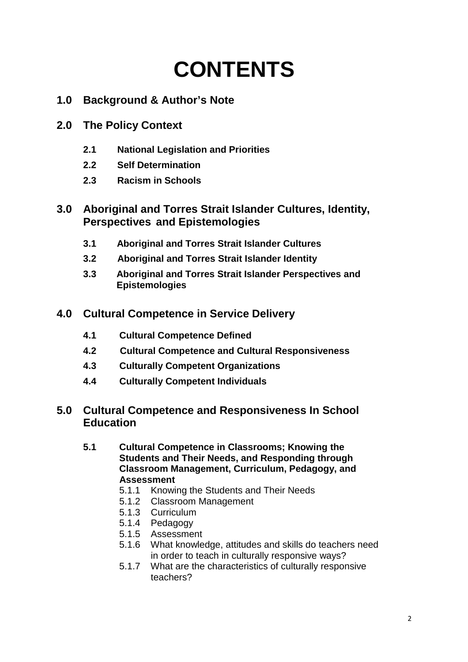# **CONTENTS**

# **1.0 Background & Author's Note**

# **2.0 The Policy Context**

- **2.1 National Legislation and Priorities**
- **2.2 Self Determination**
- **2.3 Racism in Schools**

# **3.0 Aboriginal and Torres Strait Islander Cultures, Identity, Perspectives and Epistemologies**

- **3.1 Aboriginal and Torres Strait Islander Cultures**
- **3.2 Aboriginal and Torres Strait Islander Identity**
- **3.3 Aboriginal and Torres Strait Islander Perspectives and Epistemologies**

# **4.0 Cultural Competence in Service Delivery**

- **4.1 Cultural Competence Defined**
- **4.2 Cultural Competence and Cultural Responsiveness**
- **4.3 Culturally Competent Organizations**
- **4.4 Culturally Competent Individuals**

# **5.0 Cultural Competence and Responsiveness In School Education**

- **5.1 Cultural Competence in Classrooms; Knowing the Students and Their Needs, and Responding through Classroom Management, Curriculum, Pedagogy, and Assessment** 
	- 5.1.1 Knowing the Students and Their Needs
	- 5.1.2 Classroom Management
	- 5.1.3 Curriculum
	- 5.1.4 Pedagogy
	- 5.1.5 Assessment
	- 5.1.6What knowledge, attitudes and skills do teachers need in order to teach in culturally responsive ways?
	- 5.1.7What are the characteristics of culturally responsive teachers?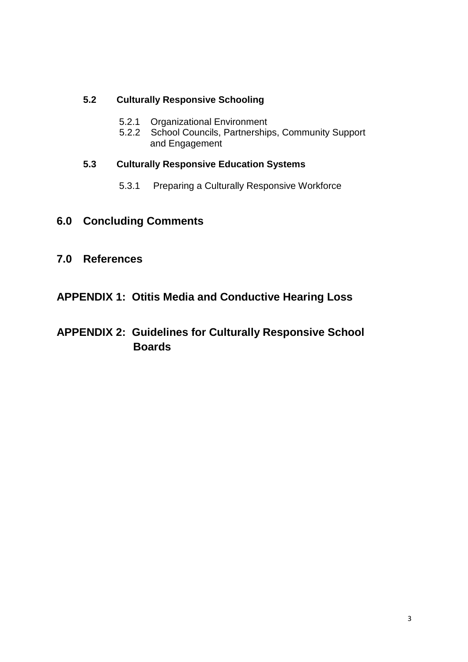## **5.2 Culturally Responsive Schooling**

- 5.2.1 Organizational Environment
- 5.2.2 School Councils, Partnerships, Community Support and Engagement

## **5.3 Culturally Responsive Education Systems**

5.3.1 Preparing a Culturally Responsive Workforce

# **6.0 Concluding Comments**

- **7.0 References**
- **APPENDIX 1: Otitis Media and Conductive Hearing Loss**

# **APPENDIX 2: Guidelines for Culturally Responsive School Boards**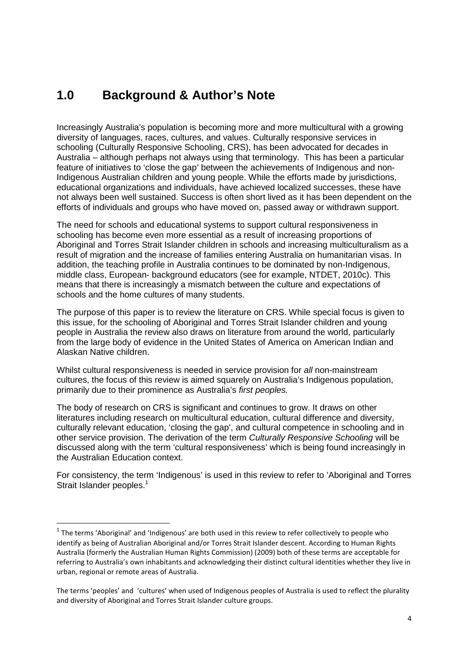# **1.0 Background & Author's Note**

Increasingly Australia's population is becoming more and more multicultural with a growing diversity of languages, races, cultures, and values. Culturally responsive services in schooling (Culturally Responsive Schooling, CRS), has been advocated for decades in Australia – although perhaps not always using that terminology. This has been a particular feature of initiatives to 'close the gap' between the achievements of Indigenous and non-Indigenous Australian children and young people. While the efforts made by jurisdictions, educational organizations and individuals, have achieved localized successes, these have not always been well sustained. Success is often short lived as it has been dependent on the efforts of individuals and groups who have moved on, passed away or withdrawn support.

The need for schools and educational systems to support cultural responsiveness in schooling has become even more essential as a result of increasing proportions of Aboriginal and Torres Strait Islander children in schools and increasing multiculturalism as a result of migration and the increase of families entering Australia on humanitarian visas. In addition, the teaching profile in Australia continues to be dominated by non-Indigenous, middle class, European- background educators (see for example, NTDET, 2010c). This means that there is increasingly a mismatch between the culture and expectations of schools and the home cultures of many students.

The purpose of this paper is to review the literature on CRS. While special focus is given to this issue, for the schooling of Aboriginal and Torres Strait Islander children and young people in Australia the review also draws on literature from around the world, particularly from the large body of evidence in the United States of America on American Indian and Alaskan Native children.

Whilst cultural responsiveness is needed in service provision for all non-mainstream cultures, the focus of this review is aimed squarely on Australia's Indigenous population, primarily due to their prominence as Australia's first peoples.

The body of research on CRS is significant and continues to grow. It draws on other literatures including research on multicultural education, cultural difference and diversity, culturally relevant education, 'closing the gap', and cultural competence in schooling and in other service provision. The derivation of the term Culturally Responsive Schooling will be discussed along with the term 'cultural responsiveness' which is being found increasingly in the Australian Education context.

For consistency, the term 'Indigenous' is used in this review to refer to 'Aboriginal and Torres Strait Islander peoples.<sup>1</sup>

 $\overline{a}$ 

 $^1$  The terms 'Aboriginal' and 'Indigenous' are both used in this review to refer collectively to people who identify as being of Australian Aboriginal and/or Torres Strait Islander descent. According to Human Rights Australia (formerly the Australian Human Rights Commission) (2009) both of these terms are acceptable for referring to Australia's own inhabitants and acknowledging their distinct cultural identities whether they live in urban, regional or remote areas of Australia.

The terms 'peoples' and 'cultures' when used of Indigenous peoples of Australia is used to reflect the plurality and diversity of Aboriginal and Torres Strait Islander culture groups.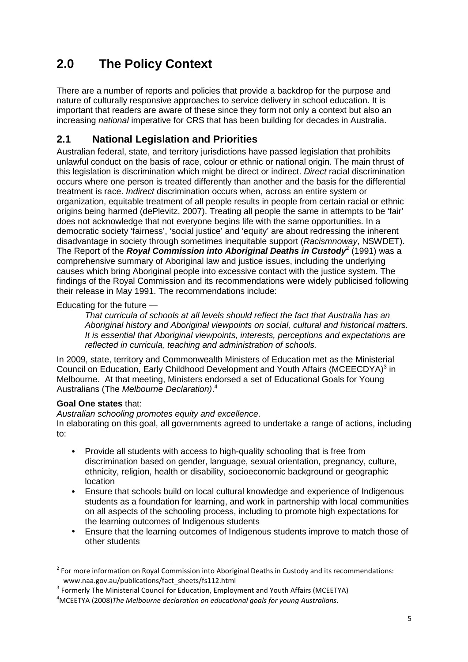# **2.0 The Policy Context**

There are a number of reports and policies that provide a backdrop for the purpose and nature of culturally responsive approaches to service delivery in school education. It is important that readers are aware of these since they form not only a context but also an increasing national imperative for CRS that has been building for decades in Australia.

## **2.1 National Legislation and Priorities**

Australian federal, state, and territory jurisdictions have passed legislation that prohibits unlawful conduct on the basis of race, colour or ethnic or national origin. The main thrust of this legislation is discrimination which might be direct or indirect. Direct racial discrimination occurs where one person is treated differently than another and the basis for the differential treatment is race. Indirect discrimination occurs when, across an entire system or organization, equitable treatment of all people results in people from certain racial or ethnic origins being harmed (dePlevitz, 2007). Treating all people the same in attempts to be 'fair' does not acknowledge that not everyone begins life with the same opportunities. In a democratic society 'fairness', 'social justice' and 'equity' are about redressing the inherent disadvantage in society through sometimes inequitable support (Racismnoway, NSWDET). The Report of the **Royal Commission into Aboriginal Deaths in Custody**<sup>2</sup> (1991) was a comprehensive summary of Aboriginal law and justice issues, including the underlying causes which bring Aboriginal people into excessive contact with the justice system. The findings of the Royal Commission and its recommendations were widely publicised following their release in May 1991. The recommendations include:

#### Educating for the future —

That curricula of schools at all levels should reflect the fact that Australia has an Aboriginal history and Aboriginal viewpoints on social, cultural and historical matters. It is essential that Aboriginal viewpoints, interests, perceptions and expectations are reflected in curricula, teaching and administration of schools.

In 2009, state, territory and Commonwealth Ministers of Education met as the Ministerial Council on Education, Early Childhood Development and Youth Affairs (MCEECDYA)<sup>3</sup> in Melbourne. At that meeting, Ministers endorsed a set of Educational Goals for Young Australians (The Melbourne Declaration).<sup>4</sup>

#### **Goal One states** that:

 $\overline{a}$ 

Australian schooling promotes equity and excellence.

In elaborating on this goal, all governments agreed to undertake a range of actions, including to:

- Provide all students with access to high-quality schooling that is free from discrimination based on gender, language, sexual orientation, pregnancy, culture, ethnicity, religion, health or disability, socioeconomic background or geographic location
- Ensure that schools build on local cultural knowledge and experience of Indigenous students as a foundation for learning, and work in partnership with local communities on all aspects of the schooling process, including to promote high expectations for the learning outcomes of Indigenous students
- Ensure that the learning outcomes of Indigenous students improve to match those of other students

 $2$  For more information on Royal Commission into Aboriginal Deaths in Custody and its recommendations: www.naa.gov.au/publications/fact\_sheets/fs112.html

 $^3$  Formerly The Ministerial Council for Education, Employment and Youth Affairs (MCEETYA)

<sup>4</sup>MCEETYA (2008)*The Melbourne declaration on educational goals for young Australians*.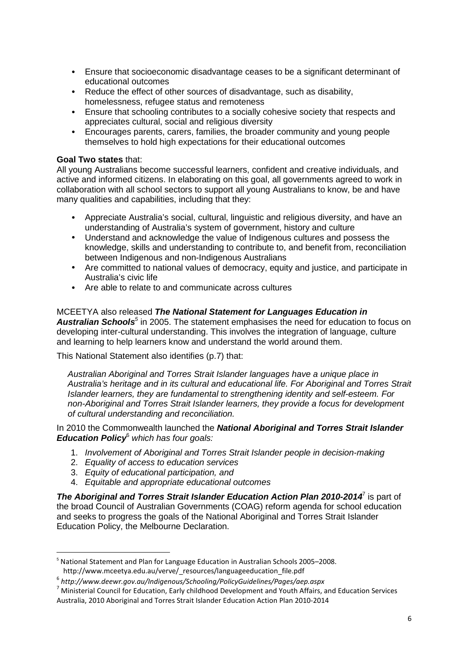- Ensure that socioeconomic disadvantage ceases to be a significant determinant of educational outcomes
- Reduce the effect of other sources of disadvantage, such as disability, homelessness, refugee status and remoteness
- Ensure that schooling contributes to a socially cohesive society that respects and appreciates cultural, social and religious diversity
- Encourages parents, carers, families, the broader community and young people themselves to hold high expectations for their educational outcomes

#### **Goal Two states** that:

All young Australians become successful learners, confident and creative individuals, and active and informed citizens. In elaborating on this goal, all governments agreed to work in collaboration with all school sectors to support all young Australians to know, be and have many qualities and capabilities, including that they:

- Appreciate Australia's social, cultural, linguistic and religious diversity, and have an understanding of Australia's system of government, history and culture
- Understand and acknowledge the value of Indigenous cultures and possess the knowledge, skills and understanding to contribute to, and benefit from, reconciliation between Indigenous and non-Indigenous Australians
- Are committed to national values of democracy, equity and justice, and participate in Australia's civic life
- Are able to relate to and communicate across cultures

MCEETYA also released **The National Statement for Languages Education in**  Australian Schools<sup>5</sup> in 2005. The statement emphasises the need for education to focus on developing inter-cultural understanding. This involves the integration of language, culture and learning to help learners know and understand the world around them.

This National Statement also identifies (p.7) that:

Australian Aboriginal and Torres Strait Islander languages have a unique place in Australia's heritage and in its cultural and educational life. For Aboriginal and Torres Strait Islander learners, they are fundamental to strengthening identity and self-esteem. For non-Aboriginal and Torres Strait Islander learners, they provide a focus for development of cultural understanding and reconciliation.

In 2010 the Commonwealth launched the **National Aboriginal and Torres Strait Islander Education Policy**<sup>6</sup> which has four goals:

- 1. Involvement of Aboriginal and Torres Strait Islander people in decision-making
- 2. Equality of access to education services
- 3. Equity of educational participation, and

l

4. Equitable and appropriate educational outcomes

The Aboriginal and Torres Strait Islander Education Action Plan 2010-2014<sup>7</sup> is part of the broad Council of Australian Governments (COAG) reform agenda for school education and seeks to progress the goals of the National Aboriginal and Torres Strait Islander Education Policy, the Melbourne Declaration.

<sup>5</sup> National Statement and Plan for Language Education in Australian Schools 2005–2008. http://www.mceetya.edu.au/verve/\_resources/languageeducation\_file.pdf

<sup>6</sup> *http://www.deewr.gov.au/Indigenous/Schooling/PolicyGuidelines/Pages/aep.aspx*

<sup>&</sup>lt;sup>7</sup> Ministerial Council for Education, Early childhood Development and Youth Affairs, and Education Services Australia, 2010 Aboriginal and Torres Strait Islander Education Action Plan 2010-2014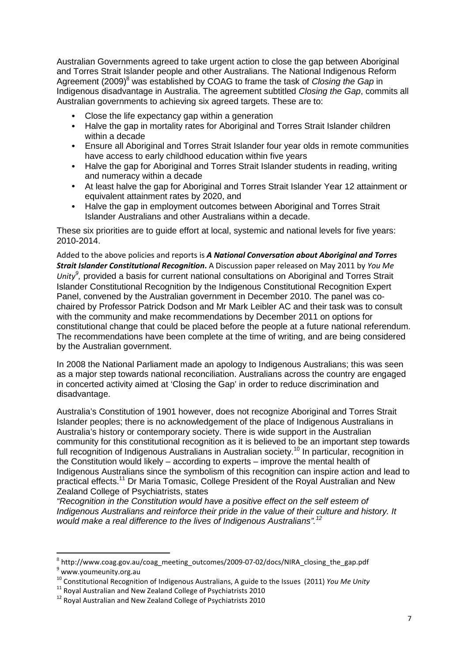Australian Governments agreed to take urgent action to close the gap between Aboriginal and Torres Strait Islander people and other Australians. The National Indigenous Reform Agreement (2009)<sup>8</sup> was established by COAG to frame the task of Closing the Gap in Indigenous disadvantage in Australia. The agreement subtitled Closing the Gap, commits all Australian governments to achieving six agreed targets. These are to:

- Close the life expectancy gap within a generation
- Halve the gap in mortality rates for Aboriginal and Torres Strait Islander children within a decade
- Ensure all Aboriginal and Torres Strait Islander four year olds in remote communities have access to early childhood education within five years
- Halve the gap for Aboriginal and Torres Strait Islander students in reading, writing and numeracy within a decade
- At least halve the gap for Aboriginal and Torres Strait Islander Year 12 attainment or equivalent attainment rates by 2020, and
- Halve the gap in employment outcomes between Aboriginal and Torres Strait Islander Australians and other Australians within a decade.

These six priorities are to guide effort at local, systemic and national levels for five years: 2010-2014.

Added to the above policies and reports is *A National Conversation about Aboriginal and Torres Strait Islander Constitutional Recognition***.** A Discussion paper released on May 2011 by *You Me*  Unity<sup>9</sup>, provided a basis for current national consultations on Aboriginal and Torres Strait Islander Constitutional Recognition by the Indigenous Constitutional Recognition Expert Panel, convened by the Australian government in December 2010. The panel was cochaired by Professor Patrick Dodson and Mr Mark Leibler AC and their task was to consult with the community and make recommendations by December 2011 on options for constitutional change that could be placed before the people at a future national referendum. The recommendations have been complete at the time of writing, and are being considered by the Australian government.

In 2008 the National Parliament made an apology to Indigenous Australians; this was seen as a major step towards national reconciliation. Australians across the country are engaged in concerted activity aimed at 'Closing the Gap' in order to reduce discrimination and disadvantage.

Australia's Constitution of 1901 however, does not recognize Aboriginal and Torres Strait Islander peoples; there is no acknowledgement of the place of Indigenous Australians in Australia's history or contemporary society. There is wide support in the Australian community for this constitutional recognition as it is believed to be an important step towards full recognition of Indigenous Australians in Australian society.<sup>10</sup> In particular, recognition in the Constitution would likely – according to experts – improve the mental health of Indigenous Australians since the symbolism of this recognition can inspire action and lead to practical effects.<sup>11</sup> Dr Maria Tomasic, College President of the Royal Australian and New Zealand College of Psychiatrists, states

"Recognition in the Constitution would have a positive effect on the self esteem of Indigenous Australians and reinforce their pride in the value of their culture and history. It would make a real difference to the lives of Indigenous Australians".<sup>12</sup>

l

<sup>&</sup>lt;sup>8</sup> http://www.coag.gov.au/coag\_meeting\_outcomes/2009-07-02/docs/NIRA\_closing\_the\_gap.pdf

<sup>&</sup>lt;sup>9</sup> www.youmeunity.org.au

<sup>10</sup> Constitutional Recognition of Indigenous Australians, A guide to the Issues (2011) *You Me Unity*

<sup>11</sup> Royal Australian and New Zealand College of Psychiatrists 2010

<sup>&</sup>lt;sup>12</sup> Royal Australian and New Zealand College of Psychiatrists 2010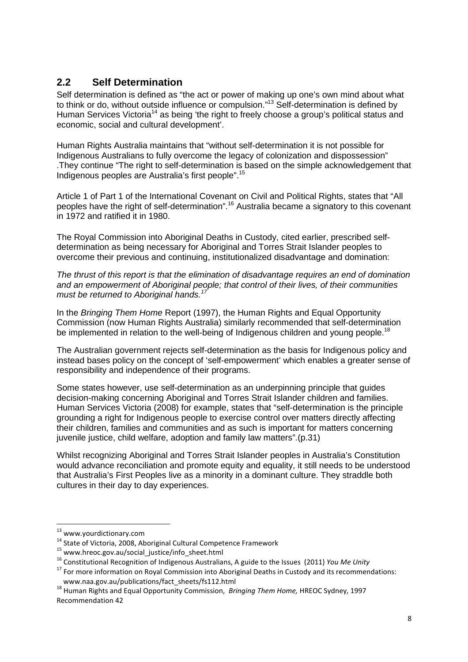# **2.2 Self Determination**

Self determination is defined as "the act or power of making up one's own mind about what to think or do, without outside influence or compulsion."<sup>13</sup> Self-determination is defined by Human Services Victoria<sup>14</sup> as being 'the right to freely choose a group's political status and economic, social and cultural development'.

Human Rights Australia maintains that "without self-determination it is not possible for Indigenous Australians to fully overcome the legacy of colonization and dispossession" .They continue "The right to self-determination is based on the simple acknowledgement that Indigenous peoples are Australia's first people".<sup>15</sup>

Article 1 of Part 1 of the International Covenant on Civil and Political Rights, states that "All peoples have the right of self-determination".<sup>16</sup> Australia became a signatory to this covenant in 1972 and ratified it in 1980.

The Royal Commission into Aboriginal Deaths in Custody, cited earlier, prescribed selfdetermination as being necessary for Aboriginal and Torres Strait Islander peoples to overcome their previous and continuing, institutionalized disadvantage and domination:

The thrust of this report is that the elimination of disadvantage requires an end of domination and an empowerment of Aboriginal people; that control of their lives, of their communities must be returned to Aboriginal hands.<sup>17</sup>

In the Bringing Them Home Report (1997), the Human Rights and Equal Opportunity Commission (now Human Rights Australia) similarly recommended that self-determination be implemented in relation to the well-being of Indigenous children and young people.<sup>18</sup>

The Australian government rejects self-determination as the basis for Indigenous policy and instead bases policy on the concept of 'self-empowerment' which enables a greater sense of responsibility and independence of their programs.

Some states however, use self-determination as an underpinning principle that guides decision-making concerning Aboriginal and Torres Strait Islander children and families. Human Services Victoria (2008) for example, states that "self-determination is the principle grounding a right for Indigenous people to exercise control over matters directly affecting their children, families and communities and as such is important for matters concerning juvenile justice, child welfare, adoption and family law matters".(p.31)

Whilst recognizing Aboriginal and Torres Strait Islander peoples in Australia's Constitution would advance reconciliation and promote equity and equality, it still needs to be understood that Australia's First Peoples live as a minority in a dominant culture. They straddle both cultures in their day to day experiences.

 $\overline{a}$ 

<sup>13</sup> www.yourdictionary.com

<sup>&</sup>lt;sup>14</sup> State of Victoria, 2008, Aboriginal Cultural Competence Framework

<sup>15</sup> www.hreoc.gov.au/social\_justice/info\_sheet.html

<sup>16</sup> Constitutional Recognition of Indigenous Australians, A guide to the Issues (2011) *You Me Unity*

<sup>&</sup>lt;sup>17</sup> For more information on Royal Commission into Aboriginal Deaths in Custody and its recommendations: www.naa.gov.au/publications/fact\_sheets/fs112.html

<sup>18</sup> Human Rights and Equal Opportunity Commission, *Bringing Them Home,* HREOC Sydney, 1997 Recommendation 42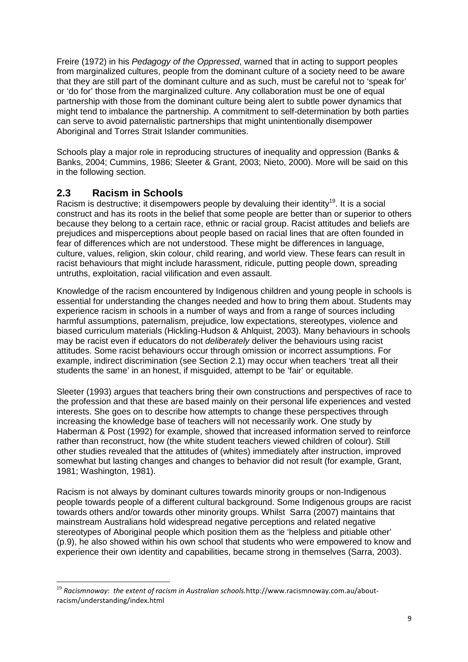Freire (1972) in his Pedagogy of the Oppressed, warned that in acting to support peoples from marginalized cultures, people from the dominant culture of a society need to be aware that they are still part of the dominant culture and as such, must be careful not to 'speak for' or 'do for' those from the marginalized culture. Any collaboration must be one of equal partnership with those from the dominant culture being alert to subtle power dynamics that might tend to imbalance the partnership. A commitment to self-determination by both parties can serve to avoid paternalistic partnerships that might unintentionally disempower Aboriginal and Torres Strait Islander communities.

Schools play a major role in reproducing structures of inequality and oppression (Banks & Banks, 2004; Cummins, 1986; Sleeter & Grant, 2003; Nieto, 2000). More will be said on this in the following section.

## **2.3 Racism in Schools**

 $\overline{\phantom{0}}$ 

Racism is destructive; it disempowers people by devaluing their identity<sup>19</sup>. It is a social construct and has its roots in the belief that some people are better than or superior to others because they belong to a certain race, ethnic or racial group. Racist attitudes and beliefs are prejudices and misperceptions about people based on racial lines that are often founded in fear of differences which are not understood. These might be differences in language, culture, values, religion, skin colour, child rearing, and world view. These fears can result in racist behaviours that might include harassment, ridicule, putting people down, spreading untruths, exploitation, racial vilification and even assault.

Knowledge of the racism encountered by Indigenous children and young people in schools is essential for understanding the changes needed and how to bring them about. Students may experience racism in schools in a number of ways and from a range of sources including harmful assumptions, paternalism, prejudice, low expectations, stereotypes, violence and biased curriculum materials (Hickling-Hudson & Ahlquist, 2003). Many behaviours in schools may be racist even if educators do not *deliberately* deliver the behaviours using racist attitudes. Some racist behaviours occur through omission or incorrect assumptions. For example, indirect discrimination (see Section 2.1) may occur when teachers 'treat all their students the same' in an honest, if misguided, attempt to be 'fair' or equitable.

Sleeter (1993) argues that teachers bring their own constructions and perspectives of race to the profession and that these are based mainly on their personal life experiences and vested interests. She goes on to describe how attempts to change these perspectives through increasing the knowledge base of teachers will not necessarily work. One study by Haberman & Post (1992) for example, showed that increased information served to reinforce rather than reconstruct, how (the white student teachers viewed children of colour). Still other studies revealed that the attitudes of (whites) immediately after instruction, improved somewhat but lasting changes and changes to behavior did not result (for example, Grant, 1981; Washington, 1981).

Racism is not always by dominant cultures towards minority groups or non-Indigenous people towards people of a different cultural background. Some Indigenous groups are racist towards others and/or towards other minority groups. Whilst Sarra (2007) maintains that mainstream Australians hold widespread negative perceptions and related negative stereotypes of Aboriginal people which position them as the 'helpless and pitiable other' (p.9), he also showed within his own school that students who were empowered to know and experience their own identity and capabilities, became strong in themselves (Sarra, 2003).

<sup>19</sup> *Racismnoway*: *the extent of racism in Australian schools.*http://www.racismnoway.com.au/aboutracism/understanding/index.html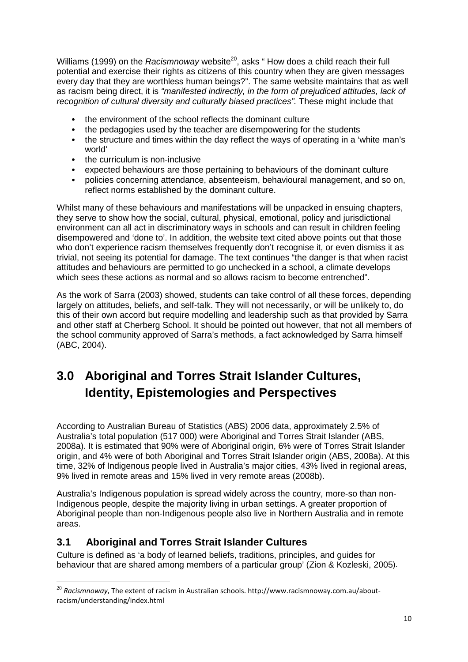Williams (1999) on the Racismnoway website<sup>20</sup>, asks " How does a child reach their full potential and exercise their rights as citizens of this country when they are given messages every day that they are worthless human beings?". The same website maintains that as well as racism being direct, it is "manifested indirectly, in the form of prejudiced attitudes, lack of recognition of cultural diversity and culturally biased practices". These might include that

- the environment of the school reflects the dominant culture
- the pedagogies used by the teacher are disempowering for the students
- the structure and times within the day reflect the ways of operating in a 'white man's world'
- the curriculum is non-inclusive
- expected behaviours are those pertaining to behaviours of the dominant culture
- policies concerning attendance, absenteeism, behavioural management, and so on, reflect norms established by the dominant culture.

Whilst many of these behaviours and manifestations will be unpacked in ensuing chapters, they serve to show how the social, cultural, physical, emotional, policy and jurisdictional environment can all act in discriminatory ways in schools and can result in children feeling disempowered and 'done to'. In addition, the website text cited above points out that those who don't experience racism themselves frequently don't recognise it, or even dismiss it as trivial, not seeing its potential for damage. The text continues "the danger is that when racist attitudes and behaviours are permitted to go unchecked in a school, a climate develops which sees these actions as normal and so allows racism to become entrenched".

As the work of Sarra (2003) showed, students can take control of all these forces, depending largely on attitudes, beliefs, and self-talk. They will not necessarily, or will be unlikely to, do this of their own accord but require modelling and leadership such as that provided by Sarra and other staff at Cherberg School. It should be pointed out however, that not all members of the school community approved of Sarra's methods, a fact acknowledged by Sarra himself (ABC, 2004).

# **3.0 Aboriginal and Torres Strait Islander Cultures, Identity, Epistemologies and Perspectives**

According to Australian Bureau of Statistics (ABS) 2006 data, approximately 2.5% of Australia's total population (517 000) were Aboriginal and Torres Strait Islander (ABS, 2008a). It is estimated that 90% were of Aboriginal origin, 6% were of Torres Strait Islander origin, and 4% were of both Aboriginal and Torres Strait Islander origin (ABS, 2008a). At this time, 32% of Indigenous people lived in Australia's major cities, 43% lived in regional areas, 9% lived in remote areas and 15% lived in very remote areas (2008b).

Australia's Indigenous population is spread widely across the country, more-so than non-Indigenous people, despite the majority living in urban settings. A greater proportion of Aboriginal people than non-Indigenous people also live in Northern Australia and in remote areas.

### **3.1 Aboriginal and Torres Strait Islander Cultures**

 $\overline{\phantom{0}}$ 

Culture is defined as 'a body of learned beliefs, traditions, principles, and guides for behaviour that are shared among members of a particular group' (Zion & Kozleski, 2005).

<sup>20</sup> *Racismnoway*, The extent of racism in Australian schools. http://www.racismnoway.com.au/aboutracism/understanding/index.html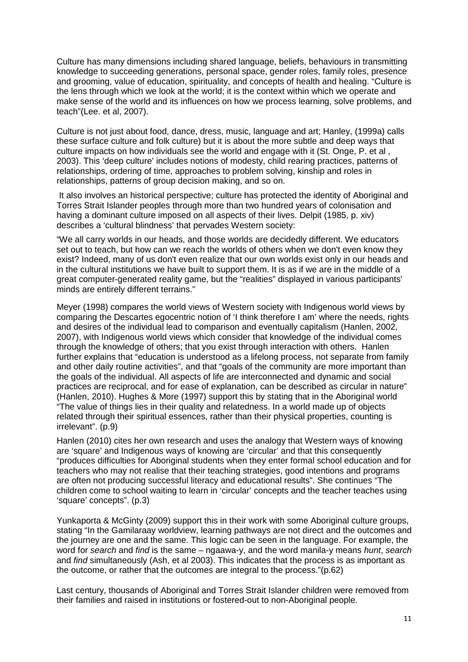Culture has many dimensions including shared language, beliefs, behaviours in transmitting knowledge to succeeding generations, personal space, gender roles, family roles, presence and grooming, value of education, spirituality, and concepts of health and healing. "Culture is the lens through which we look at the world; it is the context within which we operate and make sense of the world and its influences on how we process learning, solve problems, and teach"(Lee. et al, 2007).

Culture is not just about food, dance, dress, music, language and art; Hanley, (1999a) calls these surface culture and folk culture) but it is about the more subtle and deep ways that culture impacts on how individuals see the world and engage with it (St. Onge, P. et al , 2003). This 'deep culture' includes notions of modesty, child rearing practices, patterns of relationships, ordering of time, approaches to problem solving, kinship and roles in relationships, patterns of group decision making, and so on.

 It also involves an historical perspective; culture has protected the identity of Aboriginal and Torres Strait Islander peoples through more than two hundred years of colonisation and having a dominant culture imposed on all aspects of their lives. Delpit (1985, p. xiv) describes a 'cultural blindness' that pervades Western society:

"We all carry worlds in our heads, and those worlds are decidedly different. We educators set out to teach, but how can we reach the worlds of others when we don't even know they exist? Indeed, many of us don't even realize that our own worlds exist only in our heads and in the cultural institutions we have built to support them. It is as if we are in the middle of a great computer-generated reality game, but the "realities" displayed in various participants' minds are entirely different terrains."

Meyer (1998) compares the world views of Western society with Indigenous world views by comparing the Descartes egocentric notion of 'I think therefore I am' where the needs, rights and desires of the individual lead to comparison and eventually capitalism (Hanlen, 2002, 2007), with Indigenous world views which consider that knowledge of the individual comes through the knowledge of others; that you exist through interaction with others. Hanlen further explains that "education is understood as a lifelong process, not separate from family and other daily routine activities", and that "goals of the community are more important than the goals of the individual. All aspects of life are interconnected and dynamic and social practices are reciprocal, and for ease of explanation, can be described as circular in nature" (Hanlen, 2010). Hughes & More (1997) support this by stating that in the Aboriginal world "The value of things lies in their quality and relatedness. In a world made up of objects related through their spiritual essences, rather than their physical properties, counting is irrelevant". (p.9)

Hanlen (2010) cites her own research and uses the analogy that Western ways of knowing are 'square' and Indigenous ways of knowing are 'circular' and that this consequently "produces difficulties for Aboriginal students when they enter formal school education and for teachers who may not realise that their teaching strategies, good intentions and programs are often not producing successful literacy and educational results". She continues "The children come to school waiting to learn in 'circular' concepts and the teacher teaches using 'square' concepts". (p.3)

Yunkaporta & McGinty (2009) support this in their work with some Aboriginal culture groups, stating "In the Gamilaraay worldview, learning pathways are not direct and the outcomes and the journey are one and the same. This logic can be seen in the language. For example, the word for search and find is the same – ngaawa-y, and the word manila-y means hunt, search and find simultaneously (Ash, et al 2003). This indicates that the process is as important as the outcome, or rather that the outcomes are integral to the process."(p.62)

Last century, thousands of Aboriginal and Torres Strait Islander children were removed from their families and raised in institutions or fostered-out to non-Aboriginal people.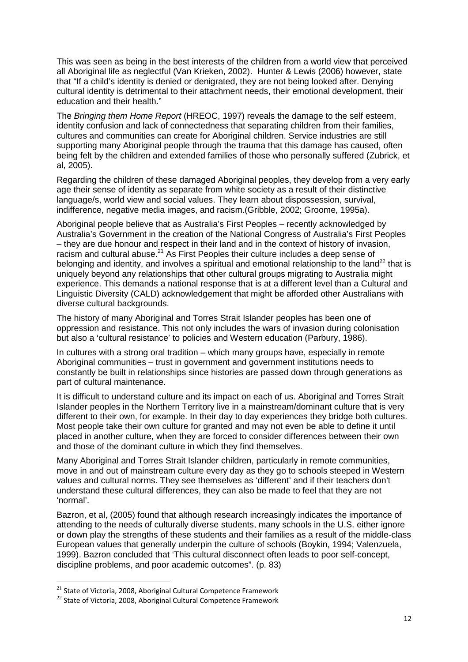This was seen as being in the best interests of the children from a world view that perceived all Aboriginal life as neglectful (Van Krieken, 2002). Hunter & Lewis (2006) however, state that "If a child's identity is denied or denigrated, they are not being looked after. Denying cultural identity is detrimental to their attachment needs, their emotional development, their education and their health."

The Bringing them Home Report (HREOC, 1997) reveals the damage to the self esteem, identity confusion and lack of connectedness that separating children from their families, cultures and communities can create for Aboriginal children. Service industries are still supporting many Aboriginal people through the trauma that this damage has caused, often being felt by the children and extended families of those who personally suffered (Zubrick, et al, 2005).

Regarding the children of these damaged Aboriginal peoples, they develop from a very early age their sense of identity as separate from white society as a result of their distinctive language/s, world view and social values. They learn about dispossession, survival, indifference, negative media images, and racism.(Gribble, 2002; Groome, 1995a).

Aboriginal people believe that as Australia's First Peoples – recently acknowledged by Australia's Government in the creation of the National Congress of Australia's First Peoples – they are due honour and respect in their land and in the context of history of invasion, racism and cultural abuse.<sup>21</sup> As First Peoples their culture includes a deep sense of belonging and identity, and involves a spiritual and emotional relationship to the land<sup>22</sup> that is uniquely beyond any relationships that other cultural groups migrating to Australia might experience. This demands a national response that is at a different level than a Cultural and Linguistic Diversity (CALD) acknowledgement that might be afforded other Australians with diverse cultural backgrounds.

The history of many Aboriginal and Torres Strait Islander peoples has been one of oppression and resistance. This not only includes the wars of invasion during colonisation but also a 'cultural resistance' to policies and Western education (Parbury, 1986).

In cultures with a strong oral tradition – which many groups have, especially in remote Aboriginal communities – trust in government and government institutions needs to constantly be built in relationships since histories are passed down through generations as part of cultural maintenance.

It is difficult to understand culture and its impact on each of us. Aboriginal and Torres Strait Islander peoples in the Northern Territory live in a mainstream/dominant culture that is very different to their own, for example. In their day to day experiences they bridge both cultures. Most people take their own culture for granted and may not even be able to define it until placed in another culture, when they are forced to consider differences between their own and those of the dominant culture in which they find themselves.

Many Aboriginal and Torres Strait Islander children, particularly in remote communities, move in and out of mainstream culture every day as they go to schools steeped in Western values and cultural norms. They see themselves as 'different' and if their teachers don't understand these cultural differences, they can also be made to feel that they are not 'normal'.

Bazron, et al, (2005) found that although research increasingly indicates the importance of attending to the needs of culturally diverse students, many schools in the U.S. either ignore or down play the strengths of these students and their families as a result of the middle-class European values that generally underpin the culture of schools (Boykin, 1994; Valenzuela, 1999). Bazron concluded that 'This cultural disconnect often leads to poor self-concept, discipline problems, and poor academic outcomes". (p. 83)

 $\overline{\phantom{0}}$ 

 $21$  State of Victoria, 2008, Aboriginal Cultural Competence Framework

 $^{22}$  State of Victoria, 2008, Aboriginal Cultural Competence Framework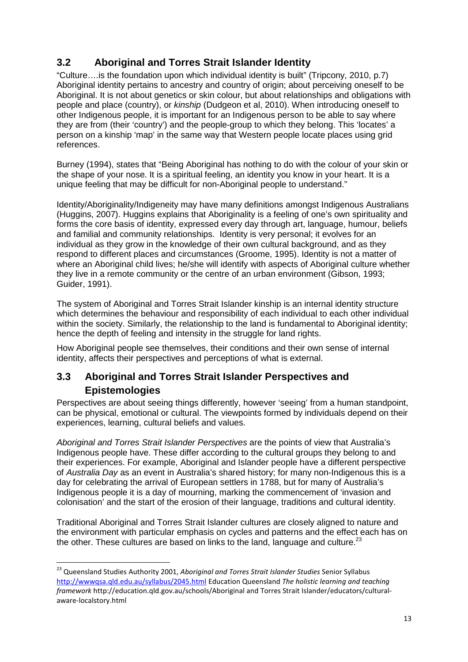# **3.2 Aboriginal and Torres Strait Islander Identity**

"Culture….is the foundation upon which individual identity is built" (Tripcony, 2010, p.7) Aboriginal identity pertains to ancestry and country of origin; about perceiving oneself to be Aboriginal. It is not about genetics or skin colour, but about relationships and obligations with people and place (country), or kinship (Dudgeon et al, 2010). When introducing oneself to other Indigenous people, it is important for an Indigenous person to be able to say where they are from (their 'country') and the people-group to which they belong. This 'locates' a person on a kinship 'map' in the same way that Western people locate places using grid references.

Burney (1994), states that "Being Aboriginal has nothing to do with the colour of your skin or the shape of your nose. It is a spiritual feeling, an identity you know in your heart. It is a unique feeling that may be difficult for non-Aboriginal people to understand."

Identity/Aboriginality/Indigeneity may have many definitions amongst Indigenous Australians (Huggins, 2007). Huggins explains that Aboriginality is a feeling of one's own spirituality and forms the core basis of identity, expressed every day through art, language, humour, beliefs and familial and community relationships. Identity is very personal; it evolves for an individual as they grow in the knowledge of their own cultural background, and as they respond to different places and circumstances (Groome, 1995). Identity is not a matter of where an Aboriginal child lives; he/she will identify with aspects of Aboriginal culture whether they live in a remote community or the centre of an urban environment (Gibson, 1993; Guider, 1991).

The system of Aboriginal and Torres Strait Islander kinship is an internal identity structure which determines the behaviour and responsibility of each individual to each other individual within the society. Similarly, the relationship to the land is fundamental to Aboriginal identity; hence the depth of feeling and intensity in the struggle for land rights.

How Aboriginal people see themselves, their conditions and their own sense of internal identity, affects their perspectives and perceptions of what is external.

## **3.3 Aboriginal and Torres Strait Islander Perspectives and Epistemologies**

Perspectives are about seeing things differently, however 'seeing' from a human standpoint, can be physical, emotional or cultural. The viewpoints formed by individuals depend on their experiences, learning, cultural beliefs and values.

Aboriginal and Torres Strait Islander Perspectives are the points of view that Australia's Indigenous people have. These differ according to the cultural groups they belong to and their experiences. For example, Aboriginal and Islander people have a different perspective of Australia Day as an event in Australia's shared history; for many non-Indigenous this is a day for celebrating the arrival of European settlers in 1788, but for many of Australia's Indigenous people it is a day of mourning, marking the commencement of 'invasion and colonisation' and the start of the erosion of their language, traditions and cultural identity.

Traditional Aboriginal and Torres Strait Islander cultures are closely aligned to nature and the environment with particular emphasis on cycles and patterns and the effect each has on the other. These cultures are based on links to the land, language and culture.<sup>23</sup>

 $\overline{\phantom{0}}$ 

<sup>23</sup> Queensland Studies Authority 2001, *Aboriginal and Torres Strait Islander Studies* Senior Syllabus http://wwwqsa.qld.edu.au/syllabus/2045.html Education Queensland *The holistic learning and teaching framework* http://education.qld.gov.au/schools/Aboriginal and Torres Strait Islander/educators/culturalaware-localstory.html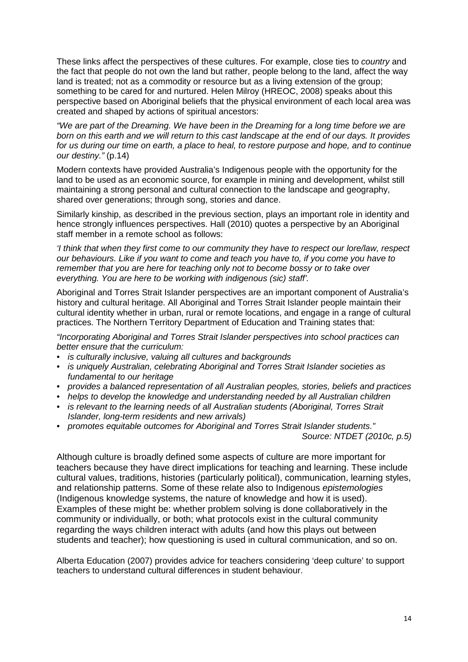These links affect the perspectives of these cultures. For example, close ties to *country* and the fact that people do not own the land but rather, people belong to the land, affect the way land is treated; not as a commodity or resource but as a living extension of the group; something to be cared for and nurtured. Helen Milroy (HREOC, 2008) speaks about this perspective based on Aboriginal beliefs that the physical environment of each local area was created and shaped by actions of spiritual ancestors:

"We are part of the Dreaming. We have been in the Dreaming for a long time before we are born on this earth and we will return to this cast landscape at the end of our days. It provides for us during our time on earth, a place to heal, to restore purpose and hope, and to continue our destiny." (p.14)

Modern contexts have provided Australia's Indigenous people with the opportunity for the land to be used as an economic source, for example in mining and development, whilst still maintaining a strong personal and cultural connection to the landscape and geography, shared over generations; through song, stories and dance.

Similarly kinship, as described in the previous section, plays an important role in identity and hence strongly influences perspectives. Hall (2010) quotes a perspective by an Aboriginal staff member in a remote school as follows:

'I think that when they first come to our community they have to respect our lore/law, respect our behaviours. Like if you want to come and teach you have to, if you come you have to remember that you are here for teaching only not to become bossy or to take over everything. You are here to be working with indigenous (sic) staff'.

Aboriginal and Torres Strait Islander perspectives are an important component of Australia's history and cultural heritage. All Aboriginal and Torres Strait Islander people maintain their cultural identity whether in urban, rural or remote locations, and engage in a range of cultural practices. The Northern Territory Department of Education and Training states that:

"Incorporating Aboriginal and Torres Strait Islander perspectives into school practices can better ensure that the curriculum:

- is culturally inclusive, valuing all cultures and backgrounds
- is uniquely Australian, celebrating Aboriginal and Torres Strait Islander societies as fundamental to our heritage
- provides a balanced representation of all Australian peoples, stories, beliefs and practices
- helps to develop the knowledge and understanding needed by all Australian children
- is relevant to the learning needs of all Australian students (Aboriginal, Torres Strait Islander, long-term residents and new arrivals)
- promotes equitable outcomes for Aboriginal and Torres Strait Islander students." Source: NTDET (2010c, p.5)

Although culture is broadly defined some aspects of culture are more important for teachers because they have direct implications for teaching and learning. These include cultural values, traditions, histories (particularly political), communication, learning styles, and relationship patterns. Some of these relate also to Indigenous epistemologies (Indigenous knowledge systems, the nature of knowledge and how it is used). Examples of these might be: whether problem solving is done collaboratively in the community or individually, or both; what protocols exist in the cultural community regarding the ways children interact with adults (and how this plays out between students and teacher); how questioning is used in cultural communication, and so on.

Alberta Education (2007) provides advice for teachers considering 'deep culture' to support teachers to understand cultural differences in student behaviour.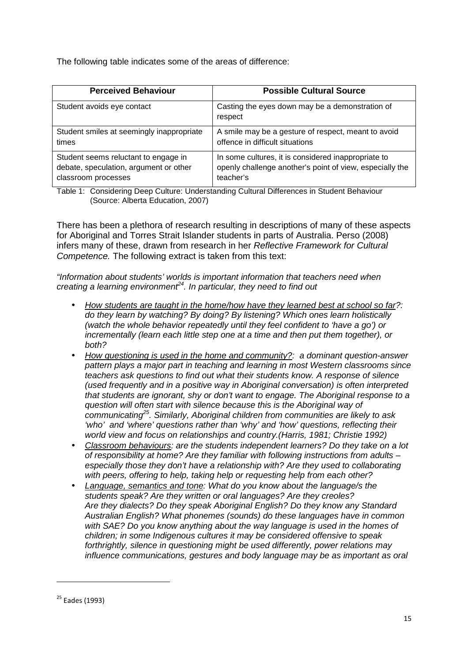The following table indicates some of the areas of difference:

| <b>Perceived Behaviour</b>                                                                            | <b>Possible Cultural Source</b>                                                                                              |
|-------------------------------------------------------------------------------------------------------|------------------------------------------------------------------------------------------------------------------------------|
| Student avoids eye contact                                                                            | Casting the eyes down may be a demonstration of<br>respect                                                                   |
| Student smiles at seemingly inappropriate<br>times                                                    | A smile may be a gesture of respect, meant to avoid<br>offence in difficult situations                                       |
| Student seems reluctant to engage in<br>debate, speculation, argument or other<br>classroom processes | In some cultures, it is considered inappropriate to<br>openly challenge another's point of view, especially the<br>teacher's |
| Table 1: Considering Deep Culture: Understanding Cultural Differences in Student Rebaviour            |                                                                                                                              |

Table 1: Considering Deep Culture: Understanding Cultural Differences in Student Behaviour (Source: Alberta Education, 2007)

There has been a plethora of research resulting in descriptions of many of these aspects for Aboriginal and Torres Strait Islander students in parts of Australia. Perso (2008) infers many of these, drawn from research in her Reflective Framework for Cultural Competence. The following extract is taken from this text:

"Information about students' worlds is important information that teachers need when creating a learning environment<sup>24</sup>. In particular, they need to find out

- How students are taught in the home/how have they learned best at school so far?: do they learn by watching? By doing? By listening? Which ones learn holistically (watch the whole behavior repeatedly until they feel confident to 'have a go') or incrementally (learn each little step one at a time and then put them together), or both?
- How questioning is used in the home and community?: a dominant question-answer pattern plays a major part in teaching and learning in most Western classrooms since teachers ask questions to find out what their students know. A response of silence (used frequently and in a positive way in Aboriginal conversation) is often interpreted that students are ignorant, shy or don't want to engage. The Aboriginal response to a question will often start with silence because this is the Aboriginal way of communicating<sup>25</sup>. Similarly, Aboriginal children from communities are likely to ask 'who' and 'where' questions rather than 'why' and 'how' questions, reflecting their world view and focus on relationships and country.(Harris, 1981; Christie 1992)
- Classroom behaviours: are the students independent learners? Do they take on a lot of responsibility at home? Are they familiar with following instructions from adults – especially those they don't have a relationship with? Are they used to collaborating with peers, offering to help, taking help or requesting help from each other?
- Language, semantics and tone: What do you know about the language/s the students speak? Are they written or oral languages? Are they creoles? Are they dialects? Do they speak Aboriginal English? Do they know any Standard Australian English? What phonemes (sounds) do these languages have in common with SAE? Do you know anything about the way language is used in the homes of children; in some Indigenous cultures it may be considered offensive to speak forthrightly, silence in questioning might be used differently, power relations may influence communications, gestures and body language may be as important as oral

 $\overline{\phantom{0}}$ 

 $25$  Eades (1993)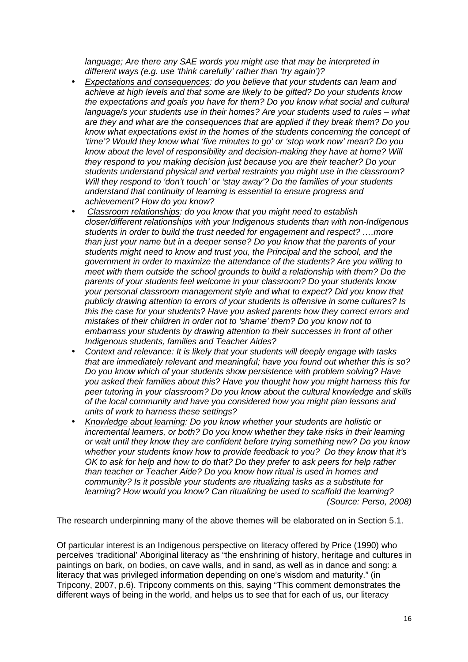language; Are there any SAE words you might use that may be interpreted in different ways (e.g. use 'think carefully' rather than 'try again')?

- Expectations and consequences: do you believe that your students can learn and achieve at high levels and that some are likely to be gifted? Do your students know the expectations and goals you have for them? Do you know what social and cultural language/s your students use in their homes? Are your students used to rules – what are they and what are the consequences that are applied if they break them? Do you know what expectations exist in the homes of the students concerning the concept of 'time'? Would they know what 'five minutes to go' or 'stop work now' mean? Do you know about the level of responsibility and decision-making they have at home? Will they respond to you making decision just because you are their teacher? Do your students understand physical and verbal restraints you might use in the classroom? Will they respond to 'don't touch' or 'stay away'? Do the families of your students understand that continuity of learning is essential to ensure progress and achievement? How do you know?
- Classroom relationships: do you know that you might need to establish closer/different relationships with your Indigenous students than with non-Indigenous students in order to build the trust needed for engagement and respect? ….more than just your name but in a deeper sense? Do you know that the parents of your students might need to know and trust you, the Principal and the school, and the government in order to maximize the attendance of the students? Are you willing to meet with them outside the school grounds to build a relationship with them? Do the parents of your students feel welcome in your classroom? Do your students know your personal classroom management style and what to expect? Did you know that publicly drawing attention to errors of your students is offensive in some cultures? Is this the case for your students? Have you asked parents how they correct errors and mistakes of their children in order not to 'shame' them? Do you know not to embarrass your students by drawing attention to their successes in front of other Indigenous students, families and Teacher Aides?
- Context and relevance: It is likely that your students will deeply engage with tasks that are immediately relevant and meaningful; have you found out whether this is so? Do you know which of your students show persistence with problem solving? Have you asked their families about this? Have you thought how you might harness this for peer tutoring in your classroom? Do you know about the cultural knowledge and skills of the local community and have you considered how you might plan lessons and units of work to harness these settings?
- Knowledge about learning: Do you know whether your students are holistic or incremental learners, or both? Do you know whether they take risks in their learning or wait until they know they are confident before trying something new? Do you know whether your students know how to provide feedback to you? Do they know that it's OK to ask for help and how to do that? Do they prefer to ask peers for help rather than teacher or Teacher Aide? Do you know how ritual is used in homes and community? Is it possible your students are ritualizing tasks as a substitute for learning? How would you know? Can ritualizing be used to scaffold the learning? (Source: Perso, 2008)

The research underpinning many of the above themes will be elaborated on in Section 5.1.

Of particular interest is an Indigenous perspective on literacy offered by Price (1990) who perceives 'traditional' Aboriginal literacy as "the enshrining of history, heritage and cultures in paintings on bark, on bodies, on cave walls, and in sand, as well as in dance and song: a literacy that was privileged information depending on one's wisdom and maturity." (in Tripcony, 2007, p.6). Tripcony comments on this, saying "This comment demonstrates the different ways of being in the world, and helps us to see that for each of us, our literacy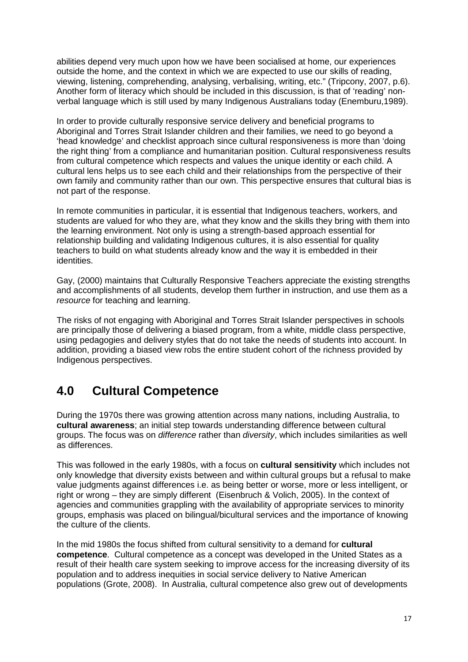abilities depend very much upon how we have been socialised at home, our experiences outside the home, and the context in which we are expected to use our skills of reading, viewing, listening, comprehending, analysing, verbalising, writing, etc." (Tripcony, 2007, p.6). Another form of literacy which should be included in this discussion, is that of 'reading' nonverbal language which is still used by many Indigenous Australians today (Enemburu,1989).

In order to provide culturally responsive service delivery and beneficial programs to Aboriginal and Torres Strait Islander children and their families, we need to go beyond a 'head knowledge' and checklist approach since cultural responsiveness is more than 'doing the right thing' from a compliance and humanitarian position. Cultural responsiveness results from cultural competence which respects and values the unique identity or each child. A cultural lens helps us to see each child and their relationships from the perspective of their own family and community rather than our own. This perspective ensures that cultural bias is not part of the response.

In remote communities in particular, it is essential that Indigenous teachers, workers, and students are valued for who they are, what they know and the skills they bring with them into the learning environment. Not only is using a strength-based approach essential for relationship building and validating Indigenous cultures, it is also essential for quality teachers to build on what students already know and the way it is embedded in their identities.

Gay, (2000) maintains that Culturally Responsive Teachers appreciate the existing strengths and accomplishments of all students, develop them further in instruction, and use them as a resource for teaching and learning.

The risks of not engaging with Aboriginal and Torres Strait Islander perspectives in schools are principally those of delivering a biased program, from a white, middle class perspective, using pedagogies and delivery styles that do not take the needs of students into account. In addition, providing a biased view robs the entire student cohort of the richness provided by Indigenous perspectives.

# **4.0 Cultural Competence**

During the 1970s there was growing attention across many nations, including Australia, to **cultural awareness**; an initial step towards understanding difference between cultural groups. The focus was on difference rather than diversity, which includes similarities as well as differences.

This was followed in the early 1980s, with a focus on **cultural sensitivity** which includes not only knowledge that diversity exists between and within cultural groups but a refusal to make value judgments against differences i.e. as being better or worse, more or less intelligent, or right or wrong – they are simply different (Eisenbruch & Volich, 2005). In the context of agencies and communities grappling with the availability of appropriate services to minority groups, emphasis was placed on bilingual/bicultural services and the importance of knowing the culture of the clients.

In the mid 1980s the focus shifted from cultural sensitivity to a demand for **cultural competence**. Cultural competence as a concept was developed in the United States as a result of their health care system seeking to improve access for the increasing diversity of its population and to address inequities in social service delivery to Native American populations (Grote, 2008). In Australia, cultural competence also grew out of developments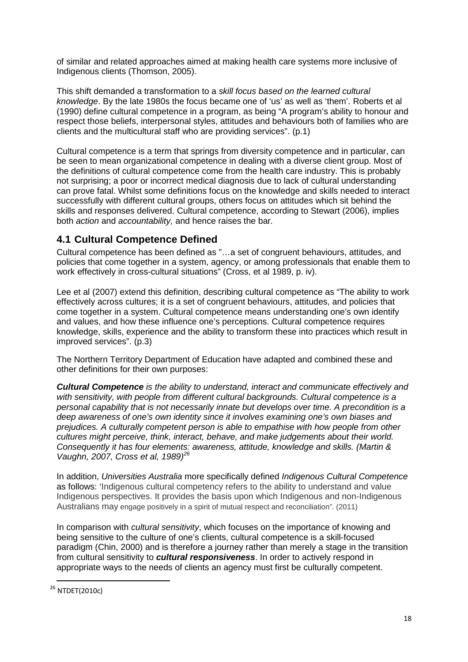of similar and related approaches aimed at making health care systems more inclusive of Indigenous clients (Thomson, 2005).

This shift demanded a transformation to a skill focus based on the learned cultural knowledge. By the late 1980s the focus became one of 'us' as well as 'them'. Roberts et al (1990) define cultural competence in a program, as being "A program's ability to honour and respect those beliefs, interpersonal styles, attitudes and behaviours both of families who are clients and the multicultural staff who are providing services". (p.1)

Cultural competence is a term that springs from diversity competence and in particular, can be seen to mean organizational competence in dealing with a diverse client group. Most of the definitions of cultural competence come from the health care industry. This is probably not surprising; a poor or incorrect medical diagnosis due to lack of cultural understanding can prove fatal. Whilst some definitions focus on the knowledge and skills needed to interact successfully with different cultural groups, others focus on attitudes which sit behind the skills and responses delivered. Cultural competence, according to Stewart (2006), implies both action and accountability, and hence raises the bar.

## **4.1 Cultural Competence Defined**

Cultural competence has been defined as "…a set of congruent behaviours, attitudes, and policies that come together in a system, agency, or among professionals that enable them to work effectively in cross-cultural situations" (Cross, et al 1989, p. iv).

Lee et al (2007) extend this definition, describing cultural competence as "The ability to work effectively across cultures; it is a set of congruent behaviours, attitudes, and policies that come together in a system. Cultural competence means understanding one's own identify and values, and how these influence one's perceptions. Cultural competence requires knowledge, skills, experience and the ability to transform these into practices which result in improved services". (p.3)

The Northern Territory Department of Education have adapted and combined these and other definitions for their own purposes:

**Cultural Competence** is the ability to understand, interact and communicate effectively and with sensitivity, with people from different cultural backgrounds. Cultural competence is a personal capability that is not necessarily innate but develops over time. A precondition is a deep awareness of one's own identity since it involves examining one's own biases and prejudices. A culturally competent person is able to empathise with how people from other cultures might perceive, think, interact, behave, and make judgements about their world. Consequently it has four elements: awareness, attitude, knowledge and skills. (Martin & Vaughn, 2007, Cross et al,  $1989<sup>26</sup>$ 

In addition, Universities Australia more specifically defined Indigenous Cultural Competence as follows: 'Indigenous cultural competency refers to the ability to understand and value Indigenous perspectives. It provides the basis upon which Indigenous and non-Indigenous Australians may engage positively in a spirit of mutual respect and reconciliation". (2011)

In comparison with *cultural sensitivity*, which focuses on the importance of knowing and being sensitive to the culture of one's clients, cultural competence is a skill-focused paradigm (Chin, 2000) and is therefore a journey rather than merely a stage in the transition from cultural sensitivity to **cultural responsiveness**. In order to actively respond in appropriate ways to the needs of clients an agency must first be culturally competent.

 $\overline{\phantom{0}}$ 

 $^{26}$  NTDFT(2010c)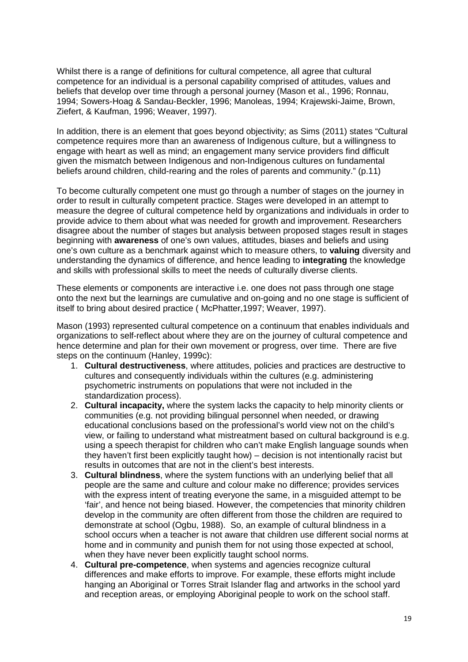Whilst there is a range of definitions for cultural competence, all agree that cultural competence for an individual is a personal capability comprised of attitudes, values and beliefs that develop over time through a personal journey (Mason et al., 1996; Ronnau, 1994; Sowers-Hoag & Sandau-Beckler, 1996; Manoleas, 1994; Krajewski-Jaime, Brown, Ziefert, & Kaufman, 1996; Weaver, 1997).

In addition, there is an element that goes beyond objectivity; as Sims (2011) states "Cultural competence requires more than an awareness of Indigenous culture, but a willingness to engage with heart as well as mind; an engagement many service providers find difficult given the mismatch between Indigenous and non-Indigenous cultures on fundamental beliefs around children, child-rearing and the roles of parents and community." (p.11)

To become culturally competent one must go through a number of stages on the journey in order to result in culturally competent practice. Stages were developed in an attempt to measure the degree of cultural competence held by organizations and individuals in order to provide advice to them about what was needed for growth and improvement. Researchers disagree about the number of stages but analysis between proposed stages result in stages beginning with **awareness** of one's own values, attitudes, biases and beliefs and using one's own culture as a benchmark against which to measure others, to **valuing** diversity and understanding the dynamics of difference, and hence leading to **integrating** the knowledge and skills with professional skills to meet the needs of culturally diverse clients.

These elements or components are interactive i.e. one does not pass through one stage onto the next but the learnings are cumulative and on-going and no one stage is sufficient of itself to bring about desired practice ( McPhatter,1997; Weaver, 1997).

Mason (1993) represented cultural competence on a continuum that enables individuals and organizations to self-reflect about where they are on the journey of cultural competence and hence determine and plan for their own movement or progress, over time. There are five steps on the continuum (Hanley, 1999c):

- 1. **Cultural destructiveness**, where attitudes, policies and practices are destructive to cultures and consequently individuals within the cultures (e.g. administering psychometric instruments on populations that were not included in the standardization process).
- 2. **Cultural incapacity,** where the system lacks the capacity to help minority clients or communities (e.g. not providing bilingual personnel when needed, or drawing educational conclusions based on the professional's world view not on the child's view, or failing to understand what mistreatment based on cultural background is e.g. using a speech therapist for children who can't make English language sounds when they haven't first been explicitly taught how) – decision is not intentionally racist but results in outcomes that are not in the client's best interests.
- 3. **Cultural blindness**, where the system functions with an underlying belief that all people are the same and culture and colour make no difference; provides services with the express intent of treating everyone the same, in a misguided attempt to be 'fair', and hence not being biased. However, the competencies that minority children develop in the community are often different from those the children are required to demonstrate at school (Ogbu, 1988). So, an example of cultural blindness in a school occurs when a teacher is not aware that children use different social norms at home and in community and punish them for not using those expected at school, when they have never been explicitly taught school norms.
- 4. **Cultural pre-competence**, when systems and agencies recognize cultural differences and make efforts to improve. For example, these efforts might include hanging an Aboriginal or Torres Strait Islander flag and artworks in the school yard and reception areas, or employing Aboriginal people to work on the school staff.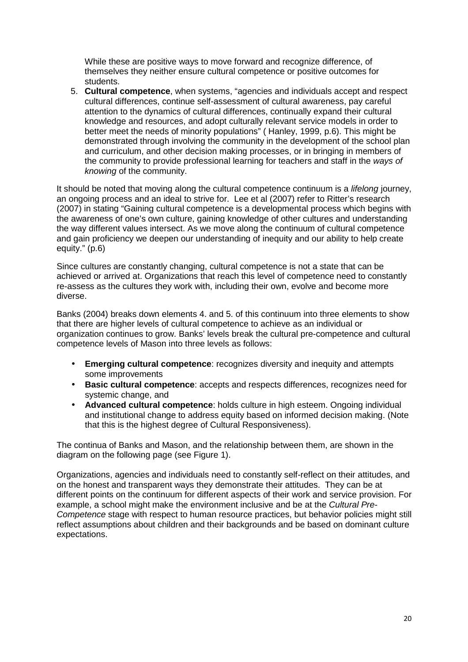While these are positive ways to move forward and recognize difference, of themselves they neither ensure cultural competence or positive outcomes for students.

5. **Cultural competence**, when systems, "agencies and individuals accept and respect cultural differences, continue self-assessment of cultural awareness, pay careful attention to the dynamics of cultural differences, continually expand their cultural knowledge and resources, and adopt culturally relevant service models in order to better meet the needs of minority populations" ( Hanley, 1999, p.6). This might be demonstrated through involving the community in the development of the school plan and curriculum, and other decision making processes, or in bringing in members of the community to provide professional learning for teachers and staff in the ways of knowing of the community.

It should be noted that moving along the cultural competence continuum is a *lifelong* journey, an ongoing process and an ideal to strive for. Lee et al (2007) refer to Ritter's research (2007) in stating "Gaining cultural competence is a developmental process which begins with the awareness of one's own culture, gaining knowledge of other cultures and understanding the way different values intersect. As we move along the continuum of cultural competence and gain proficiency we deepen our understanding of inequity and our ability to help create equity." (p.6)

Since cultures are constantly changing, cultural competence is not a state that can be achieved or arrived at. Organizations that reach this level of competence need to constantly re-assess as the cultures they work with, including their own, evolve and become more diverse.

Banks (2004) breaks down elements 4. and 5. of this continuum into three elements to show that there are higher levels of cultural competence to achieve as an individual or organization continues to grow. Banks' levels break the cultural pre-competence and cultural competence levels of Mason into three levels as follows:

- **Emerging cultural competence**: recognizes diversity and inequity and attempts some improvements
- **Basic cultural competence**: accepts and respects differences, recognizes need for systemic change, and
- **Advanced cultural competence**: holds culture in high esteem. Ongoing individual and institutional change to address equity based on informed decision making. (Note that this is the highest degree of Cultural Responsiveness).

The continua of Banks and Mason, and the relationship between them, are shown in the diagram on the following page (see Figure 1).

Organizations, agencies and individuals need to constantly self-reflect on their attitudes, and on the honest and transparent ways they demonstrate their attitudes. They can be at different points on the continuum for different aspects of their work and service provision. For example, a school might make the environment inclusive and be at the Cultural Pre-Competence stage with respect to human resource practices, but behavior policies might still reflect assumptions about children and their backgrounds and be based on dominant culture expectations.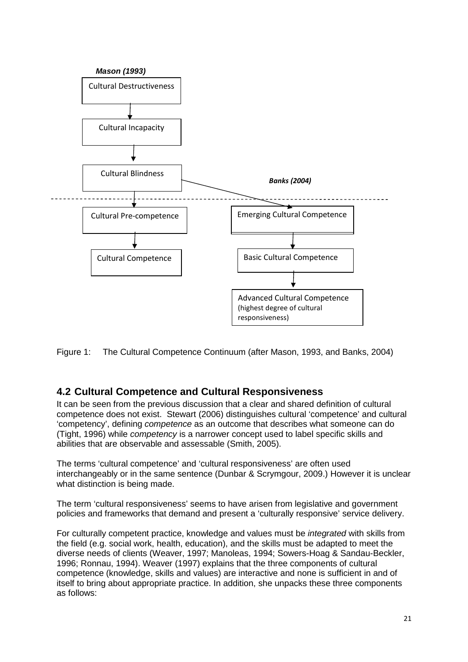



### **4.2 Cultural Competence and Cultural Responsiveness**

It can be seen from the previous discussion that a clear and shared definition of cultural competence does not exist. Stewart (2006) distinguishes cultural 'competence' and cultural 'competency', defining competence as an outcome that describes what someone can do (Tight, 1996) while competency is a narrower concept used to label specific skills and abilities that are observable and assessable (Smith, 2005).

The terms 'cultural competence' and 'cultural responsiveness' are often used interchangeably or in the same sentence (Dunbar & Scrymgour, 2009.) However it is unclear what distinction is being made.

The term 'cultural responsiveness' seems to have arisen from legislative and government policies and frameworks that demand and present a 'culturally responsive' service delivery.

For culturally competent practice, knowledge and values must be integrated with skills from the field (e.g. social work, health, education), and the skills must be adapted to meet the diverse needs of clients (Weaver, 1997; Manoleas, 1994; Sowers-Hoag & Sandau-Beckler, 1996; Ronnau, 1994). Weaver (1997) explains that the three components of cultural competence (knowledge, skills and values) are interactive and none is sufficient in and of itself to bring about appropriate practice. In addition, she unpacks these three components as follows: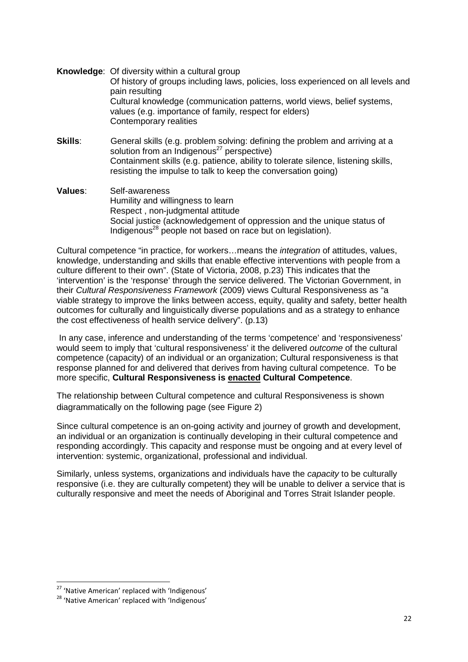- **Knowledge:** Of diversity within a cultural group Of history of groups including laws, policies, loss experienced on all levels and pain resulting Cultural knowledge (communication patterns, world views, belief systems, values (e.g. importance of family, respect for elders) Contemporary realities
- **Skills**: General skills (e.g. problem solving: defining the problem and arriving at a solution from an Indigenous $27$  perspective) Containment skills (e.g. patience, ability to tolerate silence, listening skills, resisting the impulse to talk to keep the conversation going)
- **Values**: Self-awareness Humility and willingness to learn Respect , non-judgmental attitude Social justice (acknowledgement of oppression and the unique status of Indigenous<sup>28</sup> people not based on race but on legislation).

Cultural competence "in practice, for workers…means the integration of attitudes, values, knowledge, understanding and skills that enable effective interventions with people from a culture different to their own". (State of Victoria, 2008, p.23) This indicates that the 'intervention' is the 'response' through the service delivered. The Victorian Government, in their Cultural Responsiveness Framework (2009) views Cultural Responsiveness as "a viable strategy to improve the links between access, equity, quality and safety, better health outcomes for culturally and linguistically diverse populations and as a strategy to enhance the cost effectiveness of health service delivery". (p.13)

 In any case, inference and understanding of the terms 'competence' and 'responsiveness' would seem to imply that 'cultural responsiveness' it the delivered outcome of the cultural competence (capacity) of an individual or an organization; Cultural responsiveness is that response planned for and delivered that derives from having cultural competence. To be more specific, **Cultural Responsiveness is enacted Cultural Competence**.

The relationship between Cultural competence and cultural Responsiveness is shown diagrammatically on the following page (see Figure 2)

Since cultural competence is an on-going activity and journey of growth and development, an individual or an organization is continually developing in their cultural competence and responding accordingly. This capacity and response must be ongoing and at every level of intervention: systemic, organizational, professional and individual.

Similarly, unless systems, organizations and individuals have the *capacity* to be culturally responsive (i.e. they are culturally competent) they will be unable to deliver a service that is culturally responsive and meet the needs of Aboriginal and Torres Strait Islander people.

 $\overline{\phantom{0}}$ 

<sup>&</sup>lt;sup>27</sup> 'Native American' replaced with 'Indigenous'

<sup>&</sup>lt;sup>28</sup> 'Native American' replaced with 'Indigenous'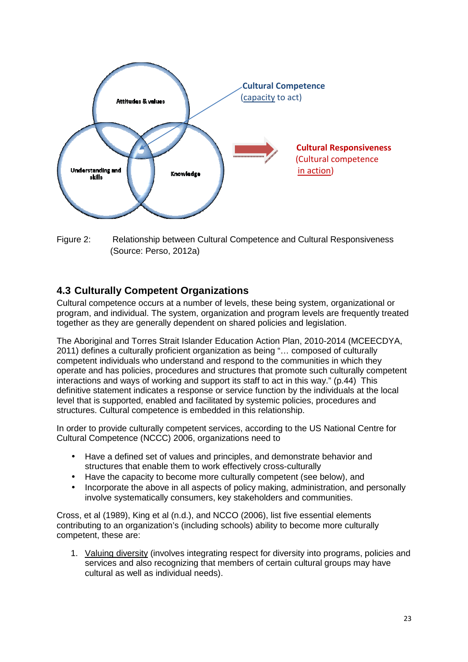

Figure 2: Relationship between Cultural Competence and Cultural Responsiveness (Source: Perso, 2012a)

## **4.3 Culturally Competent Organizations**

Cultural competence occurs at a number of levels, these being system, organizational or program, and individual. The system, organization and program levels are frequently treated together as they are generally dependent on shared policies and legislation.

The Aboriginal and Torres Strait Islander Education Action Plan, 2010-2014 (MCEECDYA, 2011) defines a culturally proficient organization as being "… composed of culturally competent individuals who understand and respond to the communities in which they operate and has policies, procedures and structures that promote such culturally competent interactions and ways of working and support its staff to act in this way." (p.44) This definitive statement indicates a response or service function by the individuals at the local level that is supported, enabled and facilitated by systemic policies, procedures and structures. Cultural competence is embedded in this relationship.

In order to provide culturally competent services, according to the US National Centre for Cultural Competence (NCCC) 2006, organizations need to

- Have a defined set of values and principles, and demonstrate behavior and structures that enable them to work effectively cross-culturally
- Have the capacity to become more culturally competent (see below), and
- Incorporate the above in all aspects of policy making, administration, and personally involve systematically consumers, key stakeholders and communities.

Cross, et al (1989), King et al (n.d.), and NCCO (2006), list five essential elements contributing to an organization's (including schools) ability to become more culturally competent, these are:

1. Valuing diversity (involves integrating respect for diversity into programs, policies and services and also recognizing that members of certain cultural groups may have cultural as well as individual needs).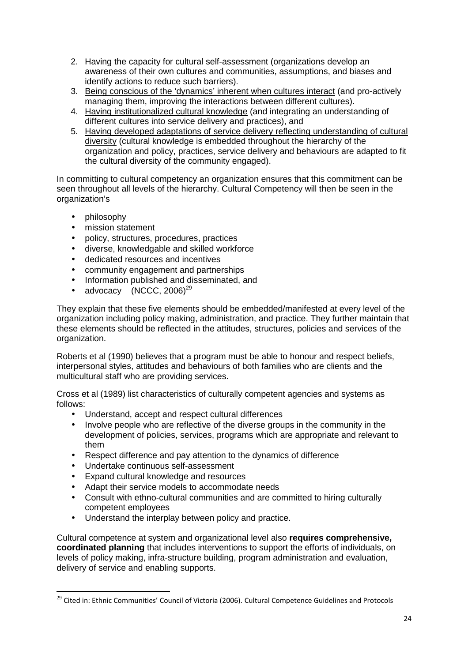- 2. Having the capacity for cultural self-assessment (organizations develop an awareness of their own cultures and communities, assumptions, and biases and identify actions to reduce such barriers).
- 3. Being conscious of the 'dynamics' inherent when cultures interact (and pro-actively managing them, improving the interactions between different cultures).
- 4. Having institutionalized cultural knowledge (and integrating an understanding of different cultures into service delivery and practices), and
- 5. Having developed adaptations of service delivery reflecting understanding of cultural diversity (cultural knowledge is embedded throughout the hierarchy of the organization and policy, practices, service delivery and behaviours are adapted to fit the cultural diversity of the community engaged).

In committing to cultural competency an organization ensures that this commitment can be seen throughout all levels of the hierarchy. Cultural Competency will then be seen in the organization's

• philosophy

 $\overline{a}$ 

- mission statement
- policy, structures, procedures, practices
- diverse, knowledgable and skilled workforce
- dedicated resources and incentives
- community engagement and partnerships
- Information published and disseminated, and
- $\bullet$  advocacy (NCCC, 2006)<sup>29</sup>

They explain that these five elements should be embedded/manifested at every level of the organization including policy making, administration, and practice. They further maintain that these elements should be reflected in the attitudes, structures, policies and services of the organization.

Roberts et al (1990) believes that a program must be able to honour and respect beliefs, interpersonal styles, attitudes and behaviours of both families who are clients and the multicultural staff who are providing services.

Cross et al (1989) list characteristics of culturally competent agencies and systems as follows:

- Understand, accept and respect cultural differences
- Involve people who are reflective of the diverse groups in the community in the development of policies, services, programs which are appropriate and relevant to them
- Respect difference and pay attention to the dynamics of difference
- Undertake continuous self-assessment
- Expand cultural knowledge and resources
- Adapt their service models to accommodate needs
- Consult with ethno-cultural communities and are committed to hiring culturally competent employees
- Understand the interplay between policy and practice.

Cultural competence at system and organizational level also **requires comprehensive, coordinated planning** that includes interventions to support the efforts of individuals, on levels of policy making, infra-structure building, program administration and evaluation, delivery of service and enabling supports.

<sup>&</sup>lt;sup>29</sup> Cited in: Ethnic Communities' Council of Victoria (2006). Cultural Competence Guidelines and Protocols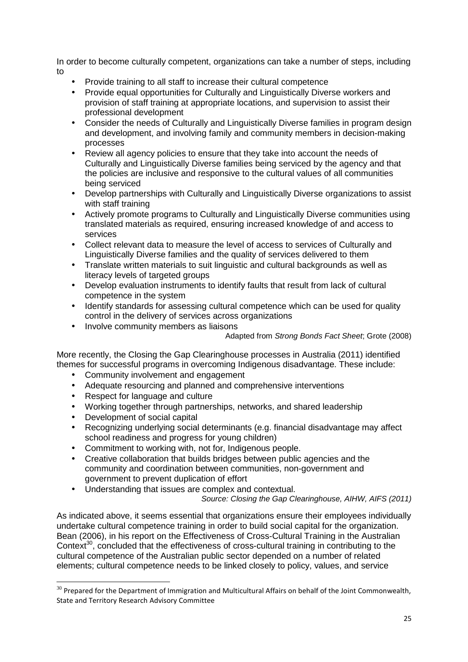In order to become culturally competent, organizations can take a number of steps, including to

- Provide training to all staff to increase their cultural competence
- Provide equal opportunities for Culturally and Linguistically Diverse workers and provision of staff training at appropriate locations, and supervision to assist their professional development
- Consider the needs of Culturally and Linguistically Diverse families in program design and development, and involving family and community members in decision-making processes
- Review all agency policies to ensure that they take into account the needs of Culturally and Linguistically Diverse families being serviced by the agency and that the policies are inclusive and responsive to the cultural values of all communities being serviced
- Develop partnerships with Culturally and Linguistically Diverse organizations to assist with staff training
- Actively promote programs to Culturally and Linguistically Diverse communities using translated materials as required, ensuring increased knowledge of and access to services
- Collect relevant data to measure the level of access to services of Culturally and Linguistically Diverse families and the quality of services delivered to them
- Translate written materials to suit linguistic and cultural backgrounds as well as literacy levels of targeted groups
- Develop evaluation instruments to identify faults that result from lack of cultural competence in the system
- Identify standards for assessing cultural competence which can be used for quality control in the delivery of services across organizations
- Involve community members as liaisons

Adapted from Strong Bonds Fact Sheet; Grote (2008)

More recently, the Closing the Gap Clearinghouse processes in Australia (2011) identified themes for successful programs in overcoming Indigenous disadvantage. These include:

- Community involvement and engagement
- Adequate resourcing and planned and comprehensive interventions
- Respect for language and culture
- Working together through partnerships, networks, and shared leadership
- Development of social capital

 $\overline{\phantom{0}}$ 

- Recognizing underlying social determinants (e.g. financial disadvantage may affect school readiness and progress for young children)
- Commitment to working with, not for, Indigenous people.
- Creative collaboration that builds bridges between public agencies and the community and coordination between communities, non-government and government to prevent duplication of effort
- Understanding that issues are complex and contextual.

Source: Closing the Gap Clearinghouse, AIHW, AIFS (2011)

As indicated above, it seems essential that organizations ensure their employees individually undertake cultural competence training in order to build social capital for the organization. Bean (2006), in his report on the Effectiveness of Cross-Cultural Training in the Australian Context<sup>30</sup>, concluded that the effectiveness of cross-cultural training in contributing to the cultural competence of the Australian public sector depended on a number of related elements; cultural competence needs to be linked closely to policy, values, and service

 $30$  Prepared for the Department of Immigration and Multicultural Affairs on behalf of the Joint Commonwealth, State and Territory Research Advisory Committee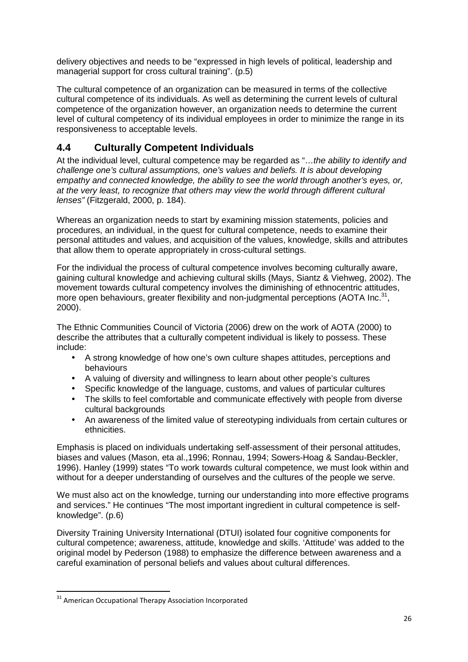delivery objectives and needs to be "expressed in high levels of political, leadership and managerial support for cross cultural training". (p.5)

The cultural competence of an organization can be measured in terms of the collective cultural competence of its individuals. As well as determining the current levels of cultural competence of the organization however, an organization needs to determine the current level of cultural competency of its individual employees in order to minimize the range in its responsiveness to acceptable levels.

# **4.4 Culturally Competent Individuals**

At the individual level, cultural competence may be regarded as "...the ability to identify and challenge one's cultural assumptions, one's values and beliefs. It is about developing empathy and connected knowledge, the ability to see the world through another's eyes, or, at the very least, to recognize that others may view the world through different cultural lenses" (Fitzgerald, 2000, p. 184).

Whereas an organization needs to start by examining mission statements, policies and procedures, an individual, in the quest for cultural competence, needs to examine their personal attitudes and values, and acquisition of the values, knowledge, skills and attributes that allow them to operate appropriately in cross-cultural settings.

For the individual the process of cultural competence involves becoming culturally aware, gaining cultural knowledge and achieving cultural skills (Mays, Siantz & Viehweg, 2002). The movement towards cultural competency involves the diminishing of ethnocentric attitudes, more open behaviours, greater flexibility and non-judgmental perceptions (AOTA Inc.<sup>31</sup>, 2000).

The Ethnic Communities Council of Victoria (2006) drew on the work of AOTA (2000) to describe the attributes that a culturally competent individual is likely to possess. These include:

- A strong knowledge of how one's own culture shapes attitudes, perceptions and behaviours
- A valuing of diversity and willingness to learn about other people's cultures
- Specific knowledge of the language, customs, and values of particular cultures
- The skills to feel comfortable and communicate effectively with people from diverse cultural backgrounds
- An awareness of the limited value of stereotyping individuals from certain cultures or ethnicities.

Emphasis is placed on individuals undertaking self-assessment of their personal attitudes, biases and values (Mason, eta al.,1996; Ronnau, 1994; Sowers-Hoag & Sandau-Beckler, 1996). Hanley (1999) states "To work towards cultural competence, we must look within and without for a deeper understanding of ourselves and the cultures of the people we serve.

We must also act on the knowledge, turning our understanding into more effective programs and services." He continues "The most important ingredient in cultural competence is selfknowledge". (p.6)

Diversity Training University International (DTUI) isolated four cognitive components for cultural competence; awareness, attitude, knowledge and skills. 'Attitude' was added to the original model by Pederson (1988) to emphasize the difference between awareness and a careful examination of personal beliefs and values about cultural differences.

 $\overline{a}$ 

<sup>&</sup>lt;sup>31</sup> American Occupational Therapy Association Incorporated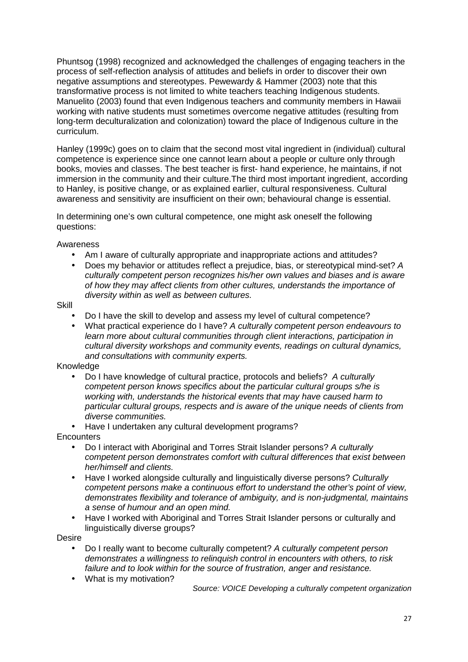Phuntsog (1998) recognized and acknowledged the challenges of engaging teachers in the process of self-reflection analysis of attitudes and beliefs in order to discover their own negative assumptions and stereotypes. Pewewardy & Hammer (2003) note that this transformative process is not limited to white teachers teaching Indigenous students. Manuelito (2003) found that even Indigenous teachers and community members in Hawaii working with native students must sometimes overcome negative attitudes (resulting from long-term deculturalization and colonization) toward the place of Indigenous culture in the curriculum.

Hanley (1999c) goes on to claim that the second most vital ingredient in (individual) cultural competence is experience since one cannot learn about a people or culture only through books, movies and classes. The best teacher is first- hand experience, he maintains, if not immersion in the community and their culture.The third most important ingredient, according to Hanley, is positive change, or as explained earlier, cultural responsiveness. Cultural awareness and sensitivity are insufficient on their own; behavioural change is essential.

In determining one's own cultural competence, one might ask oneself the following questions:

Awareness

- Am I aware of culturally appropriate and inappropriate actions and attitudes?
- Does my behavior or attitudes reflect a prejudice, bias, or stereotypical mind-set? A culturally competent person recognizes his/her own values and biases and is aware of how they may affect clients from other cultures, understands the importance of diversity within as well as between cultures.

Skill

- Do I have the skill to develop and assess my level of cultural competence?
- What practical experience do I have? A culturally competent person endeavours to learn more about cultural communities through client interactions, participation in cultural diversity workshops and community events, readings on cultural dynamics, and consultations with community experts.

#### Knowledge

- Do I have knowledge of cultural practice, protocols and beliefs? A culturally competent person knows specifics about the particular cultural groups s/he is working with, understands the historical events that may have caused harm to particular cultural groups, respects and is aware of the unique needs of clients from diverse communities.
- Have I undertaken any cultural development programs?

**Encounters** 

- Do I interact with Aboriginal and Torres Strait Islander persons? A culturally competent person demonstrates comfort with cultural differences that exist between her/himself and clients.
- Have I worked alongside culturally and linguistically diverse persons? Culturally competent persons make a continuous effort to understand the other's point of view, demonstrates flexibility and tolerance of ambiguity, and is non-judgmental, maintains a sense of humour and an open mind.
- Have I worked with Aboriginal and Torres Strait Islander persons or culturally and linguistically diverse groups?

Desire

- Do I really want to become culturally competent? A culturally competent person demonstrates a willingness to relinquish control in encounters with others, to risk failure and to look within for the source of frustration, anger and resistance.
- What is my motivation?

Source: VOICE Developing a culturally competent organization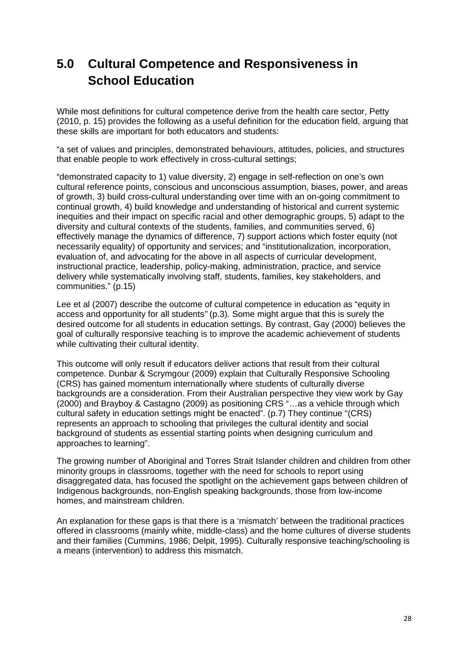# **5.0 Cultural Competence and Responsiveness in School Education**

While most definitions for cultural competence derive from the health care sector, Petty (2010, p. 15) provides the following as a useful definition for the education field, arguing that these skills are important for both educators and students:

"a set of values and principles, demonstrated behaviours, attitudes, policies, and structures that enable people to work effectively in cross-cultural settings;

"demonstrated capacity to 1) value diversity, 2) engage in self-reflection on one's own cultural reference points, conscious and unconscious assumption, biases, power, and areas of growth, 3) build cross-cultural understanding over time with an on-going commitment to continual growth, 4) build knowledge and understanding of historical and current systemic inequities and their impact on specific racial and other demographic groups, 5) adapt to the diversity and cultural contexts of the students, families, and communities served, 6) effectively manage the dynamics of difference, 7) support actions which foster equity (not necessarily equality) of opportunity and services; and "institutionalization, incorporation, evaluation of, and advocating for the above in all aspects of curricular development, instructional practice, leadership, policy-making, administration, practice, and service delivery while systematically involving staff, students, families, key stakeholders, and communities." (p.15)

Lee et al (2007) describe the outcome of cultural competence in education as "equity in access and opportunity for all students" (p.3). Some might argue that this is surely the desired outcome for all students in education settings. By contrast, Gay (2000) believes the goal of culturally responsive teaching is to improve the academic achievement of students while cultivating their cultural identity.

This outcome will only result if educators deliver actions that result from their cultural competence. Dunbar & Scrymgour (2009) explain that Culturally Responsive Schooling (CRS) has gained momentum internationally where students of culturally diverse backgrounds are a consideration. From their Australian perspective they view work by Gay (2000) and Brayboy & Castagno (2009) as positioning CRS "…as a vehicle through which cultural safety in education settings might be enacted". (p.7) They continue "(CRS) represents an approach to schooling that privileges the cultural identity and social background of students as essential starting points when designing curriculum and approaches to learning".

The growing number of Aboriginal and Torres Strait Islander children and children from other minority groups in classrooms, together with the need for schools to report using disaggregated data, has focused the spotlight on the achievement gaps between children of Indigenous backgrounds, non-English speaking backgrounds, those from low-income homes, and mainstream children.

An explanation for these gaps is that there is a 'mismatch' between the traditional practices offered in classrooms (mainly white, middle-class) and the home cultures of diverse students and their families (Cummins, 1986; Delpit, 1995). Culturally responsive teaching/schooling is a means (intervention) to address this mismatch.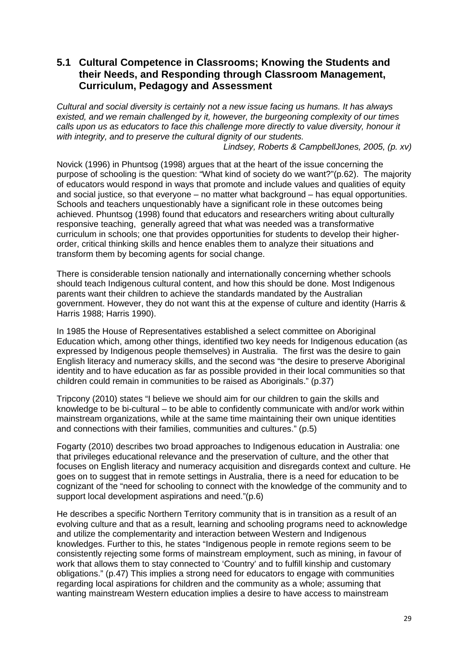## **5.1 Cultural Competence in Classrooms; Knowing the Students and their Needs, and Responding through Classroom Management, Curriculum, Pedagogy and Assessment**

Cultural and social diversity is certainly not a new issue facing us humans. It has always existed, and we remain challenged by it, however, the burgeoning complexity of our times calls upon us as educators to face this challenge more directly to value diversity, honour it with integrity, and to preserve the cultural dignity of our students.

Lindsey, Roberts & CampbellJones, 2005, (p. xv)

Novick (1996) in Phuntsog (1998) argues that at the heart of the issue concerning the purpose of schooling is the question: "What kind of society do we want?"(p.62). The majority of educators would respond in ways that promote and include values and qualities of equity and social justice, so that everyone – no matter what background – has equal opportunities. Schools and teachers unquestionably have a significant role in these outcomes being achieved. Phuntsog (1998) found that educators and researchers writing about culturally responsive teaching, generally agreed that what was needed was a transformative curriculum in schools; one that provides opportunities for students to develop their higherorder, critical thinking skills and hence enables them to analyze their situations and transform them by becoming agents for social change.

There is considerable tension nationally and internationally concerning whether schools should teach Indigenous cultural content, and how this should be done. Most Indigenous parents want their children to achieve the standards mandated by the Australian government. However, they do not want this at the expense of culture and identity (Harris & Harris 1988; Harris 1990).

In 1985 the House of Representatives established a select committee on Aboriginal Education which, among other things, identified two key needs for Indigenous education (as expressed by Indigenous people themselves) in Australia. The first was the desire to gain English literacy and numeracy skills, and the second was "the desire to preserve Aboriginal identity and to have education as far as possible provided in their local communities so that children could remain in communities to be raised as Aboriginals." (p.37)

Tripcony (2010) states "I believe we should aim for our children to gain the skills and knowledge to be bi-cultural – to be able to confidently communicate with and/or work within mainstream organizations, while at the same time maintaining their own unique identities and connections with their families, communities and cultures." (p.5)

Fogarty (2010) describes two broad approaches to Indigenous education in Australia: one that privileges educational relevance and the preservation of culture, and the other that focuses on English literacy and numeracy acquisition and disregards context and culture. He goes on to suggest that in remote settings in Australia, there is a need for education to be cognizant of the "need for schooling to connect with the knowledge of the community and to support local development aspirations and need."(p.6)

He describes a specific Northern Territory community that is in transition as a result of an evolving culture and that as a result, learning and schooling programs need to acknowledge and utilize the complementarity and interaction between Western and Indigenous knowledges. Further to this, he states "Indigenous people in remote regions seem to be consistently rejecting some forms of mainstream employment, such as mining, in favour of work that allows them to stay connected to 'Country' and to fulfill kinship and customary obligations." (p.47) This implies a strong need for educators to engage with communities regarding local aspirations for children and the community as a whole; assuming that wanting mainstream Western education implies a desire to have access to mainstream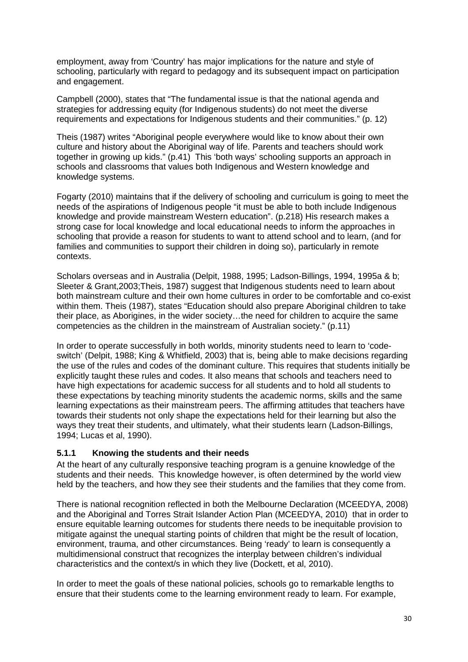employment, away from 'Country' has major implications for the nature and style of schooling, particularly with regard to pedagogy and its subsequent impact on participation and engagement.

Campbell (2000), states that "The fundamental issue is that the national agenda and strategies for addressing equity (for Indigenous students) do not meet the diverse requirements and expectations for Indigenous students and their communities." (p. 12)

Theis (1987) writes "Aboriginal people everywhere would like to know about their own culture and history about the Aboriginal way of life. Parents and teachers should work together in growing up kids." (p.41) This 'both ways' schooling supports an approach in schools and classrooms that values both Indigenous and Western knowledge and knowledge systems.

Fogarty (2010) maintains that if the delivery of schooling and curriculum is going to meet the needs of the aspirations of Indigenous people "it must be able to both include Indigenous knowledge and provide mainstream Western education". (p.218) His research makes a strong case for local knowledge and local educational needs to inform the approaches in schooling that provide a reason for students to want to attend school and to learn, (and for families and communities to support their children in doing so), particularly in remote contexts.

Scholars overseas and in Australia (Delpit, 1988, 1995; Ladson-Billings, 1994, 1995a & b; Sleeter & Grant,2003;Theis, 1987) suggest that Indigenous students need to learn about both mainstream culture and their own home cultures in order to be comfortable and co-exist within them. Theis (1987), states "Education should also prepare Aboriginal children to take their place, as Aborigines, in the wider society…the need for children to acquire the same competencies as the children in the mainstream of Australian society." (p.11)

In order to operate successfully in both worlds, minority students need to learn to 'codeswitch' (Delpit, 1988; King & Whitfield, 2003) that is, being able to make decisions regarding the use of the rules and codes of the dominant culture. This requires that students initially be explicitly taught these rules and codes. It also means that schools and teachers need to have high expectations for academic success for all students and to hold all students to these expectations by teaching minority students the academic norms, skills and the same learning expectations as their mainstream peers. The affirming attitudes that teachers have towards their students not only shape the expectations held for their learning but also the ways they treat their students, and ultimately, what their students learn (Ladson-Billings, 1994; Lucas et al, 1990).

#### **5.1.1 Knowing the students and their needs**

At the heart of any culturally responsive teaching program is a genuine knowledge of the students and their needs. This knowledge however, is often determined by the world view held by the teachers, and how they see their students and the families that they come from.

There is national recognition reflected in both the Melbourne Declaration (MCEEDYA, 2008) and the Aboriginal and Torres Strait Islander Action Plan (MCEEDYA, 2010) that in order to ensure equitable learning outcomes for students there needs to be inequitable provision to mitigate against the unequal starting points of children that might be the result of location, environment, trauma, and other circumstances. Being 'ready' to learn is consequently a multidimensional construct that recognizes the interplay between children's individual characteristics and the context/s in which they live (Dockett, et al, 2010).

In order to meet the goals of these national policies, schools go to remarkable lengths to ensure that their students come to the learning environment ready to learn. For example,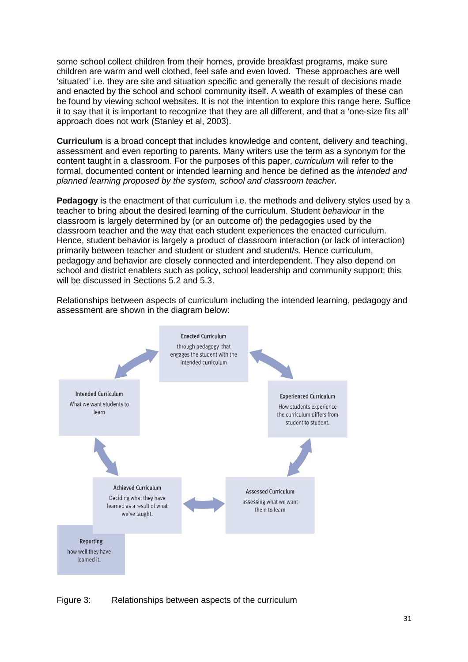some school collect children from their homes, provide breakfast programs, make sure children are warm and well clothed, feel safe and even loved. These approaches are well 'situated' i.e. they are site and situation specific and generally the result of decisions made and enacted by the school and school community itself. A wealth of examples of these can be found by viewing school websites. It is not the intention to explore this range here. Suffice it to say that it is important to recognize that they are all different, and that a 'one-size fits all' approach does not work (Stanley et al, 2003).

**Curriculum** is a broad concept that includes knowledge and content, delivery and teaching, assessment and even reporting to parents. Many writers use the term as a synonym for the content taught in a classroom. For the purposes of this paper, *curriculum* will refer to the formal, documented content or intended learning and hence be defined as the *intended and* planned learning proposed by the system, school and classroom teacher.

**Pedagogy** is the enactment of that curriculum i.e. the methods and delivery styles used by a teacher to bring about the desired learning of the curriculum. Student behaviour in the classroom is largely determined by (or an outcome of) the pedagogies used by the classroom teacher and the way that each student experiences the enacted curriculum. Hence, student behavior is largely a product of classroom interaction (or lack of interaction) primarily between teacher and student or student and student/s. Hence curriculum, pedagogy and behavior are closely connected and interdependent. They also depend on school and district enablers such as policy, school leadership and community support; this will be discussed in Sections 5.2 and 5.3.

Relationships between aspects of curriculum including the intended learning, pedagogy and assessment are shown in the diagram below:



Figure 3: Relationships between aspects of the curriculum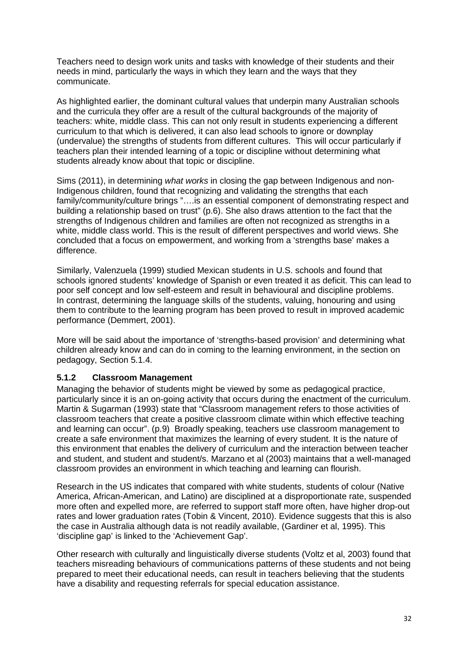Teachers need to design work units and tasks with knowledge of their students and their needs in mind, particularly the ways in which they learn and the ways that they communicate.

As highlighted earlier, the dominant cultural values that underpin many Australian schools and the curricula they offer are a result of the cultural backgrounds of the majority of teachers: white, middle class. This can not only result in students experiencing a different curriculum to that which is delivered, it can also lead schools to ignore or downplay (undervalue) the strengths of students from different cultures. This will occur particularly if teachers plan their intended learning of a topic or discipline without determining what students already know about that topic or discipline.

Sims (2011), in determining what works in closing the gap between Indigenous and non-Indigenous children, found that recognizing and validating the strengths that each family/community/culture brings "….is an essential component of demonstrating respect and building a relationship based on trust" (p.6). She also draws attention to the fact that the strengths of Indigenous children and families are often not recognized as strengths in a white, middle class world. This is the result of different perspectives and world views. She concluded that a focus on empowerment, and working from a 'strengths base' makes a difference.

Similarly, Valenzuela (1999) studied Mexican students in U.S. schools and found that schools ignored students' knowledge of Spanish or even treated it as deficit. This can lead to poor self concept and low self-esteem and result in behavioural and discipline problems. In contrast, determining the language skills of the students, valuing, honouring and using them to contribute to the learning program has been proved to result in improved academic performance (Demmert, 2001).

More will be said about the importance of 'strengths-based provision' and determining what children already know and can do in coming to the learning environment, in the section on pedagogy, Section 5.1.4.

#### **5.1.2 Classroom Management**

Managing the behavior of students might be viewed by some as pedagogical practice, particularly since it is an on-going activity that occurs during the enactment of the curriculum. Martin & Sugarman (1993) state that "Classroom management refers to those activities of classroom teachers that create a positive classroom climate within which effective teaching and learning can occur". (p.9) Broadly speaking, teachers use classroom management to create a safe environment that maximizes the learning of every student. It is the nature of this environment that enables the delivery of curriculum and the interaction between teacher and student, and student and student/s. Marzano et al (2003) maintains that a well-managed classroom provides an environment in which teaching and learning can flourish.

Research in the US indicates that compared with white students, students of colour (Native America, African-American, and Latino) are disciplined at a disproportionate rate, suspended more often and expelled more, are referred to support staff more often, have higher drop-out rates and lower graduation rates (Tobin & Vincent, 2010). Evidence suggests that this is also the case in Australia although data is not readily available, (Gardiner et al, 1995). This 'discipline gap' is linked to the 'Achievement Gap'.

Other research with culturally and linguistically diverse students (Voltz et al, 2003) found that teachers misreading behaviours of communications patterns of these students and not being prepared to meet their educational needs, can result in teachers believing that the students have a disability and requesting referrals for special education assistance.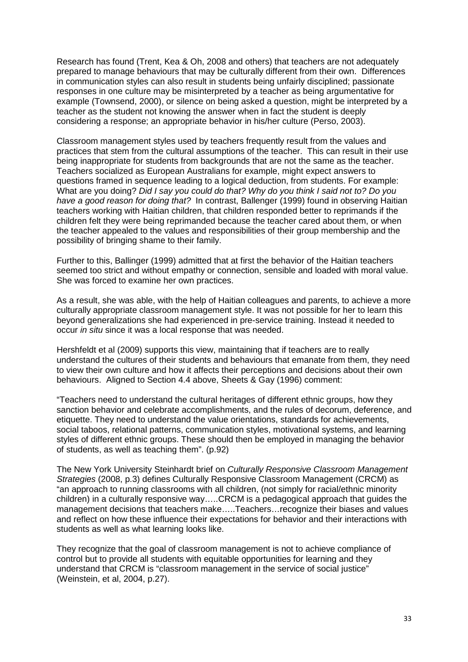Research has found (Trent, Kea & Oh, 2008 and others) that teachers are not adequately prepared to manage behaviours that may be culturally different from their own. Differences in communication styles can also result in students being unfairly disciplined; passionate responses in one culture may be misinterpreted by a teacher as being argumentative for example (Townsend, 2000), or silence on being asked a question, might be interpreted by a teacher as the student not knowing the answer when in fact the student is deeply considering a response; an appropriate behavior in his/her culture (Perso, 2003).

Classroom management styles used by teachers frequently result from the values and practices that stem from the cultural assumptions of the teacher. This can result in their use being inappropriate for students from backgrounds that are not the same as the teacher. Teachers socialized as European Australians for example, might expect answers to questions framed in sequence leading to a logical deduction, from students. For example: What are you doing? Did I say you could do that? Why do you think I said not to? Do you have a good reason for doing that? In contrast, Ballenger (1999) found in observing Haitian teachers working with Haitian children, that children responded better to reprimands if the children felt they were being reprimanded because the teacher cared about them, or when the teacher appealed to the values and responsibilities of their group membership and the possibility of bringing shame to their family.

Further to this, Ballinger (1999) admitted that at first the behavior of the Haitian teachers seemed too strict and without empathy or connection, sensible and loaded with moral value. She was forced to examine her own practices.

As a result, she was able, with the help of Haitian colleagues and parents, to achieve a more culturally appropriate classroom management style. It was not possible for her to learn this beyond generalizations she had experienced in pre-service training. Instead it needed to occur in situ since it was a local response that was needed.

Hershfeldt et al (2009) supports this view, maintaining that if teachers are to really understand the cultures of their students and behaviours that emanate from them, they need to view their own culture and how it affects their perceptions and decisions about their own behaviours. Aligned to Section 4.4 above, Sheets & Gay (1996) comment:

"Teachers need to understand the cultural heritages of different ethnic groups, how they sanction behavior and celebrate accomplishments, and the rules of decorum, deference, and etiquette. They need to understand the value orientations, standards for achievements, social taboos, relational patterns, communication styles, motivational systems, and learning styles of different ethnic groups. These should then be employed in managing the behavior of students, as well as teaching them". (p.92)

The New York University Steinhardt brief on Culturally Responsive Classroom Management Strategies (2008, p.3) defines Culturally Responsive Classroom Management (CRCM) as "an approach to running classrooms with all children, (not simply for racial/ethnic minority children) in a culturally responsive way…..CRCM is a pedagogical approach that guides the management decisions that teachers make…..Teachers…recognize their biases and values and reflect on how these influence their expectations for behavior and their interactions with students as well as what learning looks like.

They recognize that the goal of classroom management is not to achieve compliance of control but to provide all students with equitable opportunities for learning and they understand that CRCM is "classroom management in the service of social justice" (Weinstein, et al, 2004, p.27).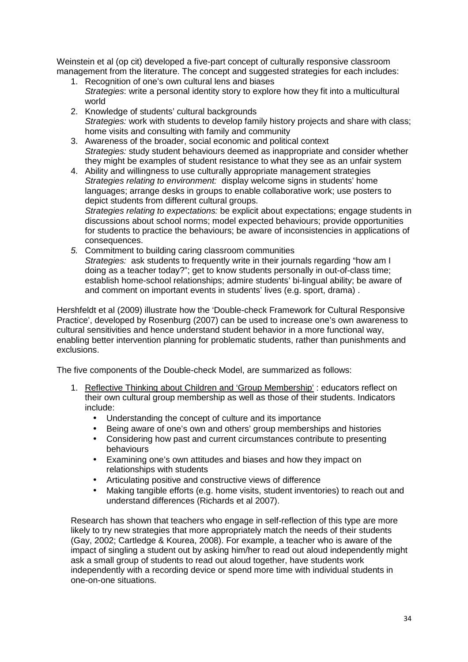Weinstein et al (op cit) developed a five-part concept of culturally responsive classroom management from the literature. The concept and suggested strategies for each includes:

- 1. Recognition of one's own cultural lens and biases Strategies: write a personal identity story to explore how they fit into a multicultural world
- 2. Knowledge of students' cultural backgrounds Strategies: work with students to develop family history projects and share with class; home visits and consulting with family and community
- 3. Awareness of the broader, social economic and political context Strategies: study student behaviours deemed as inappropriate and consider whether they might be examples of student resistance to what they see as an unfair system
- 4. Ability and willingness to use culturally appropriate management strategies Strategies relating to environment: display welcome signs in students' home languages; arrange desks in groups to enable collaborative work; use posters to depict students from different cultural groups. Strategies relating to expectations: be explicit about expectations; engage students in discussions about school norms; model expected behaviours; provide opportunities for students to practice the behaviours; be aware of inconsistencies in applications of consequences.
- 5. Commitment to building caring classroom communities Strategies: ask students to frequently write in their journals regarding "how am I doing as a teacher today?"; get to know students personally in out-of-class time; establish home-school relationships; admire students' bi-lingual ability; be aware of and comment on important events in students' lives (e.g. sport, drama) .

Hershfeldt et al (2009) illustrate how the 'Double-check Framework for Cultural Responsive Practice', developed by Rosenburg (2007) can be used to increase one's own awareness to cultural sensitivities and hence understand student behavior in a more functional way, enabling better intervention planning for problematic students, rather than punishments and exclusions.

The five components of the Double-check Model, are summarized as follows:

- 1. Reflective Thinking about Children and 'Group Membership' : educators reflect on their own cultural group membership as well as those of their students. Indicators include:
	- Understanding the concept of culture and its importance
	- Being aware of one's own and others' group memberships and histories
	- Considering how past and current circumstances contribute to presenting behaviours
	- Examining one's own attitudes and biases and how they impact on relationships with students
	- Articulating positive and constructive views of difference
	- Making tangible efforts (e.g. home visits, student inventories) to reach out and understand differences (Richards et al 2007).

Research has shown that teachers who engage in self-reflection of this type are more likely to try new strategies that more appropriately match the needs of their students (Gay, 2002; Cartledge & Kourea, 2008). For example, a teacher who is aware of the impact of singling a student out by asking him/her to read out aloud independently might ask a small group of students to read out aloud together, have students work independently with a recording device or spend more time with individual students in one-on-one situations.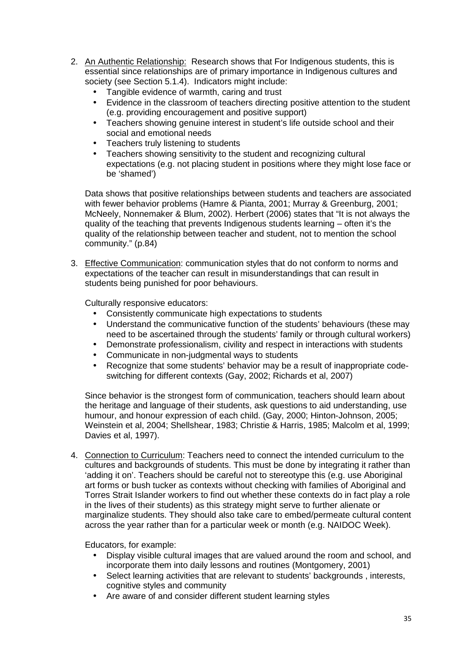- 2. An Authentic Relationship: Research shows that For Indigenous students, this is essential since relationships are of primary importance in Indigenous cultures and society (see Section 5.1.4). Indicators might include:
	- Tangible evidence of warmth, caring and trust
	- Evidence in the classroom of teachers directing positive attention to the student (e.g. providing encouragement and positive support)
	- Teachers showing genuine interest in student's life outside school and their social and emotional needs
	- Teachers truly listening to students
	- Teachers showing sensitivity to the student and recognizing cultural expectations (e.g. not placing student in positions where they might lose face or be 'shamed')

Data shows that positive relationships between students and teachers are associated with fewer behavior problems (Hamre & Pianta, 2001; Murray & Greenburg, 2001; McNeely, Nonnemaker & Blum, 2002). Herbert (2006) states that "It is not always the quality of the teaching that prevents Indigenous students learning – often it's the quality of the relationship between teacher and student, not to mention the school community." (p.84)

3. Effective Communication: communication styles that do not conform to norms and expectations of the teacher can result in misunderstandings that can result in students being punished for poor behaviours.

Culturally responsive educators:

- Consistently communicate high expectations to students
- Understand the communicative function of the students' behaviours (these may need to be ascertained through the students' family or through cultural workers)
- Demonstrate professionalism, civility and respect in interactions with students
- Communicate in non-judgmental ways to students
- Recognize that some students' behavior may be a result of inappropriate codeswitching for different contexts (Gay, 2002; Richards et al, 2007)

Since behavior is the strongest form of communication, teachers should learn about the heritage and language of their students, ask questions to aid understanding, use humour, and honour expression of each child. (Gay, 2000; Hinton-Johnson, 2005; Weinstein et al, 2004; Shellshear, 1983; Christie & Harris, 1985; Malcolm et al, 1999; Davies et al, 1997).

4. Connection to Curriculum: Teachers need to connect the intended curriculum to the cultures and backgrounds of students. This must be done by integrating it rather than 'adding it on'. Teachers should be careful not to stereotype this (e.g. use Aboriginal art forms or bush tucker as contexts without checking with families of Aboriginal and Torres Strait Islander workers to find out whether these contexts do in fact play a role in the lives of their students) as this strategy might serve to further alienate or marginalize students. They should also take care to embed/permeate cultural content across the year rather than for a particular week or month (e.g. NAIDOC Week).

Educators, for example:

- Display visible cultural images that are valued around the room and school, and incorporate them into daily lessons and routines (Montgomery, 2001)
- Select learning activities that are relevant to students' backgrounds , interests, cognitive styles and community
- Are aware of and consider different student learning styles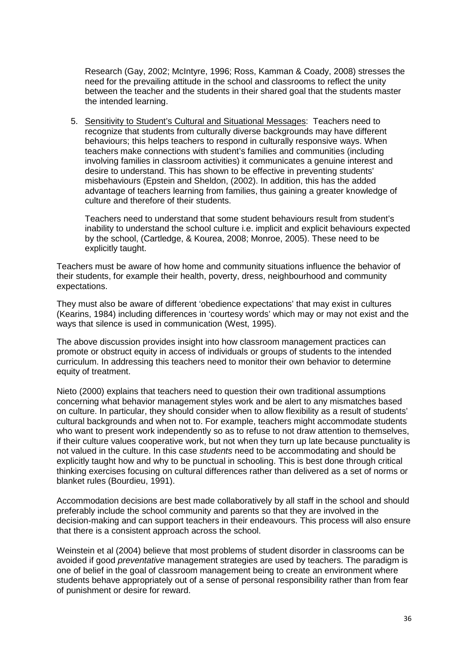Research (Gay, 2002; McIntyre, 1996; Ross, Kamman & Coady, 2008) stresses the need for the prevailing attitude in the school and classrooms to reflect the unity between the teacher and the students in their shared goal that the students master the intended learning.

5. Sensitivity to Student's Cultural and Situational Messages: Teachers need to recognize that students from culturally diverse backgrounds may have different behaviours; this helps teachers to respond in culturally responsive ways. When teachers make connections with student's families and communities (including involving families in classroom activities) it communicates a genuine interest and desire to understand. This has shown to be effective in preventing students' misbehaviours (Epstein and Sheldon, (2002). In addition, this has the added advantage of teachers learning from families, thus gaining a greater knowledge of culture and therefore of their students.

Teachers need to understand that some student behaviours result from student's inability to understand the school culture i.e. implicit and explicit behaviours expected by the school, (Cartledge, & Kourea, 2008; Monroe, 2005). These need to be explicitly taught.

Teachers must be aware of how home and community situations influence the behavior of their students, for example their health, poverty, dress, neighbourhood and community expectations.

They must also be aware of different 'obedience expectations' that may exist in cultures (Kearins, 1984) including differences in 'courtesy words' which may or may not exist and the ways that silence is used in communication (West, 1995).

The above discussion provides insight into how classroom management practices can promote or obstruct equity in access of individuals or groups of students to the intended curriculum. In addressing this teachers need to monitor their own behavior to determine equity of treatment.

Nieto (2000) explains that teachers need to question their own traditional assumptions concerning what behavior management styles work and be alert to any mismatches based on culture. In particular, they should consider when to allow flexibility as a result of students' cultural backgrounds and when not to. For example, teachers might accommodate students who want to present work independently so as to refuse to not draw attention to themselves, if their culture values cooperative work, but not when they turn up late because punctuality is not valued in the culture. In this case students need to be accommodating and should be explicitly taught how and why to be punctual in schooling. This is best done through critical thinking exercises focusing on cultural differences rather than delivered as a set of norms or blanket rules (Bourdieu, 1991).

Accommodation decisions are best made collaboratively by all staff in the school and should preferably include the school community and parents so that they are involved in the decision-making and can support teachers in their endeavours. This process will also ensure that there is a consistent approach across the school.

Weinstein et al (2004) believe that most problems of student disorder in classrooms can be avoided if good preventative management strategies are used by teachers. The paradigm is one of belief in the goal of classroom management being to create an environment where students behave appropriately out of a sense of personal responsibility rather than from fear of punishment or desire for reward.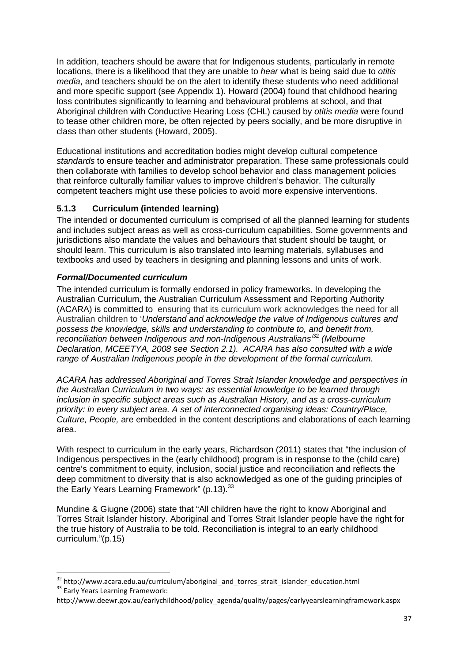In addition, teachers should be aware that for Indigenous students, particularly in remote locations, there is a likelihood that they are unable to hear what is being said due to otitis media, and teachers should be on the alert to identify these students who need additional and more specific support (see Appendix 1). Howard (2004) found that childhood hearing loss contributes significantly to learning and behavioural problems at school, and that Aboriginal children with Conductive Hearing Loss (CHL) caused by otitis media were found to tease other children more, be often rejected by peers socially, and be more disruptive in class than other students (Howard, 2005).

Educational institutions and accreditation bodies might develop cultural competence standards to ensure teacher and administrator preparation. These same professionals could then collaborate with families to develop school behavior and class management policies that reinforce culturally familiar values to improve children's behavior. The culturally competent teachers might use these policies to avoid more expensive interventions.

# **5.1.3 Curriculum (intended learning)**

The intended or documented curriculum is comprised of all the planned learning for students and includes subject areas as well as cross-curriculum capabilities. Some governments and jurisdictions also mandate the values and behaviours that student should be taught, or should learn. This curriculum is also translated into learning materials, syllabuses and textbooks and used by teachers in designing and planning lessons and units of work.

# **Formal/Documented curriculum**

 $\overline{a}$ 

The intended curriculum is formally endorsed in policy frameworks. In developing the Australian Curriculum, the Australian Curriculum Assessment and Reporting Authority (ACARA) is committed to ensuring that its curriculum work acknowledges the need for all Australian children to 'Understand and acknowledge the value of Indigenous cultures and possess the knowledge, skills and understanding to contribute to, and benefit from,  $r$ econciliation between Indigenous and non-Indigenous Australians<sup>82</sup> (Melbourne Declaration, MCEETYA, 2008 see Section 2.1). ACARA has also consulted with a wide range of Australian Indigenous people in the development of the formal curriculum.

ACARA has addressed Aboriginal and Torres Strait Islander knowledge and perspectives in the Australian Curriculum in two ways: as essential knowledge to be learned through inclusion in specific subject areas such as Australian History, and as a cross-curriculum priority: in every subject area. A set of interconnected organising ideas: Country/Place, Culture, People, are embedded in the content descriptions and elaborations of each learning area.

With respect to curriculum in the early years, Richardson (2011) states that "the inclusion of Indigenous perspectives in the (early childhood) program is in response to the (child care) centre's commitment to equity, inclusion, social justice and reconciliation and reflects the deep commitment to diversity that is also acknowledged as one of the guiding principles of the Early Years Learning Framework" (p.13). $33$ 

Mundine & Giugne (2006) state that "All children have the right to know Aboriginal and Torres Strait Islander history. Aboriginal and Torres Strait Islander people have the right for the true history of Australia to be told. Reconciliation is integral to an early childhood curriculum."(p.15)

<sup>32</sup> http://www.acara.edu.au/curriculum/aboriginal\_and\_torres\_strait\_islander\_education.html <sup>33</sup> Early Years Learning Framework:

http://www.deewr.gov.au/earlychildhood/policy\_agenda/quality/pages/earlyyearslearningframework.aspx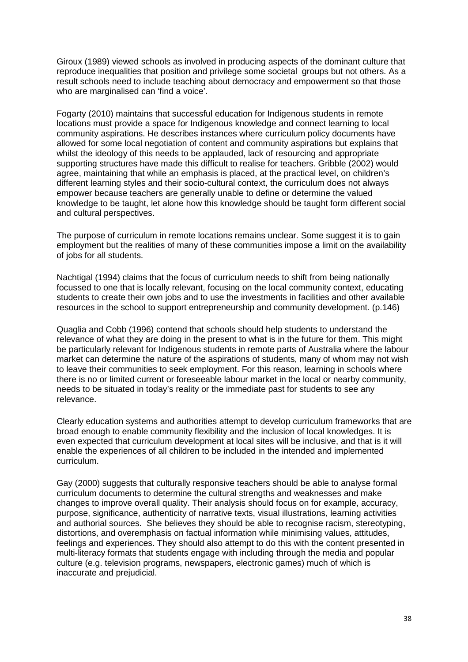Giroux (1989) viewed schools as involved in producing aspects of the dominant culture that reproduce inequalities that position and privilege some societal groups but not others. As a result schools need to include teaching about democracy and empowerment so that those who are marginalised can 'find a voice'.

Fogarty (2010) maintains that successful education for Indigenous students in remote locations must provide a space for Indigenous knowledge and connect learning to local community aspirations. He describes instances where curriculum policy documents have allowed for some local negotiation of content and community aspirations but explains that whilst the ideology of this needs to be applauded, lack of resourcing and appropriate supporting structures have made this difficult to realise for teachers. Gribble (2002) would agree, maintaining that while an emphasis is placed, at the practical level, on children's different learning styles and their socio-cultural context, the curriculum does not always empower because teachers are generally unable to define or determine the valued knowledge to be taught, let alone how this knowledge should be taught form different social and cultural perspectives.

The purpose of curriculum in remote locations remains unclear. Some suggest it is to gain employment but the realities of many of these communities impose a limit on the availability of jobs for all students.

Nachtigal (1994) claims that the focus of curriculum needs to shift from being nationally focussed to one that is locally relevant, focusing on the local community context, educating students to create their own jobs and to use the investments in facilities and other available resources in the school to support entrepreneurship and community development. (p.146)

Quaglia and Cobb (1996) contend that schools should help students to understand the relevance of what they are doing in the present to what is in the future for them. This might be particularly relevant for Indigenous students in remote parts of Australia where the labour market can determine the nature of the aspirations of students, many of whom may not wish to leave their communities to seek employment. For this reason, learning in schools where there is no or limited current or foreseeable labour market in the local or nearby community, needs to be situated in today's reality or the immediate past for students to see any relevance.

Clearly education systems and authorities attempt to develop curriculum frameworks that are broad enough to enable community flexibility and the inclusion of local knowledges. It is even expected that curriculum development at local sites will be inclusive, and that is it will enable the experiences of all children to be included in the intended and implemented curriculum.

Gay (2000) suggests that culturally responsive teachers should be able to analyse formal curriculum documents to determine the cultural strengths and weaknesses and make changes to improve overall quality. Their analysis should focus on for example, accuracy, purpose, significance, authenticity of narrative texts, visual illustrations, learning activities and authorial sources. She believes they should be able to recognise racism, stereotyping, distortions, and overemphasis on factual information while minimising values, attitudes, feelings and experiences. They should also attempt to do this with the content presented in multi-literacy formats that students engage with including through the media and popular culture (e.g. television programs, newspapers, electronic games) much of which is inaccurate and prejudicial.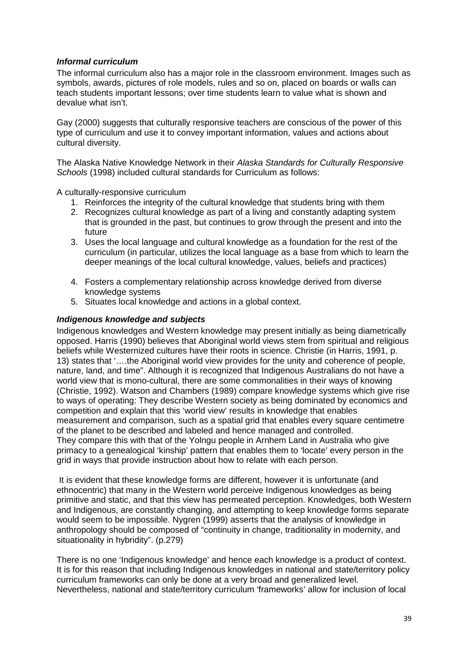## **Informal curriculum**

The informal curriculum also has a major role in the classroom environment. Images such as symbols, awards, pictures of role models, rules and so on, placed on boards or walls can teach students important lessons; over time students learn to value what is shown and devalue what isn't.

Gay (2000) suggests that culturally responsive teachers are conscious of the power of this type of curriculum and use it to convey important information, values and actions about cultural diversity.

The Alaska Native Knowledge Network in their Alaska Standards for Culturally Responsive Schools (1998) included cultural standards for Curriculum as follows:

A culturally-responsive curriculum

- 1. Reinforces the integrity of the cultural knowledge that students bring with them
- 2. Recognizes cultural knowledge as part of a living and constantly adapting system that is grounded in the past, but continues to grow through the present and into the future
- 3. Uses the local language and cultural knowledge as a foundation for the rest of the curriculum (in particular, utilizes the local language as a base from which to learn the deeper meanings of the local cultural knowledge, values, beliefs and practices)
- 4. Fosters a complementary relationship across knowledge derived from diverse knowledge systems
- 5. Situates local knowledge and actions in a global context.

## **Indigenous knowledge and subjects**

Indigenous knowledges and Western knowledge may present initially as being diametrically opposed. Harris (1990) believes that Aboriginal world views stem from spiritual and religious beliefs while Westernized cultures have their roots in science. Christie (in Harris, 1991, p. 13) states that '….the Aboriginal world view provides for the unity and coherence of people, nature, land, and time". Although it is recognized that Indigenous Australians do not have a world view that is mono-cultural, there are some commonalities in their ways of knowing (Christie, 1992). Watson and Chambers (1989) compare knowledge systems which give rise to ways of operating: They describe Western society as being dominated by economics and competition and explain that this 'world view' results in knowledge that enables measurement and comparison, such as a spatial grid that enables every square centimetre of the planet to be described and labeled and hence managed and controlled. They compare this with that of the Yolngu people in Arnhem Land in Australia who give primacy to a genealogical 'kinship' pattern that enables them to 'locate' every person in the grid in ways that provide instruction about how to relate with each person.

 It is evident that these knowledge forms are different, however it is unfortunate (and ethnocentric) that many in the Western world perceive Indigenous knowledges as being primitive and static, and that this view has permeated perception. Knowledges, both Western and Indigenous, are constantly changing, and attempting to keep knowledge forms separate would seem to be impossible. Nygren (1999) asserts that the analysis of knowledge in anthropology should be composed of "continuity in change, traditionality in modernity, and situationality in hybridity". (p.279)

There is no one 'Indigenous knowledge' and hence each knowledge is a product of context. It is for this reason that including Indigenous knowledges in national and state/territory policy curriculum frameworks can only be done at a very broad and generalized level. Nevertheless, national and state/territory curriculum 'frameworks' allow for inclusion of local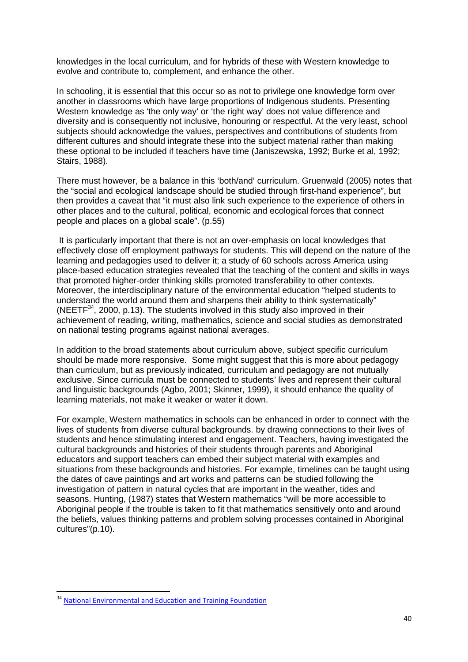knowledges in the local curriculum, and for hybrids of these with Western knowledge to evolve and contribute to, complement, and enhance the other.

In schooling, it is essential that this occur so as not to privilege one knowledge form over another in classrooms which have large proportions of Indigenous students. Presenting Western knowledge as 'the only way' or 'the right way' does not value difference and diversity and is consequently not inclusive, honouring or respectful. At the very least, school subjects should acknowledge the values, perspectives and contributions of students from different cultures and should integrate these into the subject material rather than making these optional to be included if teachers have time (Janiszewska, 1992; Burke et al, 1992; Stairs, 1988).

There must however, be a balance in this 'both/and' curriculum. Gruenwald (2005) notes that the "social and ecological landscape should be studied through first-hand experience", but then provides a caveat that "it must also link such experience to the experience of others in other places and to the cultural, political, economic and ecological forces that connect people and places on a global scale". (p.55)

 It is particularly important that there is not an over-emphasis on local knowledges that effectively close off employment pathways for students. This will depend on the nature of the learning and pedagogies used to deliver it; a study of 60 schools across America using place-based education strategies revealed that the teaching of the content and skills in ways that promoted higher-order thinking skills promoted transferability to other contexts. Moreover, the interdisciplinary nature of the environmental education "helped students to understand the world around them and sharpens their ability to think systematically" (NEETF $^{34}$ , 2000, p.13). The students involved in this study also improved in their achievement of reading, writing, mathematics, science and social studies as demonstrated on national testing programs against national averages.

In addition to the broad statements about curriculum above, subject specific curriculum should be made more responsive. Some might suggest that this is more about pedagogy than curriculum, but as previously indicated, curriculum and pedagogy are not mutually exclusive. Since curricula must be connected to students' lives and represent their cultural and linguistic backgrounds (Agbo, 2001; Skinner, 1999), it should enhance the quality of learning materials, not make it weaker or water it down.

For example, Western mathematics in schools can be enhanced in order to connect with the lives of students from diverse cultural backgrounds. by drawing connections to their lives of students and hence stimulating interest and engagement. Teachers, having investigated the cultural backgrounds and histories of their students through parents and Aboriginal educators and support teachers can embed their subject material with examples and situations from these backgrounds and histories. For example, timelines can be taught using the dates of cave paintings and art works and patterns can be studied following the investigation of pattern in natural cycles that are important in the weather, tides and seasons. Hunting, (1987) states that Western mathematics "will be more accessible to Aboriginal people if the trouble is taken to fit that mathematics sensitively onto and around the beliefs, values thinking patterns and problem solving processes contained in Aboriginal cultures"(p.10).

 $\overline{a}$ 

<sup>&</sup>lt;sup>34</sup> National Environmental and Education and Training Foundation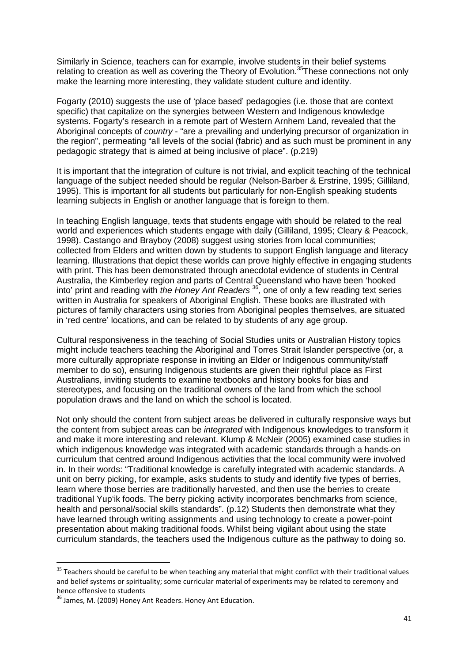Similarly in Science, teachers can for example, involve students in their belief systems relating to creation as well as covering the Theory of Evolution.<sup>35</sup>These connections not only make the learning more interesting, they validate student culture and identity.

Fogarty (2010) suggests the use of 'place based' pedagogies (i.e. those that are context specific) that capitalize on the synergies between Western and Indigenous knowledge systems. Fogarty's research in a remote part of Western Arnhem Land, revealed that the Aboriginal concepts of country - "are a prevailing and underlying precursor of organization in the region", permeating "all levels of the social (fabric) and as such must be prominent in any pedagogic strategy that is aimed at being inclusive of place". (p.219)

It is important that the integration of culture is not trivial, and explicit teaching of the technical language of the subject needed should be regular (Nelson-Barber & Erstrine, 1995; Gilliland, 1995). This is important for all students but particularly for non-English speaking students learning subjects in English or another language that is foreign to them.

In teaching English language, texts that students engage with should be related to the real world and experiences which students engage with daily (Gilliland, 1995; Cleary & Peacock, 1998). Castango and Brayboy (2008) suggest using stories from local communities; collected from Elders and written down by students to support English language and literacy learning. Illustrations that depict these worlds can prove highly effective in engaging students with print. This has been demonstrated through anecdotal evidence of students in Central Australia, the Kimberley region and parts of Central Queensland who have been 'hooked into' print and reading with the Honey Ant Readers <sup>36</sup>, one of only a few reading text series written in Australia for speakers of Aboriginal English. These books are illustrated with pictures of family characters using stories from Aboriginal peoples themselves, are situated in 'red centre' locations, and can be related to by students of any age group.

Cultural responsiveness in the teaching of Social Studies units or Australian History topics might include teachers teaching the Aboriginal and Torres Strait Islander perspective (or, a more culturally appropriate response in inviting an Elder or Indigenous community/staff member to do so), ensuring Indigenous students are given their rightful place as First Australians, inviting students to examine textbooks and history books for bias and stereotypes, and focusing on the traditional owners of the land from which the school population draws and the land on which the school is located.

Not only should the content from subject areas be delivered in culturally responsive ways but the content from subject areas can be *integrated* with Indigenous knowledges to transform it and make it more interesting and relevant. Klump & McNeir (2005) examined case studies in which indigenous knowledge was integrated with academic standards through a hands-on curriculum that centred around Indigenous activities that the local community were involved in. In their words: "Traditional knowledge is carefully integrated with academic standards. A unit on berry picking, for example, asks students to study and identify five types of berries, learn where those berries are traditionally harvested, and then use the berries to create traditional Yup'ik foods. The berry picking activity incorporates benchmarks from science, health and personal/social skills standards". (p.12) Students then demonstrate what they have learned through writing assignments and using technology to create a power-point presentation about making traditional foods. Whilst being vigilant about using the state curriculum standards, the teachers used the Indigenous culture as the pathway to doing so.

 $\overline{\phantom{0}}$ 

 $35$  Teachers should be careful to be when teaching any material that might conflict with their traditional values and belief systems or spirituality; some curricular material of experiments may be related to ceremony and hence offensive to students

<sup>&</sup>lt;sup>36</sup> James, M. (2009) Honey Ant Readers. Honey Ant Education.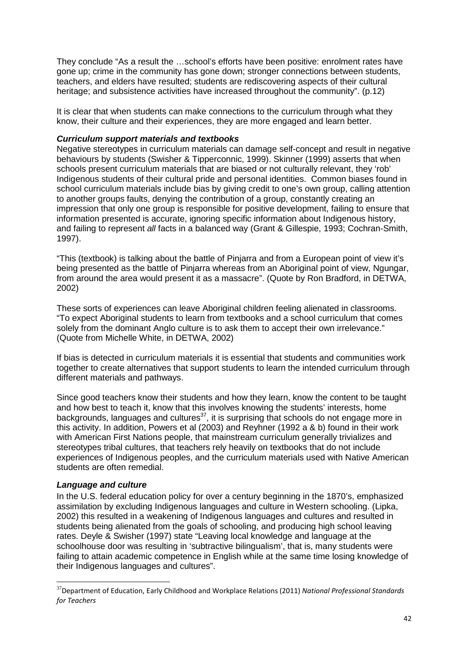They conclude "As a result the …school's efforts have been positive: enrolment rates have gone up; crime in the community has gone down; stronger connections between students, teachers, and elders have resulted; students are rediscovering aspects of their cultural heritage; and subsistence activities have increased throughout the community". (p.12)

It is clear that when students can make connections to the curriculum through what they know, their culture and their experiences, they are more engaged and learn better.

### **Curriculum support materials and textbooks**

Negative stereotypes in curriculum materials can damage self-concept and result in negative behaviours by students (Swisher & Tipperconnic, 1999). Skinner (1999) asserts that when schools present curriculum materials that are biased or not culturally relevant, they 'rob' Indigenous students of their cultural pride and personal identities. Common biases found in school curriculum materials include bias by giving credit to one's own group, calling attention to another groups faults, denying the contribution of a group, constantly creating an impression that only one group is responsible for positive development, failing to ensure that information presented is accurate, ignoring specific information about Indigenous history, and failing to represent all facts in a balanced way (Grant & Gillespie, 1993; Cochran-Smith, 1997).

"This (textbook) is talking about the battle of Pinjarra and from a European point of view it's being presented as the battle of Pinjarra whereas from an Aboriginal point of view, Ngungar, from around the area would present it as a massacre". (Quote by Ron Bradford, in DETWA, 2002)

These sorts of experiences can leave Aboriginal children feeling alienated in classrooms. "To expect Aboriginal students to learn from textbooks and a school curriculum that comes solely from the dominant Anglo culture is to ask them to accept their own irrelevance." (Quote from Michelle White, in DETWA, 2002)

If bias is detected in curriculum materials it is essential that students and communities work together to create alternatives that support students to learn the intended curriculum through different materials and pathways.

Since good teachers know their students and how they learn, know the content to be taught and how best to teach it, know that this involves knowing the students' interests, home backgrounds, languages and cultures $37$ , it is surprising that schools do not engage more in this activity. In addition, Powers et al (2003) and Reyhner (1992 a & b) found in their work with American First Nations people, that mainstream curriculum generally trivializes and stereotypes tribal cultures, that teachers rely heavily on textbooks that do not include experiences of Indigenous peoples, and the curriculum materials used with Native American students are often remedial.

## **Language and culture**

 $\overline{\phantom{0}}$ 

In the U.S. federal education policy for over a century beginning in the 1870's, emphasized assimilation by excluding Indigenous languages and culture in Western schooling. (Lipka, 2002) this resulted in a weakening of Indigenous languages and cultures and resulted in students being alienated from the goals of schooling, and producing high school leaving rates. Deyle & Swisher (1997) state "Leaving local knowledge and language at the schoolhouse door was resulting in 'subtractive bilingualism', that is, many students were failing to attain academic competence in English while at the same time losing knowledge of their Indigenous languages and cultures".

<sup>37</sup>Department of Education, Early Childhood and Workplace Relations (2011) *National Professional Standards for Teachers*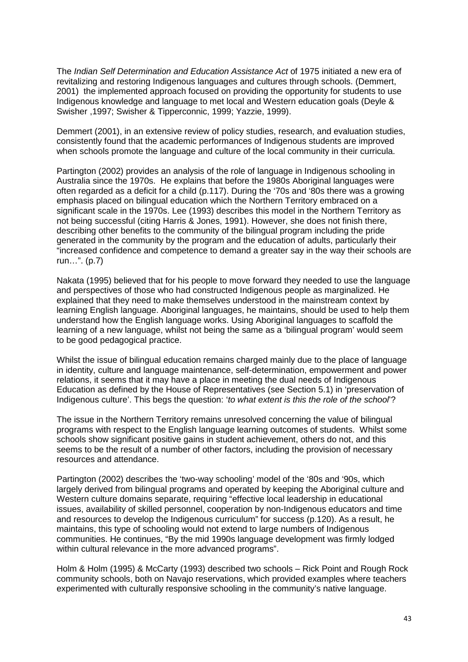The Indian Self Determination and Education Assistance Act of 1975 initiated a new era of revitalizing and restoring Indigenous languages and cultures through schools. (Demmert, 2001) the implemented approach focused on providing the opportunity for students to use Indigenous knowledge and language to met local and Western education goals (Deyle & Swisher ,1997; Swisher & Tipperconnic, 1999; Yazzie, 1999).

Demmert (2001), in an extensive review of policy studies, research, and evaluation studies, consistently found that the academic performances of Indigenous students are improved when schools promote the language and culture of the local community in their curricula.

Partington (2002) provides an analysis of the role of language in Indigenous schooling in Australia since the 1970s. He explains that before the 1980s Aboriginal languages were often regarded as a deficit for a child (p.117). During the '70s and '80s there was a growing emphasis placed on bilingual education which the Northern Territory embraced on a significant scale in the 1970s. Lee (1993) describes this model in the Northern Territory as not being successful (citing Harris & Jones, 1991). However, she does not finish there, describing other benefits to the community of the bilingual program including the pride generated in the community by the program and the education of adults, particularly their "increased confidence and competence to demand a greater say in the way their schools are run…". (p.7)

Nakata (1995) believed that for his people to move forward they needed to use the language and perspectives of those who had constructed Indigenous people as marginalized. He explained that they need to make themselves understood in the mainstream context by learning English language. Aboriginal languages, he maintains, should be used to help them understand how the English language works. Using Aboriginal languages to scaffold the learning of a new language, whilst not being the same as a 'bilingual program' would seem to be good pedagogical practice.

Whilst the issue of bilingual education remains charged mainly due to the place of language in identity, culture and language maintenance, self-determination, empowerment and power relations, it seems that it may have a place in meeting the dual needs of Indigenous Education as defined by the House of Representatives (see Section 5.1) in 'preservation of Indigenous culture'. This begs the question: 'to what extent is this the role of the school'?

The issue in the Northern Territory remains unresolved concerning the value of bilingual programs with respect to the English language learning outcomes of students. Whilst some schools show significant positive gains in student achievement, others do not, and this seems to be the result of a number of other factors, including the provision of necessary resources and attendance.

Partington (2002) describes the 'two-way schooling' model of the '80s and '90s, which largely derived from bilingual programs and operated by keeping the Aboriginal culture and Western culture domains separate, requiring "effective local leadership in educational issues, availability of skilled personnel, cooperation by non-Indigenous educators and time and resources to develop the Indigenous curriculum" for success (p.120). As a result, he maintains, this type of schooling would not extend to large numbers of Indigenous communities. He continues, "By the mid 1990s language development was firmly lodged within cultural relevance in the more advanced programs".

Holm & Holm (1995) & McCarty (1993) described two schools – Rick Point and Rough Rock community schools, both on Navajo reservations, which provided examples where teachers experimented with culturally responsive schooling in the community's native language.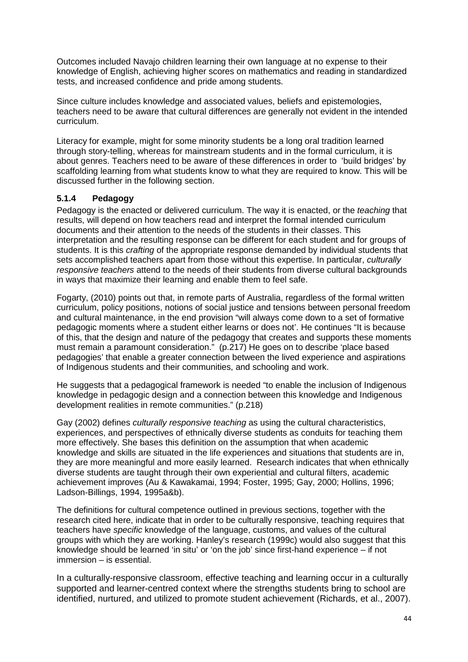Outcomes included Navajo children learning their own language at no expense to their knowledge of English, achieving higher scores on mathematics and reading in standardized tests, and increased confidence and pride among students.

Since culture includes knowledge and associated values, beliefs and epistemologies, teachers need to be aware that cultural differences are generally not evident in the intended curriculum.

Literacy for example, might for some minority students be a long oral tradition learned through story-telling, whereas for mainstream students and in the formal curriculum, it is about genres. Teachers need to be aware of these differences in order to 'build bridges' by scaffolding learning from what students know to what they are required to know. This will be discussed further in the following section.

# **5.1.4 Pedagogy**

Pedagogy is the enacted or delivered curriculum. The way it is enacted, or the teaching that results, will depend on how teachers read and interpret the formal intended curriculum documents and their attention to the needs of the students in their classes. This interpretation and the resulting response can be different for each student and for groups of students. It is this crafting of the appropriate response demanded by individual students that sets accomplished teachers apart from those without this expertise. In particular, *culturally* responsive teachers attend to the needs of their students from diverse cultural backgrounds in ways that maximize their learning and enable them to feel safe.

Fogarty, (2010) points out that, in remote parts of Australia, regardless of the formal written curriculum, policy positions, notions of social justice and tensions between personal freedom and cultural maintenance, in the end provision "will always come down to a set of formative pedagogic moments where a student either learns or does not'. He continues "It is because of this, that the design and nature of the pedagogy that creates and supports these moments must remain a paramount consideration." (p.217) He goes on to describe 'place based pedagogies' that enable a greater connection between the lived experience and aspirations of Indigenous students and their communities, and schooling and work.

He suggests that a pedagogical framework is needed "to enable the inclusion of Indigenous knowledge in pedagogic design and a connection between this knowledge and Indigenous development realities in remote communities." (p.218)

Gay (2002) defines culturally responsive teaching as using the cultural characteristics, experiences, and perspectives of ethnically diverse students as conduits for teaching them more effectively. She bases this definition on the assumption that when academic knowledge and skills are situated in the life experiences and situations that students are in, they are more meaningful and more easily learned. Research indicates that when ethnically diverse students are taught through their own experiential and cultural filters, academic achievement improves (Au & Kawakamai, 1994; Foster, 1995; Gay, 2000; Hollins, 1996; Ladson-Billings, 1994, 1995a&b).

The definitions for cultural competence outlined in previous sections, together with the research cited here, indicate that in order to be culturally responsive, teaching requires that teachers have specific knowledge of the language, customs, and values of the cultural groups with which they are working. Hanley's research (1999c) would also suggest that this knowledge should be learned 'in situ' or 'on the job' since first-hand experience – if not immersion – is essential.

In a culturally-responsive classroom, effective teaching and learning occur in a culturally supported and learner-centred context where the strengths students bring to school are identified, nurtured, and utilized to promote student achievement (Richards, et al., 2007).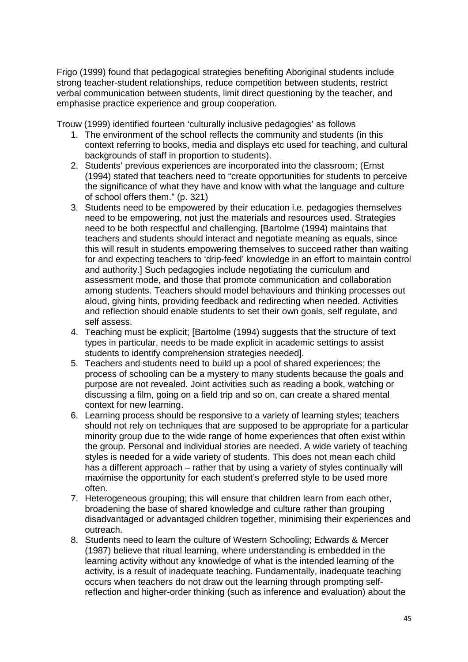Frigo (1999) found that pedagogical strategies benefiting Aboriginal students include strong teacher-student relationships, reduce competition between students, restrict verbal communication between students, limit direct questioning by the teacher, and emphasise practice experience and group cooperation.

Trouw (1999) identified fourteen 'culturally inclusive pedagogies' as follows

- 1. The environment of the school reflects the community and students (in this context referring to books, media and displays etc used for teaching, and cultural backgrounds of staff in proportion to students).
- 2. Students' previous experiences are incorporated into the classroom; (Ernst (1994) stated that teachers need to "create opportunities for students to perceive the significance of what they have and know with what the language and culture of school offers them." (p. 321)
- 3. Students need to be empowered by their education i.e. pedagogies themselves need to be empowering, not just the materials and resources used. Strategies need to be both respectful and challenging. [Bartolme (1994) maintains that teachers and students should interact and negotiate meaning as equals, since this will result in students empowering themselves to succeed rather than waiting for and expecting teachers to 'drip-feed' knowledge in an effort to maintain control and authority.] Such pedagogies include negotiating the curriculum and assessment mode, and those that promote communication and collaboration among students. Teachers should model behaviours and thinking processes out aloud, giving hints, providing feedback and redirecting when needed. Activities and reflection should enable students to set their own goals, self regulate, and self assess.
- 4. Teaching must be explicit; [Bartolme (1994) suggests that the structure of text types in particular, needs to be made explicit in academic settings to assist students to identify comprehension strategies needed].
- 5. Teachers and students need to build up a pool of shared experiences; the process of schooling can be a mystery to many students because the goals and purpose are not revealed. Joint activities such as reading a book, watching or discussing a film, going on a field trip and so on, can create a shared mental context for new learning.
- 6. Learning process should be responsive to a variety of learning styles; teachers should not rely on techniques that are supposed to be appropriate for a particular minority group due to the wide range of home experiences that often exist within the group. Personal and individual stories are needed. A wide variety of teaching styles is needed for a wide variety of students. This does not mean each child has a different approach – rather that by using a variety of styles continually will maximise the opportunity for each student's preferred style to be used more often.
- 7. Heterogeneous grouping; this will ensure that children learn from each other, broadening the base of shared knowledge and culture rather than grouping disadvantaged or advantaged children together, minimising their experiences and outreach.
- 8. Students need to learn the culture of Western Schooling; Edwards & Mercer (1987) believe that ritual learning, where understanding is embedded in the learning activity without any knowledge of what is the intended learning of the activity, is a result of inadequate teaching. Fundamentally, inadequate teaching occurs when teachers do not draw out the learning through prompting selfreflection and higher-order thinking (such as inference and evaluation) about the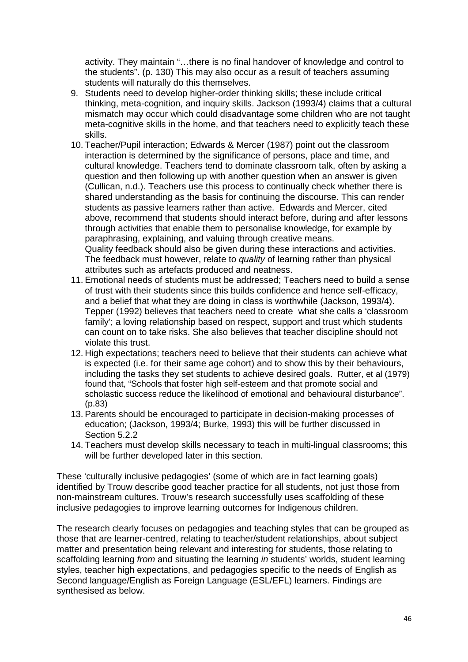activity. They maintain "…there is no final handover of knowledge and control to the students". (p. 130) This may also occur as a result of teachers assuming students will naturally do this themselves.

- 9. Students need to develop higher-order thinking skills; these include critical thinking, meta-cognition, and inquiry skills. Jackson (1993/4) claims that a cultural mismatch may occur which could disadvantage some children who are not taught meta-cognitive skills in the home, and that teachers need to explicitly teach these skills.
- 10. Teacher/Pupil interaction; Edwards & Mercer (1987) point out the classroom interaction is determined by the significance of persons, place and time, and cultural knowledge. Teachers tend to dominate classroom talk, often by asking a question and then following up with another question when an answer is given (Cullican, n.d.). Teachers use this process to continually check whether there is shared understanding as the basis for continuing the discourse. This can render students as passive learners rather than active. Edwards and Mercer, cited above, recommend that students should interact before, during and after lessons through activities that enable them to personalise knowledge, for example by paraphrasing, explaining, and valuing through creative means. Quality feedback should also be given during these interactions and activities.

The feedback must however, relate to *quality* of learning rather than physical attributes such as artefacts produced and neatness.

- 11. Emotional needs of students must be addressed; Teachers need to build a sense of trust with their students since this builds confidence and hence self-efficacy, and a belief that what they are doing in class is worthwhile (Jackson, 1993/4). Tepper (1992) believes that teachers need to create what she calls a 'classroom family'; a loving relationship based on respect, support and trust which students can count on to take risks. She also believes that teacher discipline should not violate this trust.
- 12. High expectations; teachers need to believe that their students can achieve what is expected (i.e. for their same age cohort) and to show this by their behaviours, including the tasks they set students to achieve desired goals. Rutter, et al (1979) found that, "Schools that foster high self-esteem and that promote social and scholastic success reduce the likelihood of emotional and behavioural disturbance". (p.83)
- 13. Parents should be encouraged to participate in decision-making processes of education; (Jackson, 1993/4; Burke, 1993) this will be further discussed in Section 5.2.2
- 14. Teachers must develop skills necessary to teach in multi-lingual classrooms; this will be further developed later in this section.

These 'culturally inclusive pedagogies' (some of which are in fact learning goals) identified by Trouw describe good teacher practice for all students, not just those from non-mainstream cultures. Trouw's research successfully uses scaffolding of these inclusive pedagogies to improve learning outcomes for Indigenous children.

The research clearly focuses on pedagogies and teaching styles that can be grouped as those that are learner-centred, relating to teacher/student relationships, about subject matter and presentation being relevant and interesting for students, those relating to scaffolding learning from and situating the learning in students' worlds, student learning styles, teacher high expectations, and pedagogies specific to the needs of English as Second language/English as Foreign Language (ESL/EFL) learners. Findings are synthesised as below.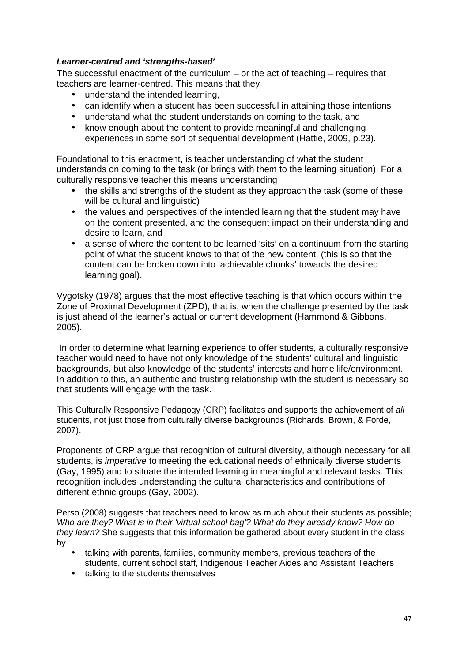## **Learner-centred and 'strengths-based'**

The successful enactment of the curriculum  $-$  or the act of teaching  $-$  requires that teachers are learner-centred. This means that they

- understand the intended learning.
- can identify when a student has been successful in attaining those intentions
- understand what the student understands on coming to the task, and
- know enough about the content to provide meaningful and challenging experiences in some sort of sequential development (Hattie, 2009, p.23).

Foundational to this enactment, is teacher understanding of what the student understands on coming to the task (or brings with them to the learning situation). For a culturally responsive teacher this means understanding

- the skills and strengths of the student as they approach the task (some of these will be cultural and linguistic)
- the values and perspectives of the intended learning that the student may have on the content presented, and the consequent impact on their understanding and desire to learn, and
- a sense of where the content to be learned 'sits' on a continuum from the starting point of what the student knows to that of the new content, (this is so that the content can be broken down into 'achievable chunks' towards the desired learning goal).

Vygotsky (1978) argues that the most effective teaching is that which occurs within the Zone of Proximal Development (ZPD), that is, when the challenge presented by the task is just ahead of the learner's actual or current development (Hammond & Gibbons, 2005).

 In order to determine what learning experience to offer students, a culturally responsive teacher would need to have not only knowledge of the students' cultural and linguistic backgrounds, but also knowledge of the students' interests and home life/environment. In addition to this, an authentic and trusting relationship with the student is necessary so that students will engage with the task.

This Culturally Responsive Pedagogy (CRP) facilitates and supports the achievement of all students, not just those from culturally diverse backgrounds (Richards, Brown, & Forde, 2007).

Proponents of CRP argue that recognition of cultural diversity, although necessary for all students, is *imperative* to meeting the educational needs of ethnically diverse students (Gay, 1995) and to situate the intended learning in meaningful and relevant tasks. This recognition includes understanding the cultural characteristics and contributions of different ethnic groups (Gay, 2002).

Perso (2008) suggests that teachers need to know as much about their students as possible; Who are they? What is in their 'virtual school bag'? What do they already know? How do they learn? She suggests that this information be gathered about every student in the class by

- talking with parents, families, community members, previous teachers of the students, current school staff, Indigenous Teacher Aides and Assistant Teachers
- talking to the students themselves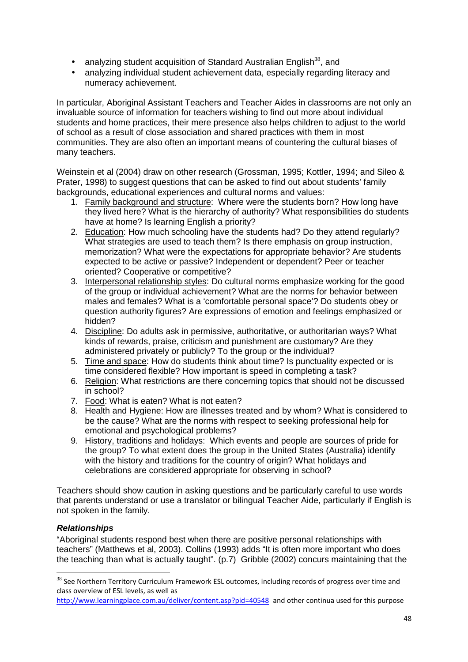- analyzing student acquisition of Standard Australian English $^{38}$ , and
- analyzing individual student achievement data, especially regarding literacy and numeracy achievement.

In particular, Aboriginal Assistant Teachers and Teacher Aides in classrooms are not only an invaluable source of information for teachers wishing to find out more about individual students and home practices, their mere presence also helps children to adjust to the world of school as a result of close association and shared practices with them in most communities. They are also often an important means of countering the cultural biases of many teachers.

Weinstein et al (2004) draw on other research (Grossman, 1995; Kottler, 1994; and Sileo & Prater, 1998) to suggest questions that can be asked to find out about students' family backgrounds, educational experiences and cultural norms and values:

- 1. Family background and structure: Where were the students born? How long have they lived here? What is the hierarchy of authority? What responsibilities do students have at home? Is learning English a priority?
- 2. Education: How much schooling have the students had? Do they attend regularly? What strategies are used to teach them? Is there emphasis on group instruction, memorization? What were the expectations for appropriate behavior? Are students expected to be active or passive? Independent or dependent? Peer or teacher oriented? Cooperative or competitive?
- 3. Interpersonal relationship styles: Do cultural norms emphasize working for the good of the group or individual achievement? What are the norms for behavior between males and females? What is a 'comfortable personal space'? Do students obey or question authority figures? Are expressions of emotion and feelings emphasized or hidden?
- 4. Discipline: Do adults ask in permissive, authoritative, or authoritarian ways? What kinds of rewards, praise, criticism and punishment are customary? Are they administered privately or publicly? To the group or the individual?
- 5. Time and space: How do students think about time? Is punctuality expected or is time considered flexible? How important is speed in completing a task?
- 6. Religion: What restrictions are there concerning topics that should not be discussed in school?
- 7. Food: What is eaten? What is not eaten?
- 8. Health and Hygiene: How are illnesses treated and by whom? What is considered to be the cause? What are the norms with respect to seeking professional help for emotional and psychological problems?
- 9. History, traditions and holidays: Which events and people are sources of pride for the group? To what extent does the group in the United States (Australia) identify with the history and traditions for the country of origin? What holidays and celebrations are considered appropriate for observing in school?

Teachers should show caution in asking questions and be particularly careful to use words that parents understand or use a translator or bilingual Teacher Aide, particularly if English is not spoken in the family.

# **Relationships**

 $\overline{a}$ 

"Aboriginal students respond best when there are positive personal relationships with teachers" (Matthews et al, 2003). Collins (1993) adds "It is often more important who does the teaching than what is actually taught". (p.7) Gribble (2002) concurs maintaining that the

<sup>&</sup>lt;sup>38</sup> See Northern Territory Curriculum Framework ESL outcomes, including records of progress over time and class overview of ESL levels, as well as

http://www.learningplace.com.au/deliver/content.asp?pid=40548 and other continua used for this purpose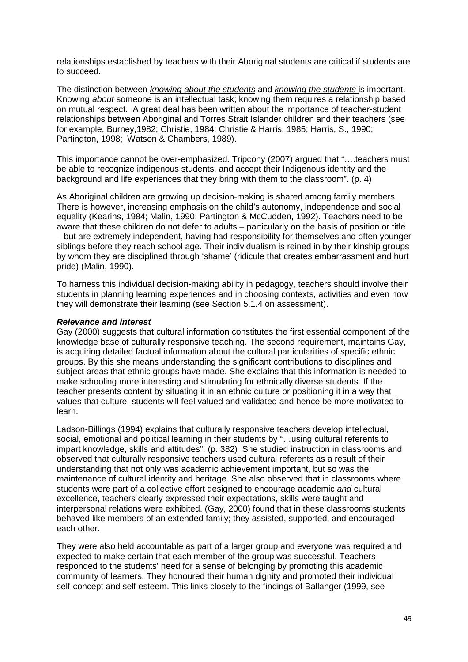relationships established by teachers with their Aboriginal students are critical if students are to succeed.

The distinction between knowing about the students and knowing the students is important. Knowing about someone is an intellectual task; knowing them requires a relationship based on mutual respect. A great deal has been written about the importance of teacher-student relationships between Aboriginal and Torres Strait Islander children and their teachers (see for example, Burney,1982; Christie, 1984; Christie & Harris, 1985; Harris, S., 1990; Partington, 1998; Watson & Chambers, 1989).

This importance cannot be over-emphasized. Tripcony (2007) argued that "….teachers must be able to recognize indigenous students, and accept their Indigenous identity and the background and life experiences that they bring with them to the classroom". (p. 4)

As Aboriginal children are growing up decision-making is shared among family members. There is however, increasing emphasis on the child's autonomy, independence and social equality (Kearins, 1984; Malin, 1990; Partington & McCudden, 1992). Teachers need to be aware that these children do not defer to adults – particularly on the basis of position or title – but are extremely independent, having had responsibility for themselves and often younger siblings before they reach school age. Their individualism is reined in by their kinship groups by whom they are disciplined through 'shame' (ridicule that creates embarrassment and hurt pride) (Malin, 1990).

To harness this individual decision-making ability in pedagogy, teachers should involve their students in planning learning experiences and in choosing contexts, activities and even how they will demonstrate their learning (see Section 5.1.4 on assessment).

#### **Relevance and interest**

Gay (2000) suggests that cultural information constitutes the first essential component of the knowledge base of culturally responsive teaching. The second requirement, maintains Gay, is acquiring detailed factual information about the cultural particularities of specific ethnic groups. By this she means understanding the significant contributions to disciplines and subject areas that ethnic groups have made. She explains that this information is needed to make schooling more interesting and stimulating for ethnically diverse students. If the teacher presents content by situating it in an ethnic culture or positioning it in a way that values that culture, students will feel valued and validated and hence be more motivated to learn.

Ladson-Billings (1994) explains that culturally responsive teachers develop intellectual, social, emotional and political learning in their students by "…using cultural referents to impart knowledge, skills and attitudes". (p. 382) She studied instruction in classrooms and observed that culturally responsive teachers used cultural referents as a result of their understanding that not only was academic achievement important, but so was the maintenance of cultural identity and heritage. She also observed that in classrooms where students were part of a collective effort designed to encourage academic and cultural excellence, teachers clearly expressed their expectations, skills were taught and interpersonal relations were exhibited. (Gay, 2000) found that in these classrooms students behaved like members of an extended family; they assisted, supported, and encouraged each other.

They were also held accountable as part of a larger group and everyone was required and expected to make certain that each member of the group was successful. Teachers responded to the students' need for a sense of belonging by promoting this academic community of learners. They honoured their human dignity and promoted their individual self-concept and self esteem. This links closely to the findings of Ballanger (1999, see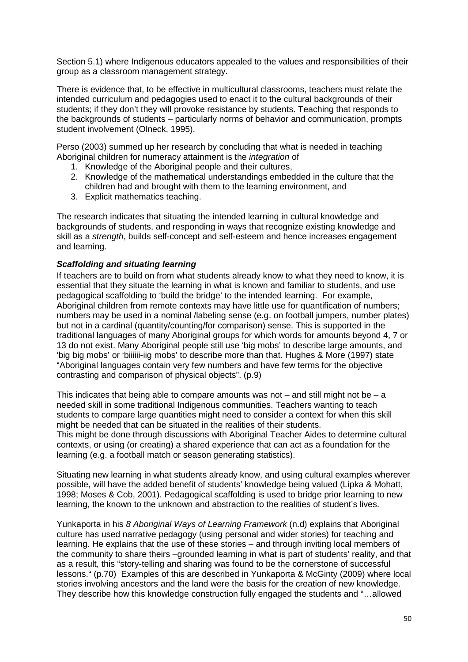Section 5.1) where Indigenous educators appealed to the values and responsibilities of their group as a classroom management strategy.

There is evidence that, to be effective in multicultural classrooms, teachers must relate the intended curriculum and pedagogies used to enact it to the cultural backgrounds of their students; if they don't they will provoke resistance by students. Teaching that responds to the backgrounds of students – particularly norms of behavior and communication, prompts student involvement (Olneck, 1995).

Perso (2003) summed up her research by concluding that what is needed in teaching Aboriginal children for numeracy attainment is the *integration* of

- 1. Knowledge of the Aboriginal people and their cultures,
- 2. Knowledge of the mathematical understandings embedded in the culture that the children had and brought with them to the learning environment, and
- 3. Explicit mathematics teaching.

The research indicates that situating the intended learning in cultural knowledge and backgrounds of students, and responding in ways that recognize existing knowledge and skill as a strength, builds self-concept and self-esteem and hence increases engagement and learning.

#### **Scaffolding and situating learning**

If teachers are to build on from what students already know to what they need to know, it is essential that they situate the learning in what is known and familiar to students, and use pedagogical scaffolding to 'build the bridge' to the intended learning. For example, Aboriginal children from remote contexts may have little use for quantification of numbers; numbers may be used in a nominal /labeling sense (e.g. on football jumpers, number plates) but not in a cardinal (quantity/counting/for comparison) sense. This is supported in the traditional languages of many Aboriginal groups for which words for amounts beyond 4, 7 or 13 do not exist. Many Aboriginal people still use 'big mobs' to describe large amounts, and 'big big mobs' or 'biiiiii-iig mobs' to describe more than that. Hughes & More (1997) state "Aboriginal languages contain very few numbers and have few terms for the objective contrasting and comparison of physical objects". (p.9)

This indicates that being able to compare amounts was not  $-$  and still might not be  $-$  a needed skill in some traditional Indigenous communities. Teachers wanting to teach students to compare large quantities might need to consider a context for when this skill might be needed that can be situated in the realities of their students. This might be done through discussions with Aboriginal Teacher Aides to determine cultural contexts, or using (or creating) a shared experience that can act as a foundation for the learning (e.g. a football match or season generating statistics).

Situating new learning in what students already know, and using cultural examples wherever possible, will have the added benefit of students' knowledge being valued (Lipka & Mohatt, 1998; Moses & Cob, 2001). Pedagogical scaffolding is used to bridge prior learning to new learning, the known to the unknown and abstraction to the realities of student's lives.

Yunkaporta in his 8 Aboriginal Ways of Learning Framework (n.d) explains that Aboriginal culture has used narrative pedagogy (using personal and wider stories) for teaching and learning. He explains that the use of these stories – and through inviting local members of the community to share theirs –grounded learning in what is part of students' reality, and that as a result, this "story-telling and sharing was found to be the cornerstone of successful lessons." (p.70) Examples of this are described in Yunkaporta & McGinty (2009) where local stories involving ancestors and the land were the basis for the creation of new knowledge. They describe how this knowledge construction fully engaged the students and "…allowed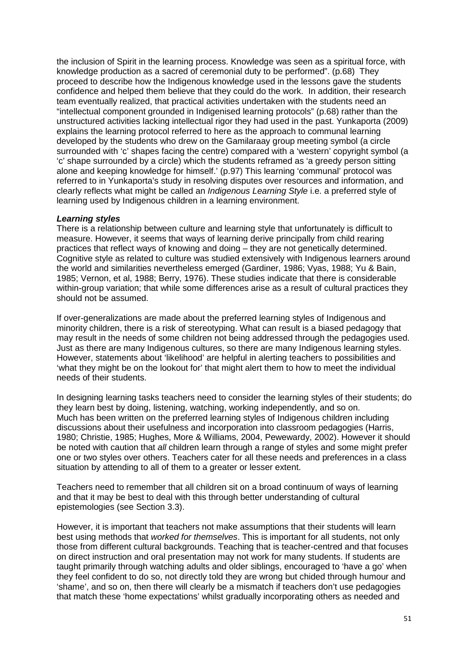the inclusion of Spirit in the learning process. Knowledge was seen as a spiritual force, with knowledge production as a sacred of ceremonial duty to be performed". (p.68) They proceed to describe how the Indigenous knowledge used in the lessons gave the students confidence and helped them believe that they could do the work. In addition, their research team eventually realized, that practical activities undertaken with the students need an "intellectual component grounded in Indigenised learning protocols" (p.68) rather than the unstructured activities lacking intellectual rigor they had used in the past. Yunkaporta (2009) explains the learning protocol referred to here as the approach to communal learning developed by the students who drew on the Gamilaraay group meeting symbol (a circle surrounded with 'c' shapes facing the centre) compared with a 'western' copyright symbol (a 'c' shape surrounded by a circle) which the students reframed as 'a greedy person sitting alone and keeping knowledge for himself.' (p.97) This learning 'communal' protocol was referred to in Yunkaporta's study in resolving disputes over resources and information, and clearly reflects what might be called an *Indigenous Learning Style* i.e. a preferred style of learning used by Indigenous children in a learning environment.

#### **Learning styles**

There is a relationship between culture and learning style that unfortunately is difficult to measure. However, it seems that ways of learning derive principally from child rearing practices that reflect ways of knowing and doing – they are not genetically determined. Cognitive style as related to culture was studied extensively with Indigenous learners around the world and similarities nevertheless emerged (Gardiner, 1986; Vyas, 1988; Yu & Bain, 1985; Vernon, et al, 1988; Berry, 1976). These studies indicate that there is considerable within-group variation; that while some differences arise as a result of cultural practices they should not be assumed.

If over-generalizations are made about the preferred learning styles of Indigenous and minority children, there is a risk of stereotyping. What can result is a biased pedagogy that may result in the needs of some children not being addressed through the pedagogies used. Just as there are many Indigenous cultures, so there are many Indigenous learning styles. However, statements about 'likelihood' are helpful in alerting teachers to possibilities and 'what they might be on the lookout for' that might alert them to how to meet the individual needs of their students.

In designing learning tasks teachers need to consider the learning styles of their students; do they learn best by doing, listening, watching, working independently, and so on. Much has been written on the preferred learning styles of Indigenous children including discussions about their usefulness and incorporation into classroom pedagogies (Harris, 1980; Christie, 1985; Hughes, More & Williams, 2004, Pewewardy, 2002). However it should be noted with caution that all children learn through a range of styles and some might prefer one or two styles over others. Teachers cater for all these needs and preferences in a class situation by attending to all of them to a greater or lesser extent.

Teachers need to remember that all children sit on a broad continuum of ways of learning and that it may be best to deal with this through better understanding of cultural epistemologies (see Section 3.3).

However, it is important that teachers not make assumptions that their students will learn best using methods that worked for themselves. This is important for all students, not only those from different cultural backgrounds. Teaching that is teacher-centred and that focuses on direct instruction and oral presentation may not work for many students. If students are taught primarily through watching adults and older siblings, encouraged to 'have a go' when they feel confident to do so, not directly told they are wrong but chided through humour and 'shame', and so on, then there will clearly be a mismatch if teachers don't use pedagogies that match these 'home expectations' whilst gradually incorporating others as needed and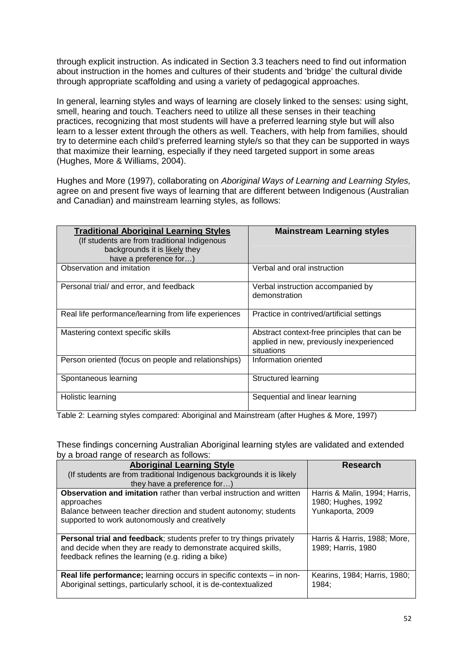through explicit instruction. As indicated in Section 3.3 teachers need to find out information about instruction in the homes and cultures of their students and 'bridge' the cultural divide through appropriate scaffolding and using a variety of pedagogical approaches.

In general, learning styles and ways of learning are closely linked to the senses: using sight, smell, hearing and touch. Teachers need to utilize all these senses in their teaching practices, recognizing that most students will have a preferred learning style but will also learn to a lesser extent through the others as well. Teachers, with help from families, should try to determine each child's preferred learning style/s so that they can be supported in ways that maximize their learning, especially if they need targeted support in some areas (Hughes, More & Williams, 2004).

Hughes and More (1997), collaborating on Aboriginal Ways of Learning and Learning Styles, agree on and present five ways of learning that are different between Indigenous (Australian and Canadian) and mainstream learning styles, as follows:

| <b>Traditional Aboriginal Learning Styles</b><br>(If students are from traditional Indigenous<br>backgrounds it is likely they<br>have a preference for) | <b>Mainstream Learning styles</b>                                                                      |
|----------------------------------------------------------------------------------------------------------------------------------------------------------|--------------------------------------------------------------------------------------------------------|
| Observation and imitation                                                                                                                                | Verbal and oral instruction                                                                            |
| Personal trial/ and error, and feedback                                                                                                                  | Verbal instruction accompanied by<br>demonstration                                                     |
| Real life performance/learning from life experiences                                                                                                     | Practice in contrived/artificial settings                                                              |
| Mastering context specific skills                                                                                                                        | Abstract context-free principles that can be<br>applied in new, previously inexperienced<br>situations |
| Person oriented (focus on people and relationships)                                                                                                      | Information oriented                                                                                   |
| Spontaneous learning                                                                                                                                     | Structured learning                                                                                    |
| Holistic learning                                                                                                                                        | Sequential and linear learning                                                                         |

Table 2: Learning styles compared: Aboriginal and Mainstream (after Hughes & More, 1997)

These findings concerning Australian Aboriginal learning styles are validated and extended by a broad range of research as follows:

| <b>Aboriginal Learning Style</b>                                                                                                                                                             | <b>Research</b>                                     |
|----------------------------------------------------------------------------------------------------------------------------------------------------------------------------------------------|-----------------------------------------------------|
| (If students are from traditional Indigenous backgrounds it is likely                                                                                                                        |                                                     |
| they have a preference for)                                                                                                                                                                  |                                                     |
| <b>Observation and imitation</b> rather than verbal instruction and written<br>approaches                                                                                                    | Harris & Malin, 1994; Harris,<br>1980; Hughes, 1992 |
| Balance between teacher direction and student autonomy; students<br>supported to work autonomously and creatively                                                                            | Yunkaporta, 2009                                    |
| Personal trial and feedback; students prefer to try things privately<br>and decide when they are ready to demonstrate acquired skills,<br>feedback refines the learning (e.g. riding a bike) | Harris & Harris, 1988; More,<br>1989; Harris, 1980  |
| <b>Real life performance;</b> learning occurs in specific contexts $-$ in non-<br>Aboriginal settings, particularly school, it is de-contextualized                                          | Kearins, 1984; Harris, 1980;<br>1984;               |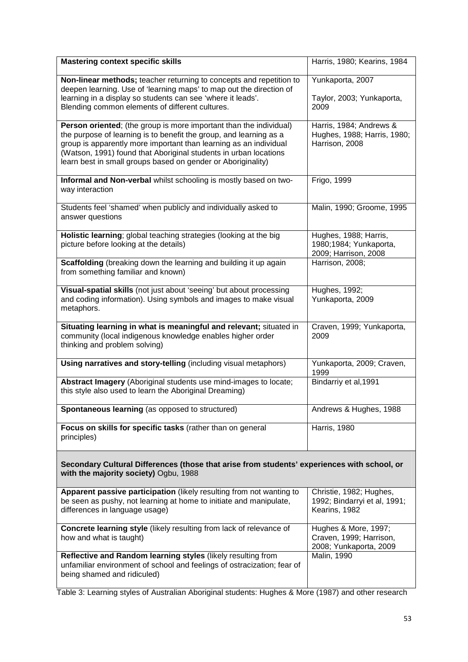| <b>Mastering context specific skills</b>                                                                                                                                                                                                                                                                                                          | Harris, 1980; Kearins, 1984                                               |  |
|---------------------------------------------------------------------------------------------------------------------------------------------------------------------------------------------------------------------------------------------------------------------------------------------------------------------------------------------------|---------------------------------------------------------------------------|--|
| Non-linear methods; teacher returning to concepts and repetition to<br>deepen learning. Use of 'learning maps' to map out the direction of<br>learning in a display so students can see 'where it leads'.<br>Blending common elements of different cultures.                                                                                      | Yunkaporta, 2007<br>Taylor, 2003; Yunkaporta,<br>2009                     |  |
| Person oriented; (the group is more important than the individual)<br>the purpose of learning is to benefit the group, and learning as a<br>group is apparently more important than learning as an individual<br>(Watson, 1991) found that Aboriginal students in urban locations<br>learn best in small groups based on gender or Aboriginality) | Harris, 1984; Andrews &<br>Hughes, 1988; Harris, 1980;<br>Harrison, 2008  |  |
| Informal and Non-verbal whilst schooling is mostly based on two-<br>way interaction                                                                                                                                                                                                                                                               | Frigo, 1999                                                               |  |
| Students feel 'shamed' when publicly and individually asked to<br>answer questions                                                                                                                                                                                                                                                                | Malin, 1990; Groome, 1995                                                 |  |
| Holistic learning; global teaching strategies (looking at the big<br>picture before looking at the details)                                                                                                                                                                                                                                       | Hughes, 1988; Harris,<br>1980;1984; Yunkaporta,<br>2009; Harrison, 2008   |  |
| Scaffolding (breaking down the learning and building it up again<br>from something familiar and known)                                                                                                                                                                                                                                            | Harrison, 2008;                                                           |  |
| Visual-spatial skills (not just about 'seeing' but about processing<br>and coding information). Using symbols and images to make visual<br>metaphors.                                                                                                                                                                                             | Hughes, 1992;<br>Yunkaporta, 2009                                         |  |
| Situating learning in what is meaningful and relevant; situated in<br>community (local indigenous knowledge enables higher order<br>thinking and problem solving)                                                                                                                                                                                 | Craven, 1999; Yunkaporta,<br>2009                                         |  |
| Using narratives and story-telling (including visual metaphors)                                                                                                                                                                                                                                                                                   | Yunkaporta, 2009; Craven,<br>1999                                         |  |
| Abstract Imagery (Aboriginal students use mind-images to locate;<br>this style also used to learn the Aboriginal Dreaming)                                                                                                                                                                                                                        | Bindarriy et al, 1991                                                     |  |
| Spontaneous learning (as opposed to structured)                                                                                                                                                                                                                                                                                                   | Andrews & Hughes, 1988                                                    |  |
| Focus on skills for specific tasks (rather than on general<br>principles)                                                                                                                                                                                                                                                                         | <b>Harris, 1980</b>                                                       |  |
| Secondary Cultural Differences (those that arise from students' experiences with school, or<br>with the majority society) Ogbu, 1988                                                                                                                                                                                                              |                                                                           |  |
| Apparent passive participation (likely resulting from not wanting to<br>be seen as pushy, not learning at home to initiate and manipulate,<br>differences in language usage)                                                                                                                                                                      | Christie, 1982; Hughes,<br>1992; Bindarryi et al, 1991;<br>Kearins, 1982  |  |
| Concrete learning style (likely resulting from lack of relevance of<br>how and what is taught)                                                                                                                                                                                                                                                    | Hughes & More, 1997;<br>Craven, 1999; Harrison,<br>2008; Yunkaporta, 2009 |  |
| Reflective and Random learning styles (likely resulting from<br>unfamiliar environment of school and feelings of ostracization; fear of<br>being shamed and ridiculed)                                                                                                                                                                            | Malin, 1990                                                               |  |

Table 3: Learning styles of Australian Aboriginal students: Hughes & More (1987) and other research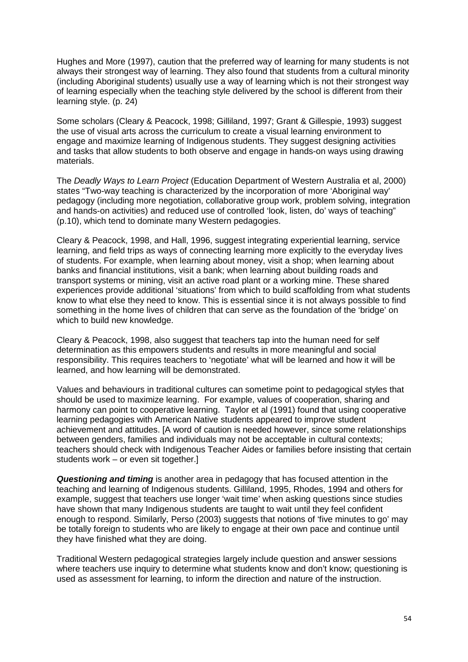Hughes and More (1997), caution that the preferred way of learning for many students is not always their strongest way of learning. They also found that students from a cultural minority (including Aboriginal students) usually use a way of learning which is not their strongest way of learning especially when the teaching style delivered by the school is different from their learning style. (p. 24)

Some scholars (Cleary & Peacock, 1998; Gilliland, 1997; Grant & Gillespie, 1993) suggest the use of visual arts across the curriculum to create a visual learning environment to engage and maximize learning of Indigenous students. They suggest designing activities and tasks that allow students to both observe and engage in hands-on ways using drawing materials.

The Deadly Ways to Learn Project (Education Department of Western Australia et al, 2000) states "Two-way teaching is characterized by the incorporation of more 'Aboriginal way' pedagogy (including more negotiation, collaborative group work, problem solving, integration and hands-on activities) and reduced use of controlled 'look, listen, do' ways of teaching" (p.10), which tend to dominate many Western pedagogies.

Cleary & Peacock, 1998, and Hall, 1996, suggest integrating experiential learning, service learning, and field trips as ways of connecting learning more explicitly to the everyday lives of students. For example, when learning about money, visit a shop; when learning about banks and financial institutions, visit a bank; when learning about building roads and transport systems or mining, visit an active road plant or a working mine. These shared experiences provide additional 'situations' from which to build scaffolding from what students know to what else they need to know. This is essential since it is not always possible to find something in the home lives of children that can serve as the foundation of the 'bridge' on which to build new knowledge.

Cleary & Peacock, 1998, also suggest that teachers tap into the human need for self determination as this empowers students and results in more meaningful and social responsibility. This requires teachers to 'negotiate' what will be learned and how it will be learned, and how learning will be demonstrated.

Values and behaviours in traditional cultures can sometime point to pedagogical styles that should be used to maximize learning. For example, values of cooperation, sharing and harmony can point to cooperative learning. Taylor et al (1991) found that using cooperative learning pedagogies with American Native students appeared to improve student achievement and attitudes. [A word of caution is needed however, since some relationships between genders, families and individuals may not be acceptable in cultural contexts; teachers should check with Indigenous Teacher Aides or families before insisting that certain students work – or even sit together.]

**Questioning and timing** is another area in pedagogy that has focused attention in the teaching and learning of Indigenous students. Gilliland, 1995, Rhodes, 1994 and others for example, suggest that teachers use longer 'wait time' when asking questions since studies have shown that many Indigenous students are taught to wait until they feel confident enough to respond. Similarly, Perso (2003) suggests that notions of 'five minutes to go' may be totally foreign to students who are likely to engage at their own pace and continue until they have finished what they are doing.

Traditional Western pedagogical strategies largely include question and answer sessions where teachers use inquiry to determine what students know and don't know; questioning is used as assessment for learning, to inform the direction and nature of the instruction.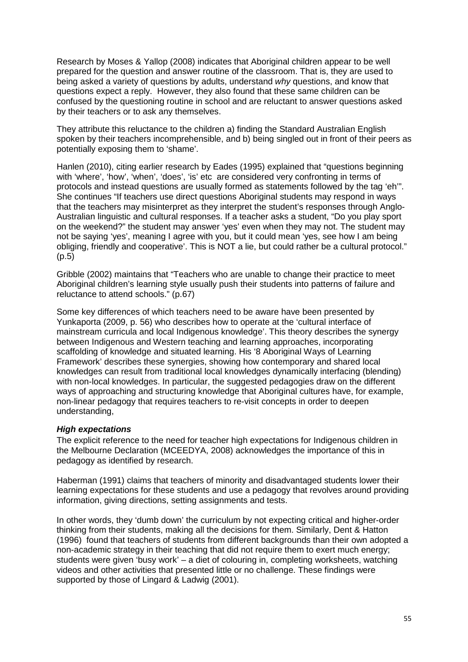Research by Moses & Yallop (2008) indicates that Aboriginal children appear to be well prepared for the question and answer routine of the classroom. That is, they are used to being asked a variety of questions by adults, understand why questions, and know that questions expect a reply. However, they also found that these same children can be confused by the questioning routine in school and are reluctant to answer questions asked by their teachers or to ask any themselves.

They attribute this reluctance to the children a) finding the Standard Australian English spoken by their teachers incomprehensible, and b) being singled out in front of their peers as potentially exposing them to 'shame'.

Hanlen (2010), citing earlier research by Eades (1995) explained that "questions beginning with 'where', 'how', 'when', 'does', 'is' etc are considered very confronting in terms of protocols and instead questions are usually formed as statements followed by the tag 'eh'". She continues "If teachers use direct questions Aboriginal students may respond in ways that the teachers may misinterpret as they interpret the student's responses through Anglo-Australian linguistic and cultural responses. If a teacher asks a student, "Do you play sport on the weekend?" the student may answer 'yes' even when they may not. The student may not be saying 'yes', meaning I agree with you, but it could mean 'yes, see how I am being obliging, friendly and cooperative'. This is NOT a lie, but could rather be a cultural protocol." (p.5)

Gribble (2002) maintains that "Teachers who are unable to change their practice to meet Aboriginal children's learning style usually push their students into patterns of failure and reluctance to attend schools." (p.67)

Some key differences of which teachers need to be aware have been presented by Yunkaporta (2009, p. 56) who describes how to operate at the 'cultural interface of mainstream curricula and local Indigenous knowledge'. This theory describes the synergy between Indigenous and Western teaching and learning approaches, incorporating scaffolding of knowledge and situated learning. His '8 Aboriginal Ways of Learning Framework' describes these synergies, showing how contemporary and shared local knowledges can result from traditional local knowledges dynamically interfacing (blending) with non-local knowledges. In particular, the suggested pedagogies draw on the different ways of approaching and structuring knowledge that Aboriginal cultures have, for example, non-linear pedagogy that requires teachers to re-visit concepts in order to deepen understanding,

## **High expectations**

The explicit reference to the need for teacher high expectations for Indigenous children in the Melbourne Declaration (MCEEDYA, 2008) acknowledges the importance of this in pedagogy as identified by research.

Haberman (1991) claims that teachers of minority and disadvantaged students lower their learning expectations for these students and use a pedagogy that revolves around providing information, giving directions, setting assignments and tests.

In other words, they 'dumb down' the curriculum by not expecting critical and higher-order thinking from their students, making all the decisions for them. Similarly, Dent & Hatton (1996) found that teachers of students from different backgrounds than their own adopted a non-academic strategy in their teaching that did not require them to exert much energy; students were given 'busy work' – a diet of colouring in, completing worksheets, watching videos and other activities that presented little or no challenge. These findings were supported by those of Lingard & Ladwig (2001).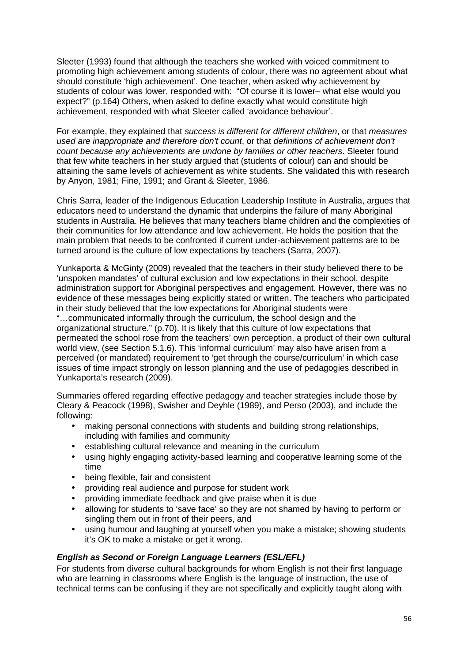Sleeter (1993) found that although the teachers she worked with voiced commitment to promoting high achievement among students of colour, there was no agreement about what should constitute 'high achievement'. One teacher, when asked why achievement by students of colour was lower, responded with: "Of course it is lower– what else would you expect?" (p.164) Others, when asked to define exactly what would constitute high achievement, responded with what Sleeter called 'avoidance behaviour'.

For example, they explained that success is different for different children, or that measures used are inappropriate and therefore don't count, or that definitions of achievement don't count because any achievements are undone by families or other teachers. Sleeter found that few white teachers in her study argued that (students of colour) can and should be attaining the same levels of achievement as white students. She validated this with research by Anyon, 1981; Fine, 1991; and Grant & Sleeter, 1986.

Chris Sarra, leader of the Indigenous Education Leadership Institute in Australia, argues that educators need to understand the dynamic that underpins the failure of many Aboriginal students in Australia. He believes that many teachers blame children and the complexities of their communities for low attendance and low achievement. He holds the position that the main problem that needs to be confronted if current under-achievement patterns are to be turned around is the culture of low expectations by teachers (Sarra, 2007).

Yunkaporta & McGinty (2009) revealed that the teachers in their study believed there to be 'unspoken mandates' of cultural exclusion and low expectations in their school, despite administration support for Aboriginal perspectives and engagement. However, there was no evidence of these messages being explicitly stated or written. The teachers who participated in their study believed that the low expectations for Aboriginal students were "…communicated informally through the curriculum, the school design and the organizational structure." (p.70). It is likely that this culture of low expectations that permeated the school rose from the teachers' own perception, a product of their own cultural world view, (see Section 5.1.6). This 'informal curriculum' may also have arisen from a perceived (or mandated) requirement to 'get through the course/curriculum' in which case issues of time impact strongly on lesson planning and the use of pedagogies described in Yunkaporta's research (2009).

Summaries offered regarding effective pedagogy and teacher strategies include those by Cleary & Peacock (1998), Swisher and Deyhle (1989), and Perso (2003), and include the following:

- making personal connections with students and building strong relationships, including with families and community
- establishing cultural relevance and meaning in the curriculum
- using highly engaging activity-based learning and cooperative learning some of the time
- being flexible, fair and consistent
- providing real audience and purpose for student work
- providing immediate feedback and give praise when it is due
- allowing for students to 'save face' so they are not shamed by having to perform or singling them out in front of their peers, and
- using humour and laughing at yourself when you make a mistake; showing students it's OK to make a mistake or get it wrong.

# **English as Second or Foreign Language Learners (ESL/EFL)**

For students from diverse cultural backgrounds for whom English is not their first language who are learning in classrooms where English is the language of instruction, the use of technical terms can be confusing if they are not specifically and explicitly taught along with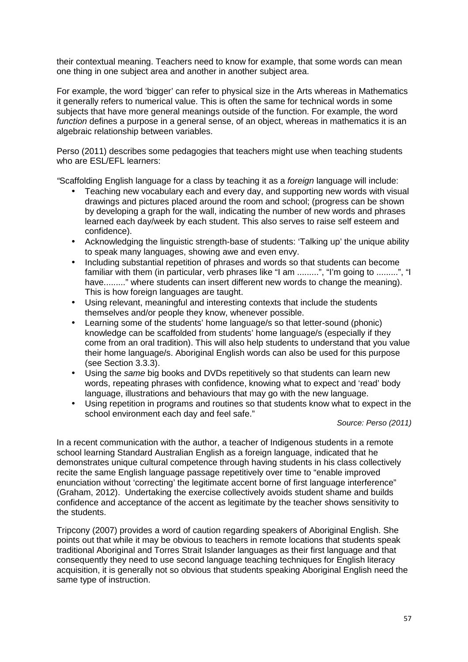their contextual meaning. Teachers need to know for example, that some words can mean one thing in one subject area and another in another subject area.

For example, the word 'bigger' can refer to physical size in the Arts whereas in Mathematics it generally refers to numerical value. This is often the same for technical words in some subjects that have more general meanings outside of the function. For example, the word function defines a purpose in a general sense, of an object, whereas in mathematics it is an algebraic relationship between variables.

Perso (2011) describes some pedagogies that teachers might use when teaching students who are ESL/EFL learners:

"Scaffolding English language for a class by teaching it as a foreign language will include:

- Teaching new vocabulary each and every day, and supporting new words with visual drawings and pictures placed around the room and school; (progress can be shown by developing a graph for the wall, indicating the number of new words and phrases learned each day/week by each student. This also serves to raise self esteem and confidence).
- Acknowledging the linguistic strength-base of students: 'Talking up' the unique ability to speak many languages, showing awe and even envy.
- Including substantial repetition of phrases and words so that students can become familiar with them (in particular, verb phrases like "I am .........", "I'm going to .........", "I have........." where students can insert different new words to change the meaning). This is how foreign languages are taught.
- Using relevant, meaningful and interesting contexts that include the students themselves and/or people they know, whenever possible.
- Learning some of the students' home language/s so that letter-sound (phonic) knowledge can be scaffolded from students' home language/s (especially if they come from an oral tradition). This will also help students to understand that you value their home language/s. Aboriginal English words can also be used for this purpose (see Section 3.3.3).
- Using the *same* big books and DVDs repetitively so that students can learn new words, repeating phrases with confidence, knowing what to expect and 'read' body language, illustrations and behaviours that may go with the new language.
- Using repetition in programs and routines so that students know what to expect in the school environment each day and feel safe."

Source: Perso (2011)

In a recent communication with the author, a teacher of Indigenous students in a remote school learning Standard Australian English as a foreign language, indicated that he demonstrates unique cultural competence through having students in his class collectively recite the same English language passage repetitively over time to "enable improved enunciation without 'correcting' the legitimate accent borne of first language interference" (Graham, 2012). Undertaking the exercise collectively avoids student shame and builds confidence and acceptance of the accent as legitimate by the teacher shows sensitivity to the students.

Tripcony (2007) provides a word of caution regarding speakers of Aboriginal English. She points out that while it may be obvious to teachers in remote locations that students speak traditional Aboriginal and Torres Strait Islander languages as their first language and that consequently they need to use second language teaching techniques for English literacy acquisition, it is generally not so obvious that students speaking Aboriginal English need the same type of instruction.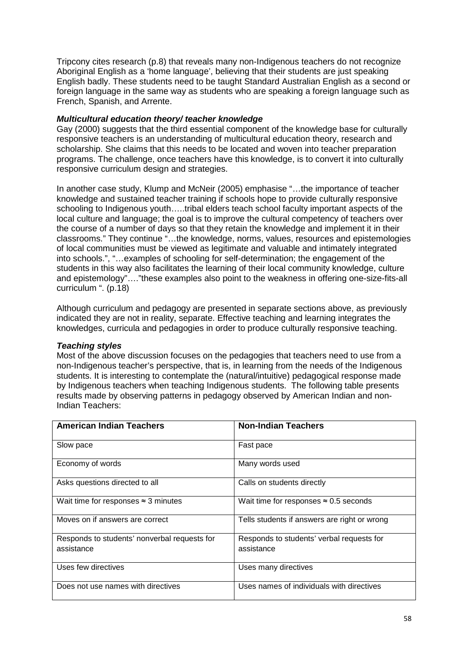Tripcony cites research (p.8) that reveals many non-Indigenous teachers do not recognize Aboriginal English as a 'home language', believing that their students are just speaking English badly. These students need to be taught Standard Australian English as a second or foreign language in the same way as students who are speaking a foreign language such as French, Spanish, and Arrente.

## **Multicultural education theory/ teacher knowledge**

Gay (2000) suggests that the third essential component of the knowledge base for culturally responsive teachers is an understanding of multicultural education theory, research and scholarship. She claims that this needs to be located and woven into teacher preparation programs. The challenge, once teachers have this knowledge, is to convert it into culturally responsive curriculum design and strategies.

In another case study, Klump and McNeir (2005) emphasise "…the importance of teacher knowledge and sustained teacher training if schools hope to provide culturally responsive schooling to Indigenous youth…..tribal elders teach school faculty important aspects of the local culture and language; the goal is to improve the cultural competency of teachers over the course of a number of days so that they retain the knowledge and implement it in their classrooms." They continue "…the knowledge, norms, values, resources and epistemologies of local communities must be viewed as legitimate and valuable and intimately integrated into schools.", "…examples of schooling for self-determination; the engagement of the students in this way also facilitates the learning of their local community knowledge, culture and epistemology"…."these examples also point to the weakness in offering one-size-fits-all curriculum ". (p.18)

Although curriculum and pedagogy are presented in separate sections above, as previously indicated they are not in reality, separate. Effective teaching and learning integrates the knowledges, curricula and pedagogies in order to produce culturally responsive teaching.

#### **Teaching styles**

Most of the above discussion focuses on the pedagogies that teachers need to use from a non-Indigenous teacher's perspective, that is, in learning from the needs of the Indigenous students. It is interesting to contemplate the (natural/intuitive) pedagogical response made by Indigenous teachers when teaching Indigenous students. The following table presents results made by observing patterns in pedagogy observed by American Indian and non-Indian Teachers:

| <b>American Indian Teachers</b>              | <b>Non-Indian Teachers</b>                    |
|----------------------------------------------|-----------------------------------------------|
| Slow pace                                    | Fast pace                                     |
| Economy of words                             | Many words used                               |
| Asks questions directed to all               | Calls on students directly                    |
| Wait time for responses $\approx$ 3 minutes  | Wait time for responses $\approx 0.5$ seconds |
| Moves on if answers are correct              | Tells students if answers are right or wrong  |
| Responds to students' nonverbal requests for | Responds to students' verbal requests for     |
| assistance                                   | assistance                                    |
| Uses few directives                          | Uses many directives                          |
| Does not use names with directives           | Uses names of individuals with directives     |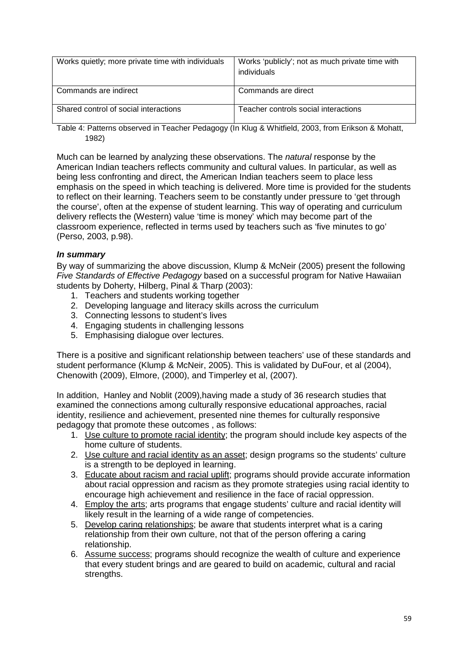| Works quietly; more private time with individuals | Works 'publicly'; not as much private time with<br>individuals |
|---------------------------------------------------|----------------------------------------------------------------|
| Commands are indirect                             | Commands are direct                                            |
| Shared control of social interactions             | Teacher controls social interactions                           |

Table 4: Patterns observed in Teacher Pedagogy (In Klug & Whitfield, 2003, from Erikson & Mohatt, 1982)

Much can be learned by analyzing these observations. The natural response by the American Indian teachers reflects community and cultural values. In particular, as well as being less confronting and direct, the American Indian teachers seem to place less emphasis on the speed in which teaching is delivered. More time is provided for the students to reflect on their learning. Teachers seem to be constantly under pressure to 'get through the course', often at the expense of student learning. This way of operating and curriculum delivery reflects the (Western) value 'time is money' which may become part of the classroom experience, reflected in terms used by teachers such as 'five minutes to go' (Perso, 2003, p.98).

## **In summary**

By way of summarizing the above discussion, Klump & McNeir (2005) present the following Five Standards of Effective Pedagogy based on a successful program for Native Hawaiian students by Doherty, Hilberg, Pinal & Tharp (2003):

- 1. Teachers and students working together
- 2. Developing language and literacy skills across the curriculum
- 3. Connecting lessons to student's lives
- 4. Engaging students in challenging lessons
- 5. Emphasising dialogue over lectures.

There is a positive and significant relationship between teachers' use of these standards and student performance (Klump & McNeir, 2005). This is validated by DuFour, et al (2004), Chenowith (2009), Elmore, (2000), and Timperley et al, (2007).

In addition, Hanley and Noblit (2009),having made a study of 36 research studies that examined the connections among culturally responsive educational approaches, racial identity, resilience and achievement, presented nine themes for culturally responsive pedagogy that promote these outcomes , as follows:

- 1. Use culture to promote racial identity; the program should include key aspects of the home culture of students.
- 2. Use culture and racial identity as an asset; design programs so the students' culture is a strength to be deployed in learning.
- 3. Educate about racism and racial uplift; programs should provide accurate information about racial oppression and racism as they promote strategies using racial identity to encourage high achievement and resilience in the face of racial oppression.
- 4. Employ the arts; arts programs that engage students' culture and racial identity will likely result in the learning of a wide range of competencies.
- 5. Develop caring relationships; be aware that students interpret what is a caring relationship from their own culture, not that of the person offering a caring relationship.
- 6. Assume success; programs should recognize the wealth of culture and experience that every student brings and are geared to build on academic, cultural and racial strengths.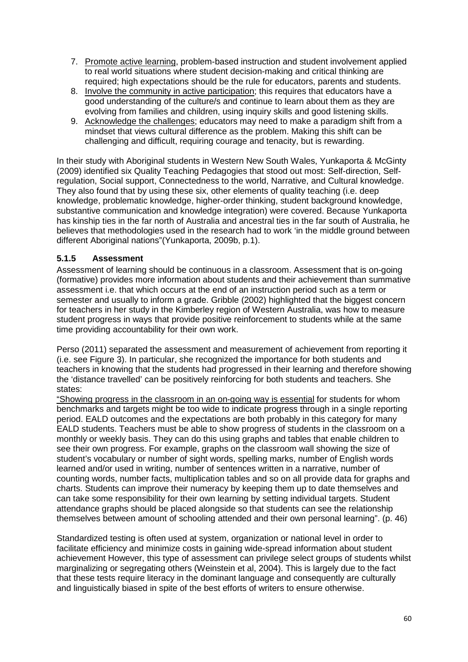- 7. Promote active learning, problem-based instruction and student involvement applied to real world situations where student decision-making and critical thinking are required; high expectations should be the rule for educators, parents and students.
- 8. Involve the community in active participation; this requires that educators have a good understanding of the culture/s and continue to learn about them as they are evolving from families and children, using inquiry skills and good listening skills.
- 9. Acknowledge the challenges; educators may need to make a paradigm shift from a mindset that views cultural difference as the problem. Making this shift can be challenging and difficult, requiring courage and tenacity, but is rewarding.

In their study with Aboriginal students in Western New South Wales, Yunkaporta & McGinty (2009) identified six Quality Teaching Pedagogies that stood out most: Self-direction, Selfregulation, Social support, Connectedness to the world, Narrative, and Cultural knowledge. They also found that by using these six, other elements of quality teaching (i.e. deep knowledge, problematic knowledge, higher-order thinking, student background knowledge, substantive communication and knowledge integration) were covered. Because Yunkaporta has kinship ties in the far north of Australia and ancestral ties in the far south of Australia, he believes that methodologies used in the research had to work 'in the middle ground between different Aboriginal nations"(Yunkaporta, 2009b, p.1).

# **5.1.5 Assessment**

Assessment of learning should be continuous in a classroom. Assessment that is on-going (formative) provides more information about students and their achievement than summative assessment i.e. that which occurs at the end of an instruction period such as a term or semester and usually to inform a grade. Gribble (2002) highlighted that the biggest concern for teachers in her study in the Kimberley region of Western Australia, was how to measure student progress in ways that provide positive reinforcement to students while at the same time providing accountability for their own work.

Perso (2011) separated the assessment and measurement of achievement from reporting it (i.e. see Figure 3). In particular, she recognized the importance for both students and teachers in knowing that the students had progressed in their learning and therefore showing the 'distance travelled' can be positively reinforcing for both students and teachers. She states:

"Showing progress in the classroom in an on-going way is essential for students for whom benchmarks and targets might be too wide to indicate progress through in a single reporting period. EALD outcomes and the expectations are both probably in this category for many EALD students. Teachers must be able to show progress of students in the classroom on a monthly or weekly basis. They can do this using graphs and tables that enable children to see their own progress. For example, graphs on the classroom wall showing the size of student's vocabulary or number of sight words, spelling marks, number of English words learned and/or used in writing, number of sentences written in a narrative, number of counting words, number facts, multiplication tables and so on all provide data for graphs and charts. Students can improve their numeracy by keeping them up to date themselves and can take some responsibility for their own learning by setting individual targets. Student attendance graphs should be placed alongside so that students can see the relationship themselves between amount of schooling attended and their own personal learning". (p. 46)

Standardized testing is often used at system, organization or national level in order to facilitate efficiency and minimize costs in gaining wide-spread information about student achievement However, this type of assessment can privilege select groups of students whilst marginalizing or segregating others (Weinstein et al, 2004). This is largely due to the fact that these tests require literacy in the dominant language and consequently are culturally and linguistically biased in spite of the best efforts of writers to ensure otherwise.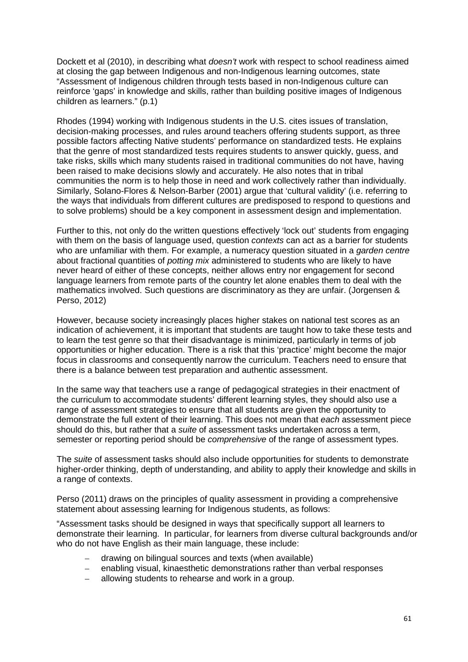Dockett et al (2010), in describing what *doesn't* work with respect to school readiness aimed at closing the gap between Indigenous and non-Indigenous learning outcomes, state "Assessment of Indigenous children through tests based in non-Indigenous culture can reinforce 'gaps' in knowledge and skills, rather than building positive images of Indigenous children as learners." (p.1)

Rhodes (1994) working with Indigenous students in the U.S. cites issues of translation, decision-making processes, and rules around teachers offering students support, as three possible factors affecting Native students' performance on standardized tests. He explains that the genre of most standardized tests requires students to answer quickly, guess, and take risks, skills which many students raised in traditional communities do not have, having been raised to make decisions slowly and accurately. He also notes that in tribal communities the norm is to help those in need and work collectively rather than individually. Similarly, Solano-Flores & Nelson-Barber (2001) argue that 'cultural validity' (i.e. referring to the ways that individuals from different cultures are predisposed to respond to questions and to solve problems) should be a key component in assessment design and implementation.

Further to this, not only do the written questions effectively 'lock out' students from engaging with them on the basis of language used, question *contexts* can act as a barrier for students who are unfamiliar with them. For example, a numeracy question situated in a *garden centre* about fractional quantities of *potting mix* administered to students who are likely to have never heard of either of these concepts, neither allows entry nor engagement for second language learners from remote parts of the country let alone enables them to deal with the mathematics involved. Such questions are discriminatory as they are unfair. (Jorgensen & Perso, 2012)

However, because society increasingly places higher stakes on national test scores as an indication of achievement, it is important that students are taught how to take these tests and to learn the test genre so that their disadvantage is minimized, particularly in terms of job opportunities or higher education. There is a risk that this 'practice' might become the major focus in classrooms and consequently narrow the curriculum. Teachers need to ensure that there is a balance between test preparation and authentic assessment.

In the same way that teachers use a range of pedagogical strategies in their enactment of the curriculum to accommodate students' different learning styles, they should also use a range of assessment strategies to ensure that all students are given the opportunity to demonstrate the full extent of their learning. This does not mean that each assessment piece should do this, but rather that a *suite* of assessment tasks undertaken across a term, semester or reporting period should be *comprehensive* of the range of assessment types.

The suite of assessment tasks should also include opportunities for students to demonstrate higher-order thinking, depth of understanding, and ability to apply their knowledge and skills in a range of contexts.

Perso (2011) draws on the principles of quality assessment in providing a comprehensive statement about assessing learning for Indigenous students, as follows:

"Assessment tasks should be designed in ways that specifically support all learners to demonstrate their learning. In particular, for learners from diverse cultural backgrounds and/or who do not have English as their main language, these include:

- drawing on bilingual sources and texts (when available)
- enabling visual, kinaesthetic demonstrations rather than verbal responses
- allowing students to rehearse and work in a group.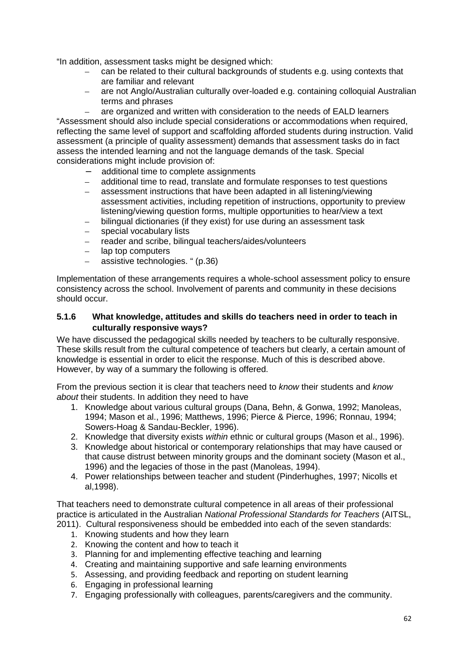"In addition, assessment tasks might be designed which:

- can be related to their cultural backgrounds of students e.g. using contexts that are familiar and relevant
- are not Anglo/Australian culturally over-loaded e.g. containing colloquial Australian terms and phrases
- are organized and written with consideration to the needs of EALD learners

"Assessment should also include special considerations or accommodations when required, reflecting the same level of support and scaffolding afforded students during instruction. Valid assessment (a principle of quality assessment) demands that assessment tasks do in fact assess the intended learning and not the language demands of the task. Special considerations might include provision of:

- − additional time to complete assignments
- additional time to read, translate and formulate responses to test questions
- assessment instructions that have been adapted in all listening/viewing assessment activities, including repetition of instructions, opportunity to preview listening/viewing question forms, multiple opportunities to hear/view a text
- bilingual dictionaries (if they exist) for use during an assessment task
- special vocabulary lists
- reader and scribe, bilingual teachers/aides/volunteers
- lap top computers
- assistive technologies. " (p.36)

Implementation of these arrangements requires a whole-school assessment policy to ensure consistency across the school. Involvement of parents and community in these decisions should occur.

## **5.1.6 What knowledge, attitudes and skills do teachers need in order to teach in culturally responsive ways?**

We have discussed the pedagogical skills needed by teachers to be culturally responsive. These skills result from the cultural competence of teachers but clearly, a certain amount of knowledge is essential in order to elicit the response. Much of this is described above. However, by way of a summary the following is offered.

From the previous section it is clear that teachers need to know their students and know about their students. In addition they need to have

- 1. Knowledge about various cultural groups (Dana, Behn, & Gonwa, 1992; Manoleas, 1994; Mason et al., 1996; Matthews, 1996; Pierce & Pierce, 1996; Ronnau, 1994; Sowers-Hoag & Sandau-Beckler, 1996).
- 2. Knowledge that diversity exists within ethnic or cultural groups (Mason et al., 1996).
- 3. Knowledge about historical or contemporary relationships that may have caused or that cause distrust between minority groups and the dominant society (Mason et al., 1996) and the legacies of those in the past (Manoleas, 1994).
- 4. Power relationships between teacher and student (Pinderhughes, 1997; Nicolls et al,1998).

That teachers need to demonstrate cultural competence in all areas of their professional practice is articulated in the Australian National Professional Standards for Teachers (AITSL, 2011). Cultural responsiveness should be embedded into each of the seven standards:

- 1. Knowing students and how they learn
- 2. Knowing the content and how to teach it
- 3. Planning for and implementing effective teaching and learning
- 4. Creating and maintaining supportive and safe learning environments
- 5. Assessing, and providing feedback and reporting on student learning
- 6. Engaging in professional learning
- 7. Engaging professionally with colleagues, parents/caregivers and the community.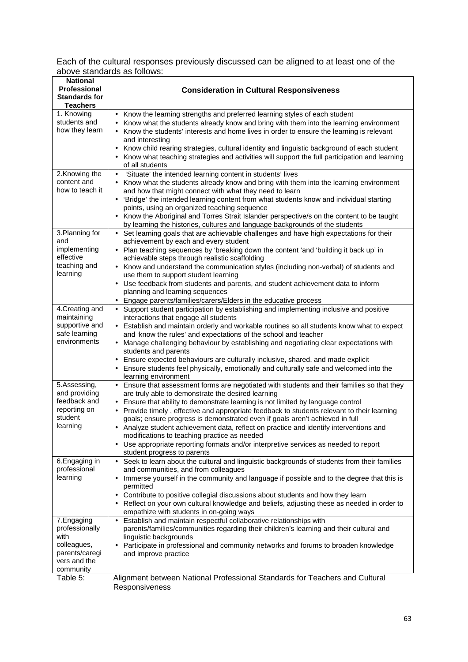Each of the cultural responses previously discussed can be aligned to at least one of the above standards as follows:

| <b>National</b><br>Professional<br><b>Standards for</b><br><b>Teachers</b>                                      | <b>Consideration in Cultural Responsiveness</b>                                                                                                                                                                                                                                                                                                                                                                                                                                                                                                                                                                                                                                   |
|-----------------------------------------------------------------------------------------------------------------|-----------------------------------------------------------------------------------------------------------------------------------------------------------------------------------------------------------------------------------------------------------------------------------------------------------------------------------------------------------------------------------------------------------------------------------------------------------------------------------------------------------------------------------------------------------------------------------------------------------------------------------------------------------------------------------|
| 1. Knowing<br>students and<br>how they learn                                                                    | Know the learning strengths and preferred learning styles of each student<br>$\bullet$<br>Know what the students already know and bring with them into the learning environment<br>Know the students' interests and home lives in order to ensure the learning is relevant<br>and interesting<br>Know child rearing strategies, cultural identity and linguistic background of each student<br>Know what teaching strategies and activities will support the full participation and learning<br>of all students                                                                                                                                                                   |
| 2. Knowing the<br>content and<br>how to teach it                                                                | 'Situate' the intended learning content in students' lives<br>$\bullet$<br>• Know what the students already know and bring with them into the learning environment<br>and how that might connect with what they need to learn<br>• 'Bridge' the intended learning content from what students know and individual starting<br>points, using an organized teaching sequence<br>• Know the Aboriginal and Torres Strait Islander perspective/s on the content to be taught<br>by learning the histories, cultures and language backgrounds of the students                                                                                                                           |
| 3. Planning for<br>and<br>implementing<br>effective<br>teaching and<br>learning                                 | Set learning goals that are achievable challenges and have high expectations for their<br>$\bullet$<br>achievement by each and every student<br>• Plan teaching sequences by 'breaking down the content 'and 'building it back up' in<br>achievable steps through realistic scaffolding<br>Know and understand the communication styles (including non-verbal) of students and<br>use them to support student learning<br>• Use feedback from students and parents, and student achievement data to inform<br>planning and learning sequences<br>• Engage parents/families/carers/Elders in the educative process                                                                 |
| 4. Creating and<br>maintaining<br>supportive and<br>safe learning<br>environments                               | Support student participation by establishing and implementing inclusive and positive<br>interactions that engage all students<br>• Establish and maintain orderly and workable routines so all students know what to expect<br>and 'know the rules' and expectations of the school and teacher<br>Manage challenging behaviour by establishing and negotiating clear expectations with<br>students and parents<br>• Ensure expected behaviours are culturally inclusive, shared, and made explicit<br>Ensure students feel physically, emotionally and culturally safe and welcomed into the<br>learning environment                                                             |
| 5.Assessing,<br>and providing<br>feedback and<br>reporting on<br>student<br>learning                            | • Ensure that assessment forms are negotiated with students and their families so that they<br>are truly able to demonstrate the desired learning<br>• Ensure that ability to demonstrate learning is not limited by language control<br>Provide timely, effective and appropriate feedback to students relevant to their learning<br>goals; ensure progress is demonstrated even if goals aren't achieved in full<br>Analyze student achievement data, reflect on practice and identify interventions and<br>modifications to teaching practice as needed<br>• Use appropriate reporting formats and/or interpretive services as needed to report<br>student progress to parents |
| 6. Engaging in<br>professional<br>learning                                                                      | • Seek to learn about the cultural and linguistic backgrounds of students from their families<br>and communities, and from colleagues<br>Immerse yourself in the community and language if possible and to the degree that this is<br>permitted<br>• Contribute to positive collegial discussions about students and how they learn<br>• Reflect on your own cultural knowledge and beliefs, adjusting these as needed in order to<br>empathize with students in on-going ways                                                                                                                                                                                                    |
| 7. Engaging<br>professionally<br>with<br>colleagues,<br>parents/caregi<br>vers and the<br>community<br>Table 5: | Establish and maintain respectful collaborative relationships with<br>$\bullet$<br>parents/families/communities regarding their children's learning and their cultural and<br>linguistic backgrounds<br>• Participate in professional and community networks and forums to broaden knowledge<br>and improve practice<br>Alignment between National Professional Standards for Teachers and Cultural                                                                                                                                                                                                                                                                               |
|                                                                                                                 | Responsiveness                                                                                                                                                                                                                                                                                                                                                                                                                                                                                                                                                                                                                                                                    |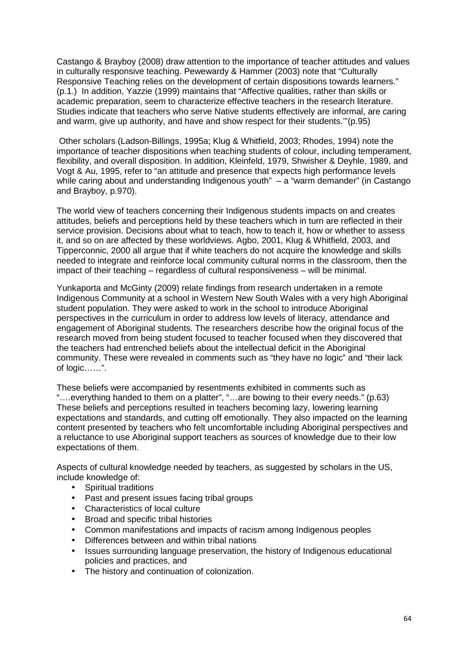Castango & Brayboy (2008) draw attention to the importance of teacher attitudes and values in culturally responsive teaching. Pewewardy & Hammer (2003) note that "Culturally Responsive Teaching relies on the development of certain dispositions towards learners." (p.1.) In addition, Yazzie (1999) maintains that "Affective qualities, rather than skills or academic preparation, seem to characterize effective teachers in the research literature. Studies indicate that teachers who serve Native students effectively are informal, are caring and warm, give up authority, and have and show respect for their students.'"(p.95)

 Other scholars (Ladson-Billings, 1995a; Klug & Whitfield, 2003; Rhodes, 1994) note the importance of teacher dispositions when teaching students of colour, including temperament, flexibility, and overall disposition. In addition, Kleinfeld, 1979, Shwisher & Deyhle, 1989, and Vogt & Au, 1995, refer to "an attitude and presence that expects high performance levels while caring about and understanding Indigenous youth" – a "warm demander" (in Castango and Brayboy, p.970).

The world view of teachers concerning their Indigenous students impacts on and creates attitudes, beliefs and perceptions held by these teachers which in turn are reflected in their service provision. Decisions about what to teach, how to teach it, how or whether to assess it, and so on are affected by these worldviews. Agbo, 2001, Klug & Whitfield, 2003, and Tipperconnic, 2000 all argue that if white teachers do not acquire the knowledge and skills needed to integrate and reinforce local community cultural norms in the classroom, then the impact of their teaching – regardless of cultural responsiveness – will be minimal.

Yunkaporta and McGinty (2009) relate findings from research undertaken in a remote Indigenous Community at a school in Western New South Wales with a very high Aboriginal student population. They were asked to work in the school to introduce Aboriginal perspectives in the curriculum in order to address low levels of literacy, attendance and engagement of Aboriginal students. The researchers describe how the original focus of the research moved from being student focused to teacher focused when they discovered that the teachers had entrenched beliefs about the intellectual deficit in the Aboriginal community. These were revealed in comments such as "they have no logic" and "their lack of logic……".

These beliefs were accompanied by resentments exhibited in comments such as "….everything handed to them on a platter", "…are bowing to their every needs." (p.63) These beliefs and perceptions resulted in teachers becoming lazy, lowering learning expectations and standards, and cutting off emotionally. They also impacted on the learning content presented by teachers who felt uncomfortable including Aboriginal perspectives and a reluctance to use Aboriginal support teachers as sources of knowledge due to their low expectations of them.

Aspects of cultural knowledge needed by teachers, as suggested by scholars in the US, include knowledge of:

- Spiritual traditions
- Past and present issues facing tribal groups
- Characteristics of local culture
- Broad and specific tribal histories
- Common manifestations and impacts of racism among Indigenous peoples
- Differences between and within tribal nations
- Issues surrounding language preservation, the history of Indigenous educational policies and practices, and
- The history and continuation of colonization.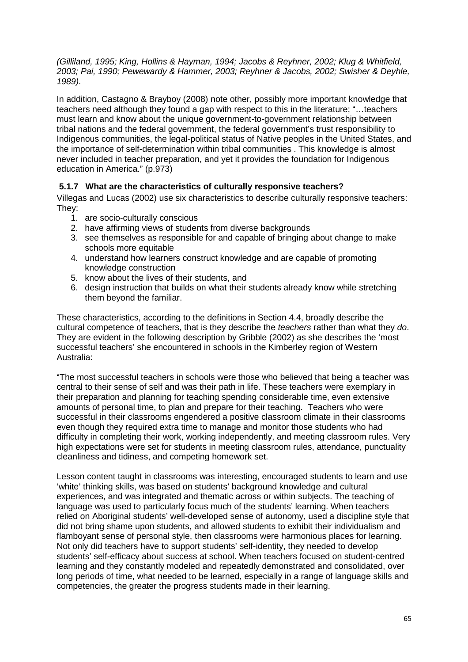(Gilliland, 1995; King, Hollins & Hayman, 1994; Jacobs & Reyhner, 2002; Klug & Whitfield, 2003; Pai, 1990; Pewewardy & Hammer, 2003; Reyhner & Jacobs, 2002; Swisher & Deyhle, 1989).

In addition, Castagno & Brayboy (2008) note other, possibly more important knowledge that teachers need although they found a gap with respect to this in the literature; "…teachers must learn and know about the unique government-to-government relationship between tribal nations and the federal government, the federal government's trust responsibility to Indigenous communities, the legal-political status of Native peoples in the United States, and the importance of self-determination within tribal communities . This knowledge is almost never included in teacher preparation, and yet it provides the foundation for Indigenous education in America." (p.973)

# **5.1.7 What are the characteristics of culturally responsive teachers?**

Villegas and Lucas (2002) use six characteristics to describe culturally responsive teachers: They:

- 1. are socio-culturally conscious
- 2. have affirming views of students from diverse backgrounds
- 3. see themselves as responsible for and capable of bringing about change to make schools more equitable
- 4. understand how learners construct knowledge and are capable of promoting knowledge construction
- 5. know about the lives of their students, and
- 6. design instruction that builds on what their students already know while stretching them beyond the familiar.

These characteristics, according to the definitions in Section 4.4, broadly describe the cultural competence of teachers, that is they describe the teachers rather than what they do. They are evident in the following description by Gribble (2002) as she describes the 'most successful teachers' she encountered in schools in the Kimberley region of Western Australia:

"The most successful teachers in schools were those who believed that being a teacher was central to their sense of self and was their path in life. These teachers were exemplary in their preparation and planning for teaching spending considerable time, even extensive amounts of personal time, to plan and prepare for their teaching. Teachers who were successful in their classrooms engendered a positive classroom climate in their classrooms even though they required extra time to manage and monitor those students who had difficulty in completing their work, working independently, and meeting classroom rules. Very high expectations were set for students in meeting classroom rules, attendance, punctuality cleanliness and tidiness, and competing homework set.

Lesson content taught in classrooms was interesting, encouraged students to learn and use 'white' thinking skills, was based on students' background knowledge and cultural experiences, and was integrated and thematic across or within subjects. The teaching of language was used to particularly focus much of the students' learning. When teachers relied on Aboriginal students' well-developed sense of autonomy, used a discipline style that did not bring shame upon students, and allowed students to exhibit their individualism and flamboyant sense of personal style, then classrooms were harmonious places for learning. Not only did teachers have to support students' self-identity, they needed to develop students' self-efficacy about success at school. When teachers focused on student-centred learning and they constantly modeled and repeatedly demonstrated and consolidated, over long periods of time, what needed to be learned, especially in a range of language skills and competencies, the greater the progress students made in their learning.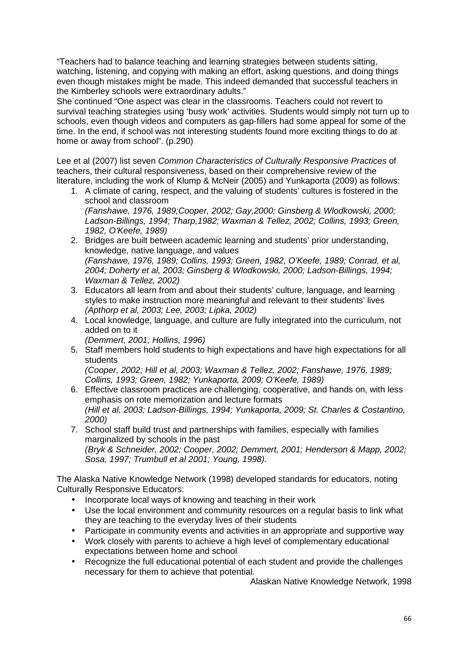"Teachers had to balance teaching and learning strategies between students sitting, watching, listening, and copying with making an effort, asking questions, and doing things even though mistakes might be made. This indeed demanded that successful teachers in the Kimberley schools were extraordinary adults."

She continued "One aspect was clear in the classrooms. Teachers could not revert to survival teaching strategies using 'busy work' activities. Students would simply not turn up to schools, even though videos and computers as gap-fillers had some appeal for some of the time. In the end, if school was not interesting students found more exciting things to do at home or away from school". (p.290)

Lee et al (2007) list seven Common Characteristics of Culturally Responsive Practices of teachers, their cultural responsiveness, based on their comprehensive review of the literature, including the work of Klump & McNeir (2005) and Yunkaporta (2009) as follows:

- 1. A climate of caring, respect, and the valuing of students' cultures is fostered in the school and classroom (Fanshawe, 1976, 1989;Cooper, 2002; Gay,2000; Ginsberg & Wlodkowski, 2000; Ladson-Billings, 1994; Tharp,1982; Waxman & Tellez, 2002; Collins, 1993; Green, 1982, O'Keefe, 1989)
- 2. Bridges are built between academic learning and students' prior understanding, knowledge, native language, and values (Fanshawe, 1976, 1989; Collins, 1993; Green, 1982, O'Keefe, 1989; Conrad, et al, 2004; Doherty et al, 2003; Ginsberg & Wlodkowski, 2000; Ladson-Billings, 1994; Waxman & Tellez, 2002)
- 3. Educators all learn from and about their students' culture, language, and learning styles to make instruction more meaningful and relevant to their students' lives (Apthorp et al, 2003; Lee, 2003; Lipka, 2002)
- 4. Local knowledge, language, and culture are fully integrated into the curriculum, not added on to it

(Demmert, 2001; Hollins, 1996)

5. Staff members hold students to high expectations and have high expectations for all students

(Cooper, 2002; Hill et al, 2003; Waxman & Tellez, 2002; Fanshawe, 1976, 1989; Collins, 1993; Green, 1982; Yunkaporta, 2009; O'Keefe, 1989)

- 6. Effective classroom practices are challenging, cooperative, and hands on, with less emphasis on rote memorization and lecture formats (Hill et al, 2003; Ladson-Billings, 1994; Yunkaporta, 2009; St. Charles & Costantino, 2000)
- 7. School staff build trust and partnerships with families, especially with families marginalized by schools in the past (Bryk & Schneider, 2002; Cooper, 2002; Demmert, 2001; Henderson & Mapp, 2002; Sosa, 1997; Trumbull et al 2001; Young, 1998).

The Alaska Native Knowledge Network (1998) developed standards for educators, noting Culturally Responsive Educators:

- Incorporate local ways of knowing and teaching in their work
- Use the local environment and community resources on a regular basis to link what they are teaching to the everyday lives of their students
- Participate in community events and activities in an appropriate and supportive way
- Work closely with parents to achieve a high level of complementary educational expectations between home and school
- Recognize the full educational potential of each student and provide the challenges necessary for them to achieve that potential.

Alaskan Native Knowledge Network, 1998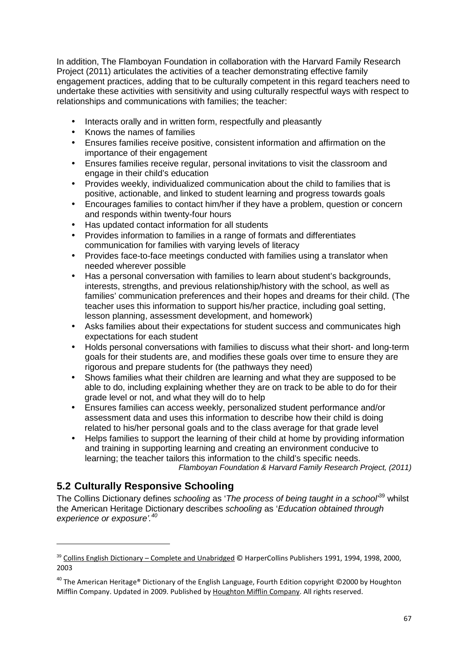In addition, The Flamboyan Foundation in collaboration with the Harvard Family Research Project (2011) articulates the activities of a teacher demonstrating effective family engagement practices, adding that to be culturally competent in this regard teachers need to undertake these activities with sensitivity and using culturally respectful ways with respect to relationships and communications with families; the teacher:

- Interacts orally and in written form, respectfully and pleasantly
- Knows the names of families
- Ensures families receive positive, consistent information and affirmation on the importance of their engagement
- Ensures families receive regular, personal invitations to visit the classroom and engage in their child's education
- Provides weekly, individualized communication about the child to families that is positive, actionable, and linked to student learning and progress towards goals
- Encourages families to contact him/her if they have a problem, question or concern and responds within twenty-four hours
- Has updated contact information for all students
- Provides information to families in a range of formats and differentiates communication for families with varying levels of literacy
- Provides face-to-face meetings conducted with families using a translator when needed wherever possible
- Has a personal conversation with families to learn about student's backgrounds, interests, strengths, and previous relationship/history with the school, as well as families' communication preferences and their hopes and dreams for their child. (The teacher uses this information to support his/her practice, including goal setting, lesson planning, assessment development, and homework)
- Asks families about their expectations for student success and communicates high expectations for each student
- Holds personal conversations with families to discuss what their short- and long-term goals for their students are, and modifies these goals over time to ensure they are rigorous and prepare students for (the pathways they need)
- Shows families what their children are learning and what they are supposed to be able to do, including explaining whether they are on track to be able to do for their grade level or not, and what they will do to help
- Ensures families can access weekly, personalized student performance and/or assessment data and uses this information to describe how their child is doing related to his/her personal goals and to the class average for that grade level
- Helps families to support the learning of their child at home by providing information and training in supporting learning and creating an environment conducive to learning; the teacher tailors this information to the child's specific needs.

Flamboyan Foundation & Harvard Family Research Project, (2011)

# **5.2 Culturally Responsive Schooling**

l

The Collins Dictionary defines schooling as 'The process of being taught in a school<sup>39</sup> whilst the American Heritage Dictionary describes schooling as 'Education obtained through experience or exposure'.<sup>40</sup>

<sup>&</sup>lt;sup>39</sup> Collins English Dictionary – Complete and Unabridged © HarperCollins Publishers 1991, 1994, 1998, 2000, 2003

<sup>&</sup>lt;sup>40</sup> The American Heritage® Dictionary of the English Language, Fourth Edition copyright ©2000 by Houghton Mifflin Company. Updated in 2009. Published by Houghton Mifflin Company. All rights reserved.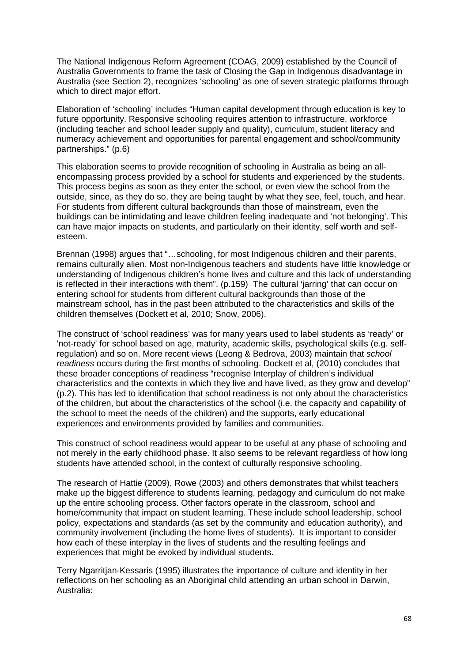The National Indigenous Reform Agreement (COAG, 2009) established by the Council of Australia Governments to frame the task of Closing the Gap in Indigenous disadvantage in Australia (see Section 2), recognizes 'schooling' as one of seven strategic platforms through which to direct major effort.

Elaboration of 'schooling' includes "Human capital development through education is key to future opportunity. Responsive schooling requires attention to infrastructure, workforce (including teacher and school leader supply and quality), curriculum, student literacy and numeracy achievement and opportunities for parental engagement and school/community partnerships." (p.6)

This elaboration seems to provide recognition of schooling in Australia as being an allencompassing process provided by a school for students and experienced by the students. This process begins as soon as they enter the school, or even view the school from the outside, since, as they do so, they are being taught by what they see, feel, touch, and hear. For students from different cultural backgrounds than those of mainstream, even the buildings can be intimidating and leave children feeling inadequate and 'not belonging'. This can have major impacts on students, and particularly on their identity, self worth and selfesteem.

Brennan (1998) argues that "...schooling, for most Indigenous children and their parents, remains culturally alien. Most non-Indigenous teachers and students have little knowledge or understanding of Indigenous children's home lives and culture and this lack of understanding is reflected in their interactions with them". (p.159) The cultural 'jarring' that can occur on entering school for students from different cultural backgrounds than those of the mainstream school, has in the past been attributed to the characteristics and skills of the children themselves (Dockett et al, 2010; Snow, 2006).

The construct of 'school readiness' was for many years used to label students as 'ready' or 'not-ready' for school based on age, maturity, academic skills, psychological skills (e.g. selfregulation) and so on. More recent views (Leong & Bedrova, 2003) maintain that school readiness occurs during the first months of schooling. Dockett et al, (2010) concludes that these broader conceptions of readiness "recognise Interplay of children's individual characteristics and the contexts in which they live and have lived, as they grow and develop" (p.2). This has led to identification that school readiness is not only about the characteristics of the children, but about the characteristics of the school (i.e. the capacity and capability of the school to meet the needs of the children) and the supports, early educational experiences and environments provided by families and communities.

This construct of school readiness would appear to be useful at any phase of schooling and not merely in the early childhood phase. It also seems to be relevant regardless of how long students have attended school, in the context of culturally responsive schooling.

The research of Hattie (2009), Rowe (2003) and others demonstrates that whilst teachers make up the biggest difference to students learning, pedagogy and curriculum do not make up the entire schooling process. Other factors operate in the classroom, school and home/community that impact on student learning. These include school leadership, school policy, expectations and standards (as set by the community and education authority), and community involvement (including the home lives of students). It is important to consider how each of these interplay in the lives of students and the resulting feelings and experiences that might be evoked by individual students.

Terry Ngarritjan-Kessaris (1995) illustrates the importance of culture and identity in her reflections on her schooling as an Aboriginal child attending an urban school in Darwin, Australia: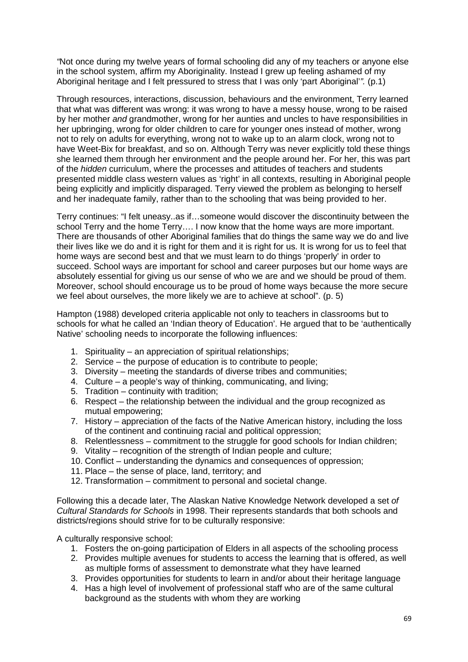"Not once during my twelve years of formal schooling did any of my teachers or anyone else in the school system, affirm my Aboriginality. Instead I grew up feeling ashamed of my Aboriginal heritage and I felt pressured to stress that I was only 'part Aboriginal'". (p.1)

Through resources, interactions, discussion, behaviours and the environment, Terry learned that what was different was wrong: it was wrong to have a messy house, wrong to be raised by her mother and grandmother, wrong for her aunties and uncles to have responsibilities in her upbringing, wrong for older children to care for younger ones instead of mother, wrong not to rely on adults for everything, wrong not to wake up to an alarm clock, wrong not to have Weet-Bix for breakfast, and so on. Although Terry was never explicitly told these things she learned them through her environment and the people around her. For her, this was part of the hidden curriculum, where the processes and attitudes of teachers and students presented middle class western values as 'right' in all contexts, resulting in Aboriginal people being explicitly and implicitly disparaged. Terry viewed the problem as belonging to herself and her inadequate family, rather than to the schooling that was being provided to her.

Terry continues: "I felt uneasy..as if…someone would discover the discontinuity between the school Terry and the home Terry…. I now know that the home ways are more important. There are thousands of other Aboriginal families that do things the same way we do and live their lives like we do and it is right for them and it is right for us. It is wrong for us to feel that home ways are second best and that we must learn to do things 'properly' in order to succeed. School ways are important for school and career purposes but our home ways are absolutely essential for giving us our sense of who we are and we should be proud of them. Moreover, school should encourage us to be proud of home ways because the more secure we feel about ourselves, the more likely we are to achieve at school". (p. 5)

Hampton (1988) developed criteria applicable not only to teachers in classrooms but to schools for what he called an 'Indian theory of Education'. He argued that to be 'authentically Native' schooling needs to incorporate the following influences:

- 1. Spirituality an appreciation of spiritual relationships;
- 2. Service the purpose of education is to contribute to people;
- 3. Diversity meeting the standards of diverse tribes and communities;
- 4. Culture a people's way of thinking, communicating, and living;
- 5. Tradition continuity with tradition;
- 6. Respect the relationship between the individual and the group recognized as mutual empowering;
- 7. History appreciation of the facts of the Native American history, including the loss of the continent and continuing racial and political oppression;
- 8. Relentlessness commitment to the struggle for good schools for Indian children;
- 9. Vitality recognition of the strength of Indian people and culture;
- 10. Conflict understanding the dynamics and consequences of oppression;
- 11. Place the sense of place, land, territory; and
- 12. Transformation commitment to personal and societal change.

Following this a decade later, The Alaskan Native Knowledge Network developed a set of Cultural Standards for Schools in 1998. Their represents standards that both schools and districts/regions should strive for to be culturally responsive:

A culturally responsive school:

- 1. Fosters the on-going participation of Elders in all aspects of the schooling process
- 2. Provides multiple avenues for students to access the learning that is offered, as well as multiple forms of assessment to demonstrate what they have learned
- 3. Provides opportunities for students to learn in and/or about their heritage language
- 4. Has a high level of involvement of professional staff who are of the same cultural background as the students with whom they are working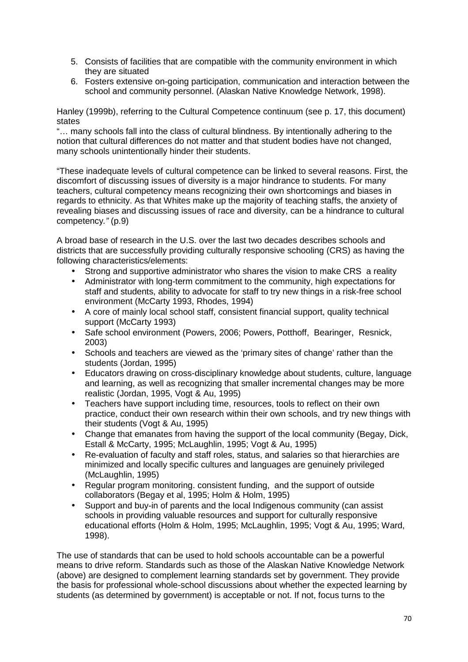- 5. Consists of facilities that are compatible with the community environment in which they are situated
- 6. Fosters extensive on-going participation, communication and interaction between the school and community personnel. (Alaskan Native Knowledge Network, 1998).

Hanley (1999b), referring to the Cultural Competence continuum (see p. 17, this document) states

"… many schools fall into the class of cultural blindness. By intentionally adhering to the notion that cultural differences do not matter and that student bodies have not changed, many schools unintentionally hinder their students.

"These inadequate levels of cultural competence can be linked to several reasons. First, the discomfort of discussing issues of diversity is a major hindrance to students. For many teachers, cultural competency means recognizing their own shortcomings and biases in regards to ethnicity. As that Whites make up the majority of teaching staffs, the anxiety of revealing biases and discussing issues of race and diversity, can be a hindrance to cultural competency." (p.9)

A broad base of research in the U.S. over the last two decades describes schools and districts that are successfully providing culturally responsive schooling (CRS) as having the following characteristics/elements:

- Strong and supportive administrator who shares the vision to make CRS a reality
- Administrator with long-term commitment to the community, high expectations for staff and students, ability to advocate for staff to try new things in a risk-free school environment (McCarty 1993, Rhodes, 1994)
- A core of mainly local school staff, consistent financial support, quality technical support (McCarty 1993)
- Safe school environment (Powers, 2006; Powers, Potthoff, Bearinger, Resnick, 2003)
- Schools and teachers are viewed as the 'primary sites of change' rather than the students (Jordan, 1995)
- Educators drawing on cross-disciplinary knowledge about students, culture, language and learning, as well as recognizing that smaller incremental changes may be more realistic (Jordan, 1995, Vogt & Au, 1995)
- Teachers have support including time, resources, tools to reflect on their own practice, conduct their own research within their own schools, and try new things with their students (Vogt & Au, 1995)
- Change that emanates from having the support of the local community (Begay, Dick, Estall & McCarty, 1995; McLaughlin, 1995; Vogt & Au, 1995)
- Re-evaluation of faculty and staff roles, status, and salaries so that hierarchies are minimized and locally specific cultures and languages are genuinely privileged (McLaughlin, 1995)
- Regular program monitoring. consistent funding, and the support of outside collaborators (Begay et al, 1995; Holm & Holm, 1995)
- Support and buy-in of parents and the local Indigenous community (can assist schools in providing valuable resources and support for culturally responsive educational efforts (Holm & Holm, 1995; McLaughlin, 1995; Vogt & Au, 1995; Ward, 1998).

The use of standards that can be used to hold schools accountable can be a powerful means to drive reform. Standards such as those of the Alaskan Native Knowledge Network (above) are designed to complement learning standards set by government. They provide the basis for professional whole-school discussions about whether the expected learning by students (as determined by government) is acceptable or not. If not, focus turns to the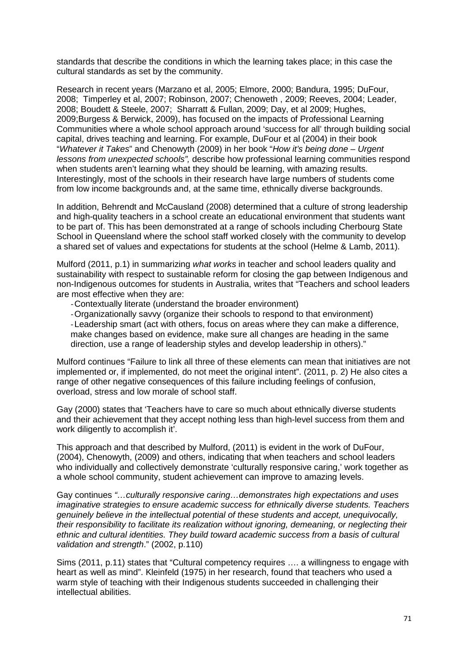standards that describe the conditions in which the learning takes place; in this case the cultural standards as set by the community.

Research in recent years (Marzano et al, 2005; Elmore, 2000; Bandura, 1995; DuFour, 2008; Timperley et al, 2007; Robinson, 2007; Chenoweth , 2009; Reeves, 2004; Leader, 2008; Boudett & Steele, 2007; Sharratt & Fullan, 2009; Day, et al 2009; Hughes, 2009;Burgess & Berwick, 2009), has focused on the impacts of Professional Learning Communities where a whole school approach around 'success for all' through building social capital, drives teaching and learning. For example, DuFour et al (2004) in their book "Whatever it Takes" and Chenowyth (2009) in her book "How it's being done – Urgent lessons from unexpected schools", describe how professional learning communities respond when students aren't learning what they should be learning, with amazing results. Interestingly, most of the schools in their research have large numbers of students come from low income backgrounds and, at the same time, ethnically diverse backgrounds.

In addition, Behrendt and McCausland (2008) determined that a culture of strong leadership and high-quality teachers in a school create an educational environment that students want to be part of. This has been demonstrated at a range of schools including Cherbourg State School in Queensland where the school staff worked closely with the community to develop a shared set of values and expectations for students at the school (Helme & Lamb, 2011).

Mulford (2011, p.1) in summarizing *what works* in teacher and school leaders quality and sustainability with respect to sustainable reform for closing the gap between Indigenous and non-Indigenous outcomes for students in Australia, writes that "Teachers and school leaders are most effective when they are:

- Contextually literate (understand the broader environment)
- Organizationally savvy (organize their schools to respond to that environment)

- Leadership smart (act with others, focus on areas where they can make a difference, make changes based on evidence, make sure all changes are heading in the same direction, use a range of leadership styles and develop leadership in others)."

Mulford continues "Failure to link all three of these elements can mean that initiatives are not implemented or, if implemented, do not meet the original intent". (2011, p. 2) He also cites a range of other negative consequences of this failure including feelings of confusion, overload, stress and low morale of school staff.

Gay (2000) states that 'Teachers have to care so much about ethnically diverse students and their achievement that they accept nothing less than high-level success from them and work diligently to accomplish it'.

This approach and that described by Mulford, (2011) is evident in the work of DuFour, (2004), Chenowyth, (2009) and others, indicating that when teachers and school leaders who individually and collectively demonstrate 'culturally responsive caring,' work together as a whole school community, student achievement can improve to amazing levels.

Gay continues "…culturally responsive caring…demonstrates high expectations and uses imaginative strategies to ensure academic success for ethnically diverse students. Teachers genuinely believe in the intellectual potential of these students and accept, unequivocally, their responsibility to facilitate its realization without ignoring, demeaning, or neglecting their ethnic and cultural identities. They build toward academic success from a basis of cultural validation and strength." (2002, p.110)

Sims (2011, p.11) states that "Cultural competency requires …. a willingness to engage with heart as well as mind". Kleinfeld (1975) in her research, found that teachers who used a warm style of teaching with their Indigenous students succeeded in challenging their intellectual abilities.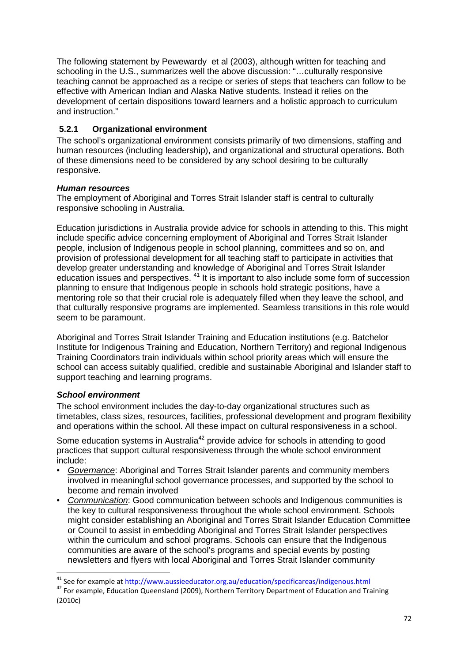The following statement by Pewewardy et al (2003), although written for teaching and schooling in the U.S., summarizes well the above discussion: "…culturally responsive teaching cannot be approached as a recipe or series of steps that teachers can follow to be effective with American Indian and Alaska Native students. Instead it relies on the development of certain dispositions toward learners and a holistic approach to curriculum and instruction."

## **5.2.1 Organizational environment**

The school's organizational environment consists primarily of two dimensions, staffing and human resources (including leadership), and organizational and structural operations. Both of these dimensions need to be considered by any school desiring to be culturally responsive.

## **Human resources**

The employment of Aboriginal and Torres Strait Islander staff is central to culturally responsive schooling in Australia.

Education jurisdictions in Australia provide advice for schools in attending to this. This might include specific advice concerning employment of Aboriginal and Torres Strait Islander people, inclusion of Indigenous people in school planning, committees and so on, and provision of professional development for all teaching staff to participate in activities that develop greater understanding and knowledge of Aboriginal and Torres Strait Islander education issues and perspectives.<sup>41</sup> It is important to also include some form of succession planning to ensure that Indigenous people in schools hold strategic positions, have a mentoring role so that their crucial role is adequately filled when they leave the school, and that culturally responsive programs are implemented. Seamless transitions in this role would seem to be paramount.

Aboriginal and Torres Strait Islander Training and Education institutions (e.g. Batchelor Institute for Indigenous Training and Education, Northern Territory) and regional Indigenous Training Coordinators train individuals within school priority areas which will ensure the school can access suitably qualified, credible and sustainable Aboriginal and Islander staff to support teaching and learning programs.

## **School environment**

 $\overline{a}$ 

The school environment includes the day-to-day organizational structures such as timetables, class sizes, resources, facilities, professional development and program flexibility and operations within the school. All these impact on cultural responsiveness in a school.

Some education systems in Australia<sup>42</sup> provide advice for schools in attending to good practices that support cultural responsiveness through the whole school environment include:

- Governance: Aboriginal and Torres Strait Islander parents and community members involved in meaningful school governance processes, and supported by the school to become and remain involved
- Communication: Good communication between schools and Indigenous communities is the key to cultural responsiveness throughout the whole school environment. Schools might consider establishing an Aboriginal and Torres Strait Islander Education Committee or Council to assist in embedding Aboriginal and Torres Strait Islander perspectives within the curriculum and school programs. Schools can ensure that the Indigenous communities are aware of the school's programs and special events by posting newsletters and flyers with local Aboriginal and Torres Strait Islander community

<sup>&</sup>lt;sup>41</sup> See for example at <u>http://www.aussieeducator.org.au/education/specificareas/indigenous.html</u>

<sup>&</sup>lt;sup>42</sup> For example, Education Queensland (2009), Northern Territory Department of Education and Training (2010c)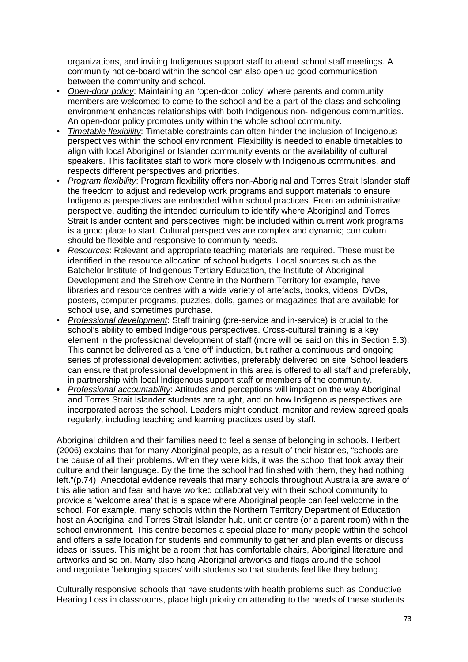organizations, and inviting Indigenous support staff to attend school staff meetings. A community notice-board within the school can also open up good communication between the community and school.

- Open-door policy: Maintaining an 'open-door policy' where parents and community members are welcomed to come to the school and be a part of the class and schooling environment enhances relationships with both Indigenous non-Indigenous communities. An open-door policy promotes unity within the whole school community.
- Timetable flexibility: Timetable constraints can often hinder the inclusion of Indigenous perspectives within the school environment. Flexibility is needed to enable timetables to align with local Aboriginal or Islander community events or the availability of cultural speakers. This facilitates staff to work more closely with Indigenous communities, and respects different perspectives and priorities.
- Program flexibility: Program flexibility offers non-Aboriginal and Torres Strait Islander staff the freedom to adjust and redevelop work programs and support materials to ensure Indigenous perspectives are embedded within school practices. From an administrative perspective, auditing the intended curriculum to identify where Aboriginal and Torres Strait Islander content and perspectives might be included within current work programs is a good place to start. Cultural perspectives are complex and dynamic; curriculum should be flexible and responsive to community needs.
- Resources: Relevant and appropriate teaching materials are required. These must be identified in the resource allocation of school budgets. Local sources such as the Batchelor Institute of Indigenous Tertiary Education, the Institute of Aboriginal Development and the Strehlow Centre in the Northern Territory for example, have libraries and resource centres with a wide variety of artefacts, books, videos, DVDs, posters, computer programs, puzzles, dolls, games or magazines that are available for school use, and sometimes purchase.
- Professional development: Staff training (pre-service and in-service) is crucial to the school's ability to embed Indigenous perspectives. Cross-cultural training is a key element in the professional development of staff (more will be said on this in Section 5.3). This cannot be delivered as a 'one off' induction, but rather a continuous and ongoing series of professional development activities, preferably delivered on site. School leaders can ensure that professional development in this area is offered to all staff and preferably, in partnership with local Indigenous support staff or members of the community.
- Professional accountability: Attitudes and perceptions will impact on the way Aboriginal and Torres Strait Islander students are taught, and on how Indigenous perspectives are incorporated across the school. Leaders might conduct, monitor and review agreed goals regularly, including teaching and learning practices used by staff.

Aboriginal children and their families need to feel a sense of belonging in schools. Herbert (2006) explains that for many Aboriginal people, as a result of their histories, "schools are the cause of all their problems. When they were kids, it was the school that took away their culture and their language. By the time the school had finished with them, they had nothing left."(p.74) Anecdotal evidence reveals that many schools throughout Australia are aware of this alienation and fear and have worked collaboratively with their school community to provide a 'welcome area' that is a space where Aboriginal people can feel welcome in the school. For example, many schools within the Northern Territory Department of Education host an Aboriginal and Torres Strait Islander hub, unit or centre (or a parent room) within the school environment. This centre becomes a special place for many people within the school and offers a safe location for students and community to gather and plan events or discuss ideas or issues. This might be a room that has comfortable chairs, Aboriginal literature and artworks and so on. Many also hang Aboriginal artworks and flags around the school and negotiate 'belonging spaces' with students so that students feel like they belong.

Culturally responsive schools that have students with health problems such as Conductive Hearing Loss in classrooms, place high priority on attending to the needs of these students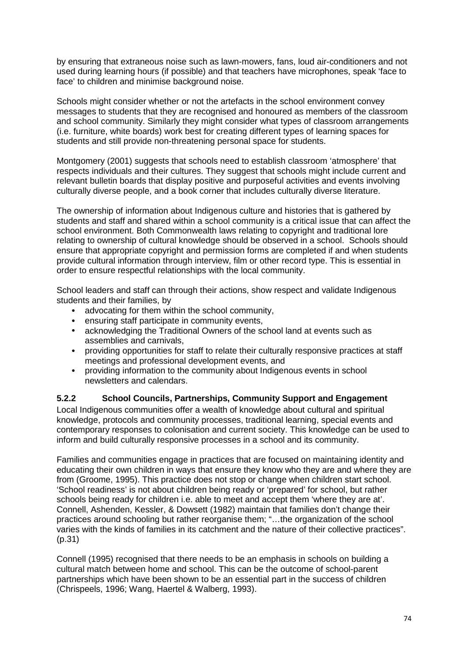by ensuring that extraneous noise such as lawn-mowers, fans, loud air-conditioners and not used during learning hours (if possible) and that teachers have microphones, speak 'face to face' to children and minimise background noise.

Schools might consider whether or not the artefacts in the school environment convey messages to students that they are recognised and honoured as members of the classroom and school community. Similarly they might consider what types of classroom arrangements (i.e. furniture, white boards) work best for creating different types of learning spaces for students and still provide non-threatening personal space for students.

Montgomery (2001) suggests that schools need to establish classroom 'atmosphere' that respects individuals and their cultures. They suggest that schools might include current and relevant bulletin boards that display positive and purposeful activities and events involving culturally diverse people, and a book corner that includes culturally diverse literature.

The ownership of information about Indigenous culture and histories that is gathered by students and staff and shared within a school community is a critical issue that can affect the school environment. Both Commonwealth laws relating to copyright and traditional lore relating to ownership of cultural knowledge should be observed in a school. Schools should ensure that appropriate copyright and permission forms are completed if and when students provide cultural information through interview, film or other record type. This is essential in order to ensure respectful relationships with the local community.

School leaders and staff can through their actions, show respect and validate Indigenous students and their families, by

- advocating for them within the school community,
- ensuring staff participate in community events,
- acknowledging the Traditional Owners of the school land at events such as assemblies and carnivals,
- providing opportunities for staff to relate their culturally responsive practices at staff meetings and professional development events, and
- providing information to the community about Indigenous events in school newsletters and calendars.

## **5.2.2 School Councils, Partnerships, Community Support and Engagement**

Local Indigenous communities offer a wealth of knowledge about cultural and spiritual knowledge, protocols and community processes, traditional learning, special events and contemporary responses to colonisation and current society. This knowledge can be used to inform and build culturally responsive processes in a school and its community.

Families and communities engage in practices that are focused on maintaining identity and educating their own children in ways that ensure they know who they are and where they are from (Groome, 1995). This practice does not stop or change when children start school. 'School readiness' is not about children being ready or 'prepared' for school, but rather schools being ready for children i.e. able to meet and accept them 'where they are at'. Connell, Ashenden, Kessler, & Dowsett (1982) maintain that families don't change their practices around schooling but rather reorganise them; "…the organization of the school varies with the kinds of families in its catchment and the nature of their collective practices". (p.31)

Connell (1995) recognised that there needs to be an emphasis in schools on building a cultural match between home and school. This can be the outcome of school-parent partnerships which have been shown to be an essential part in the success of children (Chrispeels, 1996; Wang, Haertel & Walberg, 1993).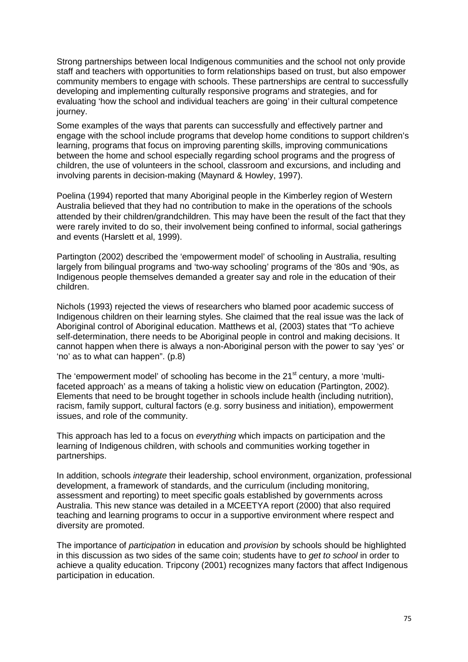Strong partnerships between local Indigenous communities and the school not only provide staff and teachers with opportunities to form relationships based on trust, but also empower community members to engage with schools. These partnerships are central to successfully developing and implementing culturally responsive programs and strategies, and for evaluating 'how the school and individual teachers are going' in their cultural competence journey.

Some examples of the ways that parents can successfully and effectively partner and engage with the school include programs that develop home conditions to support children's learning, programs that focus on improving parenting skills, improving communications between the home and school especially regarding school programs and the progress of children, the use of volunteers in the school, classroom and excursions, and including and involving parents in decision-making (Maynard & Howley, 1997).

Poelina (1994) reported that many Aboriginal people in the Kimberley region of Western Australia believed that they had no contribution to make in the operations of the schools attended by their children/grandchildren. This may have been the result of the fact that they were rarely invited to do so, their involvement being confined to informal, social gatherings and events (Harslett et al, 1999).

Partington (2002) described the 'empowerment model' of schooling in Australia, resulting largely from bilingual programs and 'two-way schooling' programs of the '80s and '90s, as Indigenous people themselves demanded a greater say and role in the education of their children.

Nichols (1993) rejected the views of researchers who blamed poor academic success of Indigenous children on their learning styles. She claimed that the real issue was the lack of Aboriginal control of Aboriginal education. Matthews et al, (2003) states that "To achieve self-determination, there needs to be Aboriginal people in control and making decisions. It cannot happen when there is always a non-Aboriginal person with the power to say 'yes' or 'no' as to what can happen". (p.8)

The 'empowerment model' of schooling has become in the  $21<sup>st</sup>$  century, a more 'multifaceted approach' as a means of taking a holistic view on education (Partington, 2002). Elements that need to be brought together in schools include health (including nutrition), racism, family support, cultural factors (e.g. sorry business and initiation), empowerment issues, and role of the community.

This approach has led to a focus on everything which impacts on participation and the learning of Indigenous children, with schools and communities working together in partnerships.

In addition, schools *integrate* their leadership, school environment, organization, professional development, a framework of standards, and the curriculum (including monitoring, assessment and reporting) to meet specific goals established by governments across Australia. This new stance was detailed in a MCEETYA report (2000) that also required teaching and learning programs to occur in a supportive environment where respect and diversity are promoted.

The importance of *participation* in education and *provision* by schools should be highlighted in this discussion as two sides of the same coin; students have to get to school in order to achieve a quality education. Tripcony (2001) recognizes many factors that affect Indigenous participation in education.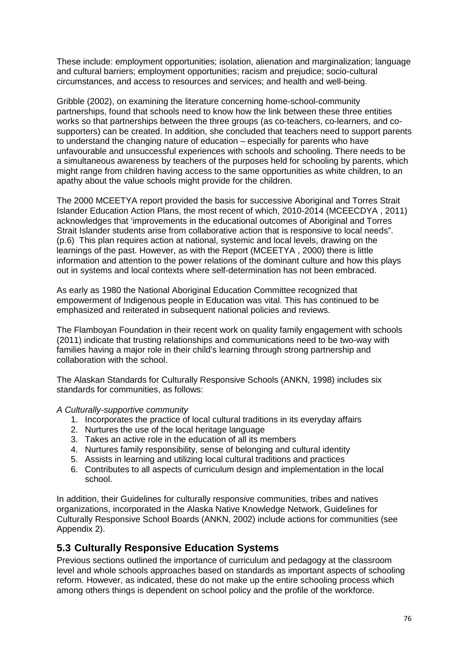These include: employment opportunities; isolation, alienation and marginalization; language and cultural barriers; employment opportunities; racism and prejudice; socio-cultural circumstances, and access to resources and services; and health and well-being.

Gribble (2002), on examining the literature concerning home-school-community partnerships, found that schools need to know how the link between these three entities works so that partnerships between the three groups (as co-teachers, co-learners, and cosupporters) can be created. In addition, she concluded that teachers need to support parents to understand the changing nature of education – especially for parents who have unfavourable and unsuccessful experiences with schools and schooling. There needs to be a simultaneous awareness by teachers of the purposes held for schooling by parents, which might range from children having access to the same opportunities as white children, to an apathy about the value schools might provide for the children.

The 2000 MCEETYA report provided the basis for successive Aboriginal and Torres Strait Islander Education Action Plans, the most recent of which, 2010-2014 (MCEECDYA , 2011) acknowledges that 'improvements in the educational outcomes of Aboriginal and Torres Strait Islander students arise from collaborative action that is responsive to local needs". (p.6) This plan requires action at national, systemic and local levels, drawing on the learnings of the past. However, as with the Report (MCEETYA , 2000) there is little information and attention to the power relations of the dominant culture and how this plays out in systems and local contexts where self-determination has not been embraced.

As early as 1980 the National Aboriginal Education Committee recognized that empowerment of Indigenous people in Education was vital. This has continued to be emphasized and reiterated in subsequent national policies and reviews.

The Flamboyan Foundation in their recent work on quality family engagement with schools (2011) indicate that trusting relationships and communications need to be two-way with families having a major role in their child's learning through strong partnership and collaboration with the school.

The Alaskan Standards for Culturally Responsive Schools (ANKN, 1998) includes six standards for communities, as follows:

A Culturally-supportive community

- 1. Incorporates the practice of local cultural traditions in its everyday affairs
- 2. Nurtures the use of the local heritage language
- 3. Takes an active role in the education of all its members
- 4. Nurtures family responsibility, sense of belonging and cultural identity
- 5. Assists in learning and utilizing local cultural traditions and practices
- 6. Contributes to all aspects of curriculum design and implementation in the local school.

In addition, their Guidelines for culturally responsive communities, tribes and natives organizations, incorporated in the Alaska Native Knowledge Network, Guidelines for Culturally Responsive School Boards (ANKN, 2002) include actions for communities (see Appendix 2).

# **5.3 Culturally Responsive Education Systems**

Previous sections outlined the importance of curriculum and pedagogy at the classroom level and whole schools approaches based on standards as important aspects of schooling reform. However, as indicated, these do not make up the entire schooling process which among others things is dependent on school policy and the profile of the workforce.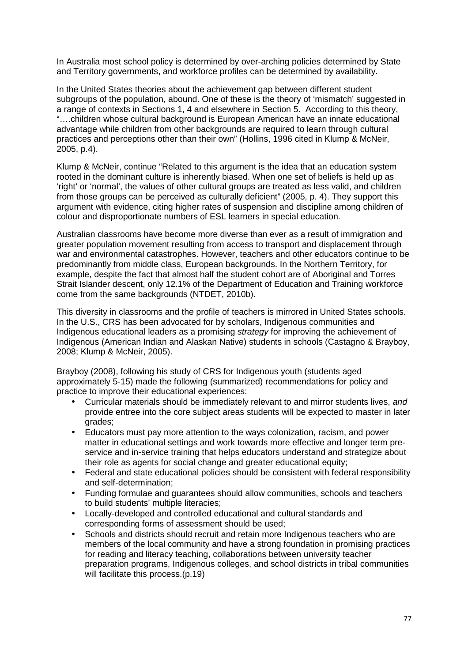In Australia most school policy is determined by over-arching policies determined by State and Territory governments, and workforce profiles can be determined by availability.

In the United States theories about the achievement gap between different student subgroups of the population, abound. One of these is the theory of 'mismatch' suggested in a range of contexts in Sections 1, 4 and elsewhere in Section 5. According to this theory, "….children whose cultural background is European American have an innate educational advantage while children from other backgrounds are required to learn through cultural practices and perceptions other than their own" (Hollins, 1996 cited in Klump & McNeir, 2005, p.4).

Klump & McNeir, continue "Related to this argument is the idea that an education system rooted in the dominant culture is inherently biased. When one set of beliefs is held up as 'right' or 'normal', the values of other cultural groups are treated as less valid, and children from those groups can be perceived as culturally deficient" (2005, p. 4). They support this argument with evidence, citing higher rates of suspension and discipline among children of colour and disproportionate numbers of ESL learners in special education.

Australian classrooms have become more diverse than ever as a result of immigration and greater population movement resulting from access to transport and displacement through war and environmental catastrophes. However, teachers and other educators continue to be predominantly from middle class, European backgrounds. In the Northern Territory, for example, despite the fact that almost half the student cohort are of Aboriginal and Torres Strait Islander descent, only 12.1% of the Department of Education and Training workforce come from the same backgrounds (NTDET, 2010b).

This diversity in classrooms and the profile of teachers is mirrored in United States schools. In the U.S., CRS has been advocated for by scholars, Indigenous communities and Indigenous educational leaders as a promising strategy for improving the achievement of Indigenous (American Indian and Alaskan Native) students in schools (Castagno & Brayboy, 2008; Klump & McNeir, 2005).

Brayboy (2008), following his study of CRS for Indigenous youth (students aged approximately 5-15) made the following (summarized) recommendations for policy and practice to improve their educational experiences:

- Curricular materials should be immediately relevant to and mirror students lives, and provide entree into the core subject areas students will be expected to master in later grades;
- Educators must pay more attention to the ways colonization, racism, and power matter in educational settings and work towards more effective and longer term preservice and in-service training that helps educators understand and strategize about their role as agents for social change and greater educational equity;
- Federal and state educational policies should be consistent with federal responsibility and self-determination;
- Funding formulae and guarantees should allow communities, schools and teachers to build students' multiple literacies;
- Locally-developed and controlled educational and cultural standards and corresponding forms of assessment should be used;
- Schools and districts should recruit and retain more Indigenous teachers who are members of the local community and have a strong foundation in promising practices for reading and literacy teaching, collaborations between university teacher preparation programs, Indigenous colleges, and school districts in tribal communities will facilitate this process.(p.19)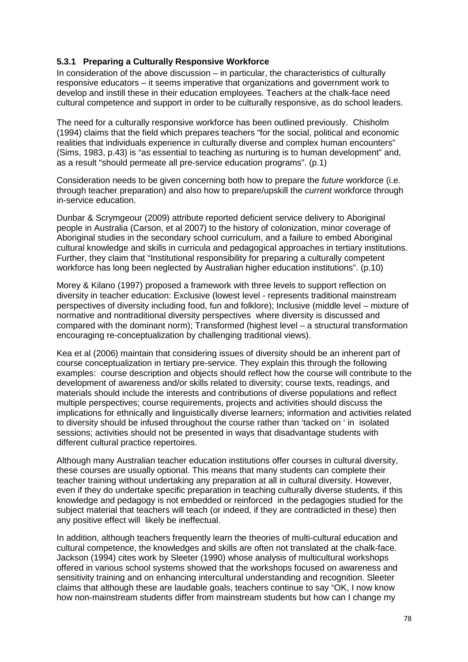## **5.3.1 Preparing a Culturally Responsive Workforce**

In consideration of the above discussion – in particular, the characteristics of culturally responsive educators – it seems imperative that organizations and government work to develop and instill these in their education employees. Teachers at the chalk-face need cultural competence and support in order to be culturally responsive, as do school leaders.

The need for a culturally responsive workforce has been outlined previously. Chisholm (1994) claims that the field which prepares teachers "for the social, political and economic realities that individuals experience in culturally diverse and complex human encounters" (Sims, 1983, p.43) is "as essential to teaching as nurturing is to human development" and, as a result "should permeate all pre-service education programs". (p.1)

Consideration needs to be given concerning both how to prepare the future workforce (i.e. through teacher preparation) and also how to prepare/upskill the *current* workforce through in-service education.

Dunbar & Scrymgeour (2009) attribute reported deficient service delivery to Aboriginal people in Australia (Carson, et al 2007) to the history of colonization, minor coverage of Aboriginal studies in the secondary school curriculum, and a failure to embed Aboriginal cultural knowledge and skills in curricula and pedagogical approaches in tertiary institutions. Further, they claim that "Institutional responsibility for preparing a culturally competent workforce has long been neglected by Australian higher education institutions". (p.10)

Morey & Kilano (1997) proposed a framework with three levels to support reflection on diversity in teacher education: Exclusive (lowest level - represents traditional mainstream perspectives of diversity including food, fun and folklore); Inclusive (middle level – mixture of normative and nontraditional diversity perspectives where diversity is discussed and compared with the dominant norm); Transformed (highest level – a structural transformation encouraging re-conceptualization by challenging traditional views).

Kea et al (2006) maintain that considering issues of diversity should be an inherent part of course conceptualization in tertiary pre-service. They explain this through the following examples: course description and objects should reflect how the course will contribute to the development of awareness and/or skills related to diversity; course texts, readings, and materials should include the interests and contributions of diverse populations and reflect multiple perspectives; course requirements, projects and activities should discuss the implications for ethnically and linguistically diverse learners; information and activities related to diversity should be infused throughout the course rather than 'tacked on ' in isolated sessions; activities should not be presented in ways that disadvantage students with different cultural practice repertoires.

Although many Australian teacher education institutions offer courses in cultural diversity, these courses are usually optional. This means that many students can complete their teacher training without undertaking any preparation at all in cultural diversity. However, even if they do undertake specific preparation in teaching culturally diverse students, if this knowledge and pedagogy is not embedded or reinforced in the pedagogies studied for the subject material that teachers will teach (or indeed, if they are contradicted in these) then any positive effect will likely be ineffectual.

In addition, although teachers frequently learn the theories of multi-cultural education and cultural competence, the knowledges and skills are often not translated at the chalk-face. Jackson (1994) cites work by Sleeter (1990) whose analysis of multicultural workshops offered in various school systems showed that the workshops focused on awareness and sensitivity training and on enhancing intercultural understanding and recognition. Sleeter claims that although these are laudable goals, teachers continue to say "OK, I now know how non-mainstream students differ from mainstream students but how can I change my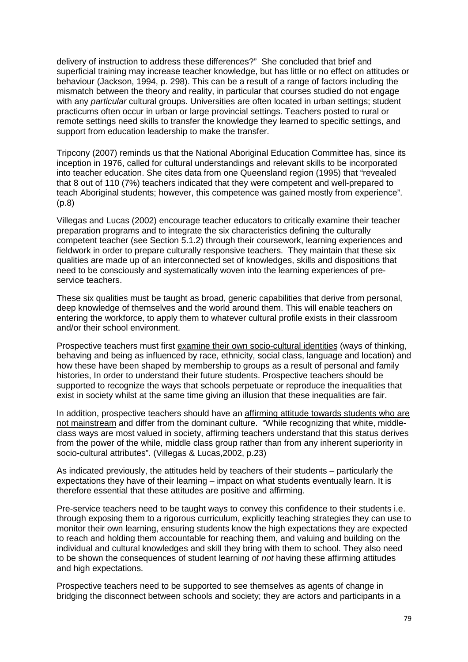delivery of instruction to address these differences?" She concluded that brief and superficial training may increase teacher knowledge, but has little or no effect on attitudes or behaviour (Jackson, 1994, p. 298). This can be a result of a range of factors including the mismatch between the theory and reality, in particular that courses studied do not engage with any particular cultural groups. Universities are often located in urban settings; student practicums often occur in urban or large provincial settings. Teachers posted to rural or remote settings need skills to transfer the knowledge they learned to specific settings, and support from education leadership to make the transfer.

Tripcony (2007) reminds us that the National Aboriginal Education Committee has, since its inception in 1976, called for cultural understandings and relevant skills to be incorporated into teacher education. She cites data from one Queensland region (1995) that "revealed that 8 out of 110 (7%) teachers indicated that they were competent and well-prepared to teach Aboriginal students; however, this competence was gained mostly from experience". (p.8)

Villegas and Lucas (2002) encourage teacher educators to critically examine their teacher preparation programs and to integrate the six characteristics defining the culturally competent teacher (see Section 5.1.2) through their coursework, learning experiences and fieldwork in order to prepare culturally responsive teachers. They maintain that these six qualities are made up of an interconnected set of knowledges, skills and dispositions that need to be consciously and systematically woven into the learning experiences of preservice teachers.

These six qualities must be taught as broad, generic capabilities that derive from personal, deep knowledge of themselves and the world around them. This will enable teachers on entering the workforce, to apply them to whatever cultural profile exists in their classroom and/or their school environment.

Prospective teachers must first examine their own socio-cultural identities (ways of thinking, behaving and being as influenced by race, ethnicity, social class, language and location) and how these have been shaped by membership to groups as a result of personal and family histories, In order to understand their future students. Prospective teachers should be supported to recognize the ways that schools perpetuate or reproduce the inequalities that exist in society whilst at the same time giving an illusion that these inequalities are fair.

In addition, prospective teachers should have an affirming attitude towards students who are not mainstream and differ from the dominant culture. "While recognizing that white, middleclass ways are most valued in society, affirming teachers understand that this status derives from the power of the while, middle class group rather than from any inherent superiority in socio-cultural attributes". (Villegas & Lucas,2002, p.23)

As indicated previously, the attitudes held by teachers of their students – particularly the expectations they have of their learning – impact on what students eventually learn. It is therefore essential that these attitudes are positive and affirming.

Pre-service teachers need to be taught ways to convey this confidence to their students i.e. through exposing them to a rigorous curriculum, explicitly teaching strategies they can use to monitor their own learning, ensuring students know the high expectations they are expected to reach and holding them accountable for reaching them, and valuing and building on the individual and cultural knowledges and skill they bring with them to school. They also need to be shown the consequences of student learning of *not* having these affirming attitudes and high expectations.

Prospective teachers need to be supported to see themselves as agents of change in bridging the disconnect between schools and society; they are actors and participants in a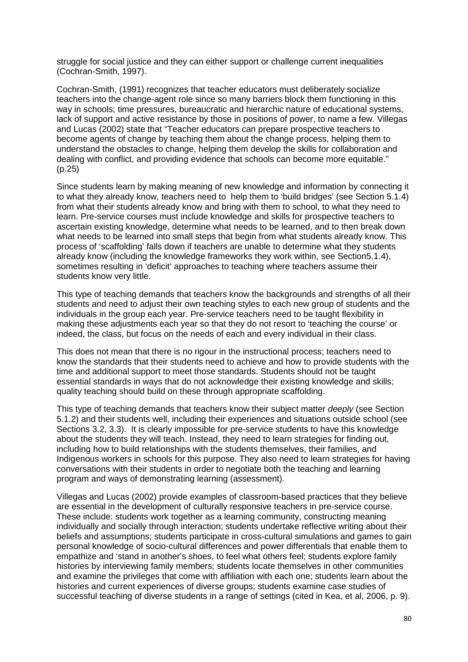struggle for social justice and they can either support or challenge current inequalities (Cochran-Smith, 1997).

Cochran-Smith, (1991) recognizes that teacher educators must deliberately socialize teachers into the change-agent role since so many barriers block them functioning in this way in schools; time pressures, bureaucratic and hierarchic nature of educational systems, lack of support and active resistance by those in positions of power, to name a few. Villegas and Lucas (2002) state that "Teacher educators can prepare prospective teachers to become agents of change by teaching them about the change process, helping them to understand the obstacles to change, helping them develop the skills for collaboration and dealing with conflict, and providing evidence that schools can become more equitable." (p.25)

Since students learn by making meaning of new knowledge and information by connecting it to what they already know, teachers need to help them to 'build bridges' (see Section 5.1.4) from what their students already know and bring with them to school, to what they need to learn. Pre-service courses must include knowledge and skills for prospective teachers to ascertain existing knowledge, determine what needs to be learned, and to then break down what needs to be learned into small steps that begin from what students already know. This process of 'scaffolding' falls down if teachers are unable to determine what they students already know (including the knowledge frameworks they work within, see Section5.1.4), sometimes resulting in 'deficit' approaches to teaching where teachers assume their students know very little.

This type of teaching demands that teachers know the backgrounds and strengths of all their students and need to adjust their own teaching styles to each new group of students and the individuals in the group each year. Pre-service teachers need to be taught flexibility in making these adjustments each year so that they do not resort to 'teaching the course' or indeed, the class, but focus on the needs of each and every individual in their class.

This does not mean that there is no rigour in the instructional process; teachers need to know the standards that their students need to achieve and how to provide students with the time and additional support to meet those standards. Students should not be taught essential standards in ways that do not acknowledge their existing knowledge and skills; quality teaching should build on these through appropriate scaffolding.

This type of teaching demands that teachers know their subject matter *deeply* (see Section 5.1.2) and their students well, including their experiences and situations outside school (see Sections 3.2, 3.3). It is clearly impossible for pre-service students to have this knowledge about the students they will teach. Instead, they need to learn strategies for finding out, including how to build relationships with the students themselves, their families, and Indigenous workers in schools for this purpose. They also need to learn strategies for having conversations with their students in order to negotiate both the teaching and learning program and ways of demonstrating learning (assessment).

Villegas and Lucas (2002) provide examples of classroom-based practices that they believe are essential in the development of culturally responsive teachers in pre-service course. These include: students work together as a learning community, constructing meaning individually and socially through interaction; students undertake reflective writing about their beliefs and assumptions; students participate in cross-cultural simulations and games to gain personal knowledge of socio-cultural differences and power differentials that enable them to empathize and 'stand in another's shoes, to feel what others feel; students explore family histories by interviewing family members; students locate themselves in other communities and examine the privileges that come with affiliation with each one; students learn about the histories and current experiences of diverse groups; students examine case studies of successful teaching of diverse students in a range of settings (cited in Kea, et al, 2006, p. 9).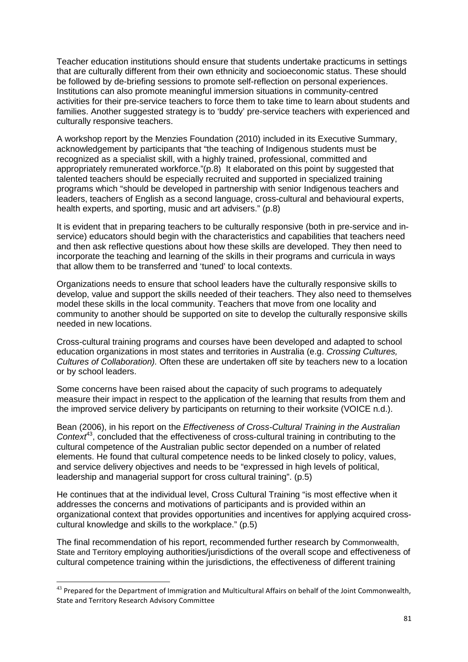Teacher education institutions should ensure that students undertake practicums in settings that are culturally different from their own ethnicity and socioeconomic status. These should be followed by de-briefing sessions to promote self-reflection on personal experiences. Institutions can also promote meaningful immersion situations in community-centred activities for their pre-service teachers to force them to take time to learn about students and families. Another suggested strategy is to 'buddy' pre-service teachers with experienced and culturally responsive teachers.

A workshop report by the Menzies Foundation (2010) included in its Executive Summary, acknowledgement by participants that "the teaching of Indigenous students must be recognized as a specialist skill, with a highly trained, professional, committed and appropriately remunerated workforce."(p.8) It elaborated on this point by suggested that talented teachers should be especially recruited and supported in specialized training programs which "should be developed in partnership with senior Indigenous teachers and leaders, teachers of English as a second language, cross-cultural and behavioural experts, health experts, and sporting, music and art advisers." (p.8)

It is evident that in preparing teachers to be culturally responsive (both in pre-service and inservice) educators should begin with the characteristics and capabilities that teachers need and then ask reflective questions about how these skills are developed. They then need to incorporate the teaching and learning of the skills in their programs and curricula in ways that allow them to be transferred and 'tuned' to local contexts.

Organizations needs to ensure that school leaders have the culturally responsive skills to develop, value and support the skills needed of their teachers. They also need to themselves model these skills in the local community. Teachers that move from one locality and community to another should be supported on site to develop the culturally responsive skills needed in new locations.

Cross-cultural training programs and courses have been developed and adapted to school education organizations in most states and territories in Australia (e.g. Crossing Cultures, Cultures of Collaboration). Often these are undertaken off site by teachers new to a location or by school leaders.

Some concerns have been raised about the capacity of such programs to adequately measure their impact in respect to the application of the learning that results from them and the improved service delivery by participants on returning to their worksite (VOICE n.d.).

Bean (2006), in his report on the Effectiveness of Cross-Cultural Training in the Australian Context<sup>43</sup>, concluded that the effectiveness of cross-cultural training in contributing to the cultural competence of the Australian public sector depended on a number of related elements. He found that cultural competence needs to be linked closely to policy, values, and service delivery objectives and needs to be "expressed in high levels of political, leadership and managerial support for cross cultural training". (p.5)

He continues that at the individual level, Cross Cultural Training "is most effective when it addresses the concerns and motivations of participants and is provided within an organizational context that provides opportunities and incentives for applying acquired crosscultural knowledge and skills to the workplace." (p.5)

The final recommendation of his report, recommended further research by Commonwealth, State and Territory employing authorities/jurisdictions of the overall scope and effectiveness of cultural competence training within the jurisdictions, the effectiveness of different training

 $\overline{\phantom{0}}$ 

<sup>&</sup>lt;sup>43</sup> Prepared for the Department of Immigration and Multicultural Affairs on behalf of the Joint Commonwealth, State and Territory Research Advisory Committee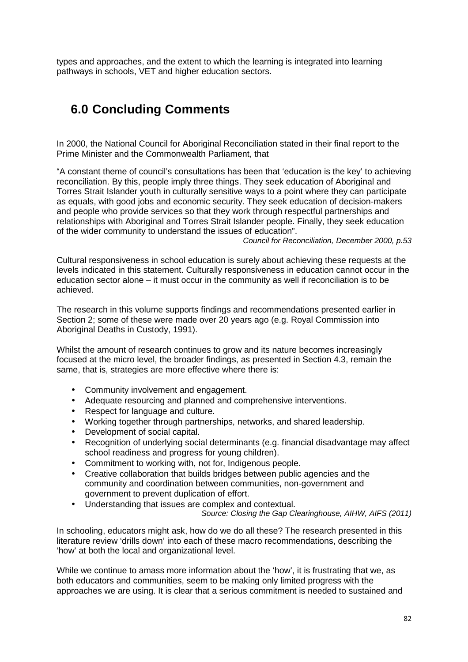types and approaches, and the extent to which the learning is integrated into learning pathways in schools, VET and higher education sectors.

# **6.0 Concluding Comments**

In 2000, the National Council for Aboriginal Reconciliation stated in their final report to the Prime Minister and the Commonwealth Parliament, that

"A constant theme of council's consultations has been that 'education is the key' to achieving reconciliation. By this, people imply three things. They seek education of Aboriginal and Torres Strait Islander youth in culturally sensitive ways to a point where they can participate as equals, with good jobs and economic security. They seek education of decision-makers and people who provide services so that they work through respectful partnerships and relationships with Aboriginal and Torres Strait Islander people. Finally, they seek education of the wider community to understand the issues of education".

Council for Reconciliation, December 2000, p.53

Cultural responsiveness in school education is surely about achieving these requests at the levels indicated in this statement. Culturally responsiveness in education cannot occur in the education sector alone – it must occur in the community as well if reconciliation is to be achieved.

The research in this volume supports findings and recommendations presented earlier in Section 2; some of these were made over 20 years ago (e.g. Royal Commission into Aboriginal Deaths in Custody, 1991).

Whilst the amount of research continues to grow and its nature becomes increasingly focused at the micro level, the broader findings, as presented in Section 4.3, remain the same, that is, strategies are more effective where there is:

- Community involvement and engagement.
- Adequate resourcing and planned and comprehensive interventions.
- Respect for language and culture.
- Working together through partnerships, networks, and shared leadership.
- Development of social capital.
- Recognition of underlying social determinants (e.g. financial disadvantage may affect school readiness and progress for young children).
- Commitment to working with, not for, Indigenous people.
- Creative collaboration that builds bridges between public agencies and the community and coordination between communities, non-government and government to prevent duplication of effort.
- Understanding that issues are complex and contextual.

Source: Closing the Gap Clearinghouse, AIHW, AIFS (2011)

In schooling, educators might ask, how do we do all these? The research presented in this literature review 'drills down' into each of these macro recommendations, describing the 'how' at both the local and organizational level.

While we continue to amass more information about the 'how', it is frustrating that we, as both educators and communities, seem to be making only limited progress with the approaches we are using. It is clear that a serious commitment is needed to sustained and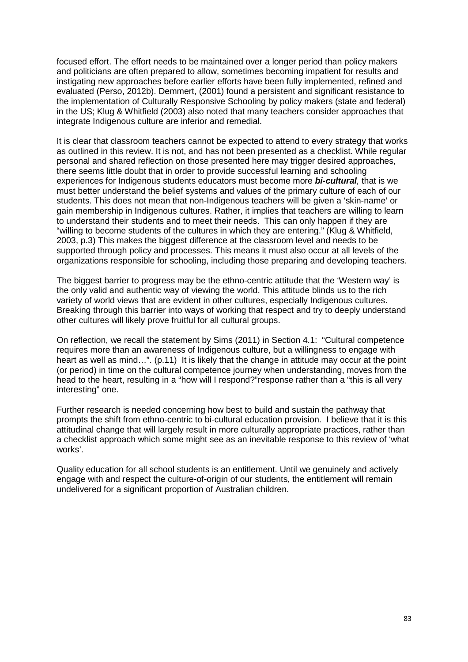focused effort. The effort needs to be maintained over a longer period than policy makers and politicians are often prepared to allow, sometimes becoming impatient for results and instigating new approaches before earlier efforts have been fully implemented, refined and evaluated (Perso, 2012b). Demmert, (2001) found a persistent and significant resistance to the implementation of Culturally Responsive Schooling by policy makers (state and federal) in the US; Klug & Whitfield (2003) also noted that many teachers consider approaches that integrate Indigenous culture are inferior and remedial.

It is clear that classroom teachers cannot be expected to attend to every strategy that works as outlined in this review. It is not, and has not been presented as a checklist. While regular personal and shared reflection on those presented here may trigger desired approaches, there seems little doubt that in order to provide successful learning and schooling experiences for Indigenous students educators must become more **bi-cultural**, that is we must better understand the belief systems and values of the primary culture of each of our students. This does not mean that non-Indigenous teachers will be given a 'skin-name' or gain membership in Indigenous cultures. Rather, it implies that teachers are willing to learn to understand their students and to meet their needs. This can only happen if they are "willing to become students of the cultures in which they are entering." (Klug & Whitfield, 2003, p.3) This makes the biggest difference at the classroom level and needs to be supported through policy and processes. This means it must also occur at all levels of the organizations responsible for schooling, including those preparing and developing teachers.

The biggest barrier to progress may be the ethno-centric attitude that the 'Western way' is the only valid and authentic way of viewing the world. This attitude blinds us to the rich variety of world views that are evident in other cultures, especially Indigenous cultures. Breaking through this barrier into ways of working that respect and try to deeply understand other cultures will likely prove fruitful for all cultural groups.

On reflection, we recall the statement by Sims (2011) in Section 4.1: "Cultural competence requires more than an awareness of Indigenous culture, but a willingness to engage with heart as well as mind...". (p.11) It is likely that the change in attitude may occur at the point (or period) in time on the cultural competence journey when understanding, moves from the head to the heart, resulting in a "how will I respond?"response rather than a "this is all very interesting" one.

Further research is needed concerning how best to build and sustain the pathway that prompts the shift from ethno-centric to bi-cultural education provision. I believe that it is this attitudinal change that will largely result in more culturally appropriate practices, rather than a checklist approach which some might see as an inevitable response to this review of 'what works'.

Quality education for all school students is an entitlement. Until we genuinely and actively engage with and respect the culture-of-origin of our students, the entitlement will remain undelivered for a significant proportion of Australian children.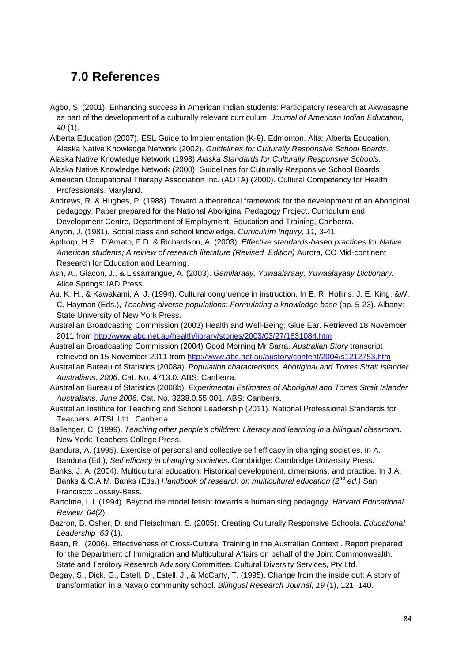# **7.0 References**

- Agbo, S. (2001). Enhancing success in American Indian students: Participatory research at Akwasasne as part of the development of a culturally relevant curriculum. Journal of American Indian Education, 40 (1).
- Alberta Education (2007). ESL Guide to Implementation (K-9). Edmonton, Alta: Alberta Education, Alaska Native Knowledge Network (2002). Guidelines for Culturally Responsive School Boards.

Alaska Native Knowledge Network (1998).Alaska Standards for Culturally Responsive Schools.

- Alaska Native Knowledge Network (2000). Guidelines for Culturally Responsive School Boards American Occupational Therapy Association Inc. (AOTA) (2000). Cultural Competency for Health Professionals, Maryland.
- Andrews, R. & Hughes, P. (1988). Toward a theoretical framework for the development of an Aboriginal pedagogy. Paper prepared for the National Aboriginal Pedagogy Project, Curriculum and Development Centre, Department of Employment, Education and Training, Canberra.

Anyon, J. (1981). Social class and school knowledge. Curriculum Inquiry, 11, 3-41.

- Apthorp, H.S., D'Amato, F.D. & Richardson, A. (2003). Effective standards-based practices for Native American students; A review of research literature (Revised Edition) Aurora, CO Mid-continent Research for Education and Learning.
- Ash, A., Giacon, J., & Lissarrangue, A. (2003). Gamilaraay, Yuwaalaraay, Yuwaalayaay Dictionary. Alice Springs: IAD Press.
- Au, K. H., & Kawakami, A. J. (1994). Cultural congruence in instruction. In E. R. Hollins, J. E. King, &W. C. Hayman (Eds.), Teaching diverse populations: Formulating a knowledge base (pp. 5-23). Albany: State University of New York Press.
- Australian Broadcasting Commission (2003) Health and Well-Being; Glue Ear. Retrieved 18 November 2011 from http://www.abc.net.au/health/library/stories/2003/03/27/1831084.htm

Australian Broadcasting Commission (2004) Good Morning Mr Sarra. Australian Story transcript retrieved on 15 November 2011 from http://www.abc.net.au/austory/content/2004/s1212753.htm

- Australian Bureau of Statistics (2008a). Population characteristics, Aboriginal and Torres Strait Islander Australians, 2006. Cat. No. 4713.0. ABS: Canberra.
- Australian Bureau of Statistics (2008b). Experimental Estimates of Aboriginal and Torres Strait Islander Australians, June 2006, Cat. No. 3238.0.55.001. ABS: Canberra.
- Australian Institute for Teaching and School Leadership (2011). National Professional Standards for Teachers. AITSL Ltd., Canberra.
- Ballenger, C. (1999). Teaching other people's children: Literacy and learning in a bilingual classroom. New York: Teachers College Press.
- Bandura, A. (1995). Exercise of personal and collective self efficacy in changing societies. In A. Bandura (Ed.), Self efficacy in changing societies. Cambridge: Cambridge University Press.
- Banks, J. A. (2004). Multicultural education: Historical development, dimensions, and practice. In J.A. Banks & C.A.M. Banks (Eds.) Handbook of research on multicultural education (2<sup>nd</sup> ed.) San Francisco: Jossey-Bass.
- Bartolme, L.I. (1994). Beyond the model fetish: towards a humanising pedagogy, Harvard Educational Review, 64(2).
- Bazron, B. Osher, D. and Fleischman, S. (2005). Creating Culturally Responsive Schools. *Educational* Leadership 63 (1).
- Bean, R. (2006). Effectiveness of Cross-Cultural Training in the Australian Context . Report prepared for the Department of Immigration and Multicultural Affairs on behalf of the Joint Commonwealth, State and Territory Research Advisory Committee. Cultural Diversity Services, Pty Ltd.
- Begay, S., Dick, G., Estell, D., Estell, J., & McCarty, T. (1995). Change from the inside out: A story of transformation in a Navajo community school. Bilingual Research Journal, 19 (1), 121–140.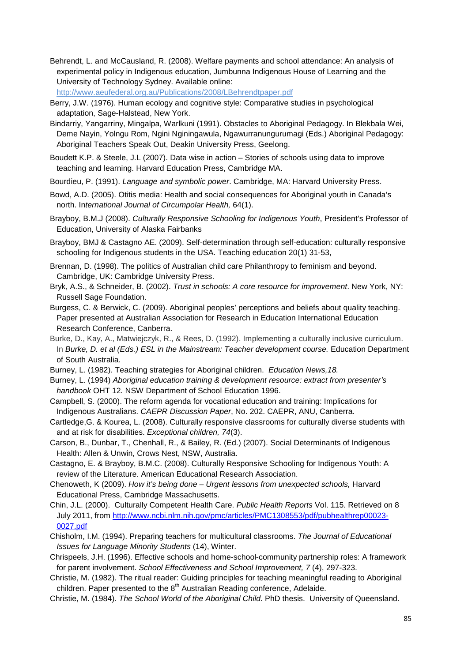Behrendt, L. and McCausland, R. (2008). Welfare payments and school attendance: An analysis of experimental policy in Indigenous education, Jumbunna Indigenous House of Learning and the University of Technology Sydney. Available online:

http://www.aeufederal.org.au/Publications/2008/LBehrendtpaper.pdf

- Berry, J.W. (1976). Human ecology and cognitive style: Comparative studies in psychological adaptation, Sage-Halstead, New York.
- Bindarriy, Yangarriny, Mingalpa, Warlkuni (1991). Obstacles to Aboriginal Pedagogy. In Blekbala Wei, Deme Nayin, Yolngu Rom, Ngini Nginingawula, Ngawurranungurumagi (Eds.) Aboriginal Pedagogy: Aboriginal Teachers Speak Out, Deakin University Press, Geelong.
- Boudett K.P. & Steele, J.L (2007). Data wise in action Stories of schools using data to improve teaching and learning. Harvard Education Press, Cambridge MA.
- Bourdieu, P. (1991). Language and symbolic power. Cambridge, MA: Harvard University Press.
- Bowd, A.D. (2005). Otitis media: Health and social consequences for Aboriginal youth in Canada's north. International Journal of Circumpolar Health, 64(1).
- Brayboy, B.M.J (2008). Culturally Responsive Schooling for Indigenous Youth, President's Professor of Education, University of Alaska Fairbanks
- Brayboy, BMJ & Castagno AE. (2009). Self-determination through self-education: culturally responsive schooling for Indigenous students in the USA. Teaching education 20(1) 31-53,
- Brennan, D. (1998). The politics of Australian child care Philanthropy to feminism and beyond. Cambridge, UK: Cambridge University Press.
- Bryk, A.S., & Schneider, B. (2002). Trust in schools: A core resource for improvement. New York, NY: Russell Sage Foundation.
- Burgess, C. & Berwick, C. (2009). Aboriginal peoples' perceptions and beliefs about quality teaching. Paper presented at Australian Association for Research in Education International Education Research Conference, Canberra.
- Burke, D., Kay, A., Matwiejczyk, R., & Rees, D. (1992). Implementing a culturally inclusive curriculum. In Burke, D. et al (Eds.) ESL in the Mainstream: Teacher development course. Education Department of South Australia.
- Burney, L. (1982). Teaching strategies for Aboriginal children. Education News,18.
- Burney, L. (1994) Aboriginal education training & development resource: extract from presenter's handbook OHT 12. NSW Department of School Education 1996.
- Campbell, S. (2000). The reform agenda for vocational education and training: Implications for Indigenous Australians. CAEPR Discussion Paper, No. 202. CAEPR, ANU, Canberra.
- Cartledge,G. & Kourea, L. (2008). Culturally responsive classrooms for culturally diverse students with and at risk for disabilities. Exceptional children, 74(3).
- Carson, B., Dunbar, T., Chenhall, R., & Bailey, R. (Ed.) (2007). Social Determinants of Indigenous Health: Allen & Unwin, Crows Nest, NSW, Australia.
- Castagno, E. & Brayboy, B.M.C. (2008). Culturally Responsive Schooling for Indigenous Youth: A review of the Literature. American Educational Research Association.
- Chenoweth, K (2009). How it's being done Urgent lessons from unexpected schools, Harvard Educational Press, Cambridge Massachusetts.
- Chin, J.L. (2000). Culturally Competent Health Care. Public Health Reports Vol. 115. Retrieved on 8 July 2011, from http://www.ncbi.nlm.nih.gov/pmc/articles/PMC1308553/pdf/pubhealthrep00023- 0027.pdf
- Chisholm, I.M. (1994). Preparing teachers for multicultural classrooms. The Journal of Educational Issues for Language Minority Students (14), Winter.
- Chrispeels, J.H. (1996). Effective schools and home-school-community partnership roles: A framework for parent involvement. School Effectiveness and School Improvement, 7 (4), 297-323.
- Christie, M. (1982). The ritual reader: Guiding principles for teaching meaningful reading to Aboriginal children. Paper presented to the  $8<sup>th</sup>$  Australian Reading conference, Adelaide.
- Christie, M. (1984). The School World of the Aboriginal Child. PhD thesis. University of Queensland.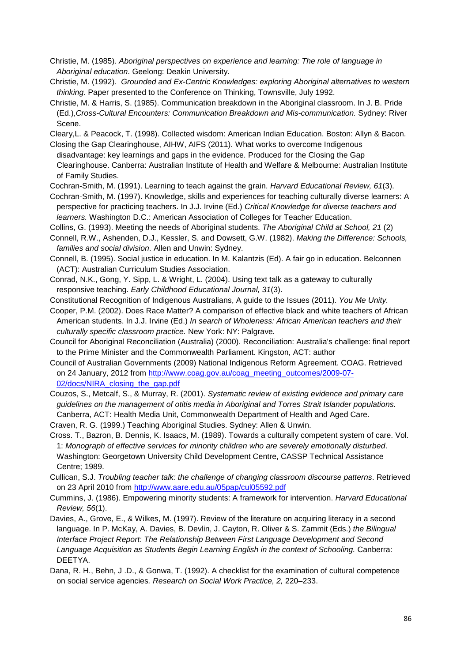Christie, M. (1985). Aboriginal perspectives on experience and learning: The role of language in Aboriginal education. Geelong: Deakin University.

Christie, M. (1992). Grounded and Ex-Centric Knowledges: exploring Aboriginal alternatives to western thinking. Paper presented to the Conference on Thinking, Townsville, July 1992.

Christie, M. & Harris, S. (1985). Communication breakdown in the Aboriginal classroom. In J. B. Pride (Ed.),Cross-Cultural Encounters: Communication Breakdown and Mis-communication. Sydney: River Scene.

Cleary,L. & Peacock, T. (1998). Collected wisdom: American Indian Education. Boston: Allyn & Bacon.

Closing the Gap Clearinghouse, AIHW, AIFS (2011). What works to overcome Indigenous disadvantage: key learnings and gaps in the evidence. Produced for the Closing the Gap Clearinghouse. Canberra: Australian Institute of Health and Welfare & Melbourne: Australian Institute of Family Studies.

Cochran-Smith, M. (1991). Learning to teach against the grain. Harvard Educational Review, 61(3).

Cochran-Smith, M. (1997). Knowledge, skills and experiences for teaching culturally diverse learners: A perspective for practicing teachers. In J.J. Irvine (Ed.) Critical Knowledge for diverse teachers and learners. Washington D.C.: American Association of Colleges for Teacher Education.

Collins, G. (1993). Meeting the needs of Aboriginal students. The Aboriginal Child at School, 21 (2)

Connell, R.W., Ashenden, D.J., Kessler, S. and Dowsett, G.W. (1982). Making the Difference: Schools, families and social division. Allen and Unwin: Sydney.

- Connell, B. (1995). Social justice in education. In M. Kalantzis (Ed). A fair go in education. Belconnen (ACT): Australian Curriculum Studies Association.
- Conrad, N.K., Gong, Y. Sipp, L. & Wright, L. (2004). Using text talk as a gateway to culturally responsive teaching. Early Childhood Educational Journal, 31(3).

Constitutional Recognition of Indigenous Australians, A guide to the Issues (2011). You Me Unity.

- Cooper, P.M. (2002). Does Race Matter? A comparison of effective black and white teachers of African American students. In J.J. Irvine (Ed.) In search of Wholeness: African American teachers and their culturally specific classroom practice. New York: NY: Palgrave.
- Council for Aboriginal Reconciliation (Australia) (2000). Reconciliation: Australia's challenge: final report to the Prime Minister and the Commonwealth Parliament. Kingston, ACT: author

Council of Australian Governments (2009) National Indigenous Reform Agreement. COAG. Retrieved on 24 January, 2012 from http://www.coag.gov.au/coag\_meeting\_outcomes/2009-07- 02/docs/NIRA\_closing\_the\_gap.pdf

Couzos, S., Metcalf, S., & Murray, R. (2001). Systematic review of existing evidence and primary care guidelines on the management of otitis media in Aboriginal and Torres Strait Islander populations. Canberra, ACT: Health Media Unit, Commonwealth Department of Health and Aged Care.

- Craven, R. G. (1999.) Teaching Aboriginal Studies. Sydney: Allen & Unwin.
- Cross. T., Bazron, B. Dennis, K. Isaacs, M. (1989). Towards a culturally competent system of care. Vol. 1: Monograph of effective services for minority children who are severely emotionally disturbed. Washington: Georgetown University Child Development Centre, CASSP Technical Assistance Centre; 1989.
- Cullican, S.J. Troubling teacher talk: the challenge of changing classroom discourse patterns. Retrieved on 23 April 2010 from http://www.aare.edu.au/05pap/cul05592.pdf
- Cummins, J. (1986). Empowering minority students: A framework for intervention. Harvard Educational Review, 56(1).
- Davies, A., Grove, E., & Wilkes, M. (1997). Review of the literature on acquiring literacy in a second language. In P. McKay, A. Davies, B. Devlin, J. Cayton, R. Oliver & S. Zammit (Eds.) the Bilingual Interface Project Report: The Relationship Between First Language Development and Second Language Acquisition as Students Begin Learning English in the context of Schooling. Canberra: DEETYA.
- Dana, R. H., Behn, J .D., & Gonwa, T. (1992). A checklist for the examination of cultural competence on social service agencies. Research on Social Work Practice, 2, 220–233.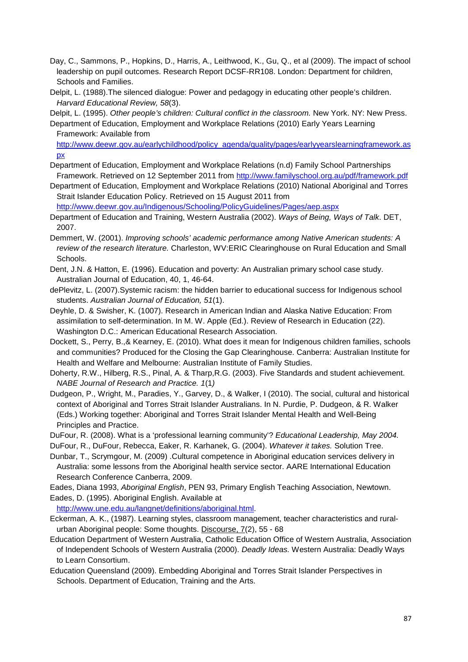- Day, C., Sammons, P., Hopkins, D., Harris, A., Leithwood, K., Gu, Q., et al (2009). The impact of school leadership on pupil outcomes. Research Report DCSF-RR108. London: Department for children, Schools and Families.
- Delpit, L. (1988).The silenced dialogue: Power and pedagogy in educating other people's children. Harvard Educational Review, 58(3).

Delpit, L. (1995). Other people's children: Cultural conflict in the classroom. New York. NY: New Press.

Department of Education, Employment and Workplace Relations (2010) Early Years Learning Framework: Available from

http://www.deewr.gov.au/earlychildhood/policy\_agenda/quality/pages/earlyyearslearningframework.as px

- Department of Education, Employment and Workplace Relations (n.d) Family School Partnerships Framework. Retrieved on 12 September 2011 from http://www.familyschool.org.au/pdf/framework.pdf
- Department of Education, Employment and Workplace Relations (2010) National Aboriginal and Torres Strait Islander Education Policy. Retrieved on 15 August 2011 from

http://www.deewr.gov.au/Indigenous/Schooling/PolicyGuidelines/Pages/aep.aspx

- Department of Education and Training, Western Australia (2002). Ways of Being, Ways of Talk. DET, 2007.
- Demmert, W. (2001). Improving schools' academic performance among Native American students: A review of the research literature. Charleston, WV:ERIC Clearinghouse on Rural Education and Small Schools.
- Dent, J.N. & Hatton, E. (1996). Education and poverty: An Australian primary school case study. Australian Journal of Education, 40, 1, 46-64.
- dePlevitz, L. (2007).Systemic racism: the hidden barrier to educational success for Indigenous school students. Australian Journal of Education, 51(1).
- Deyhle, D. & Swisher, K. (1007). Research in American Indian and Alaska Native Education: From assimilation to self-determination. In M. W. Apple (Ed.). Review of Research in Education (22). Washington D.C.: American Educational Research Association.
- Dockett, S., Perry, B.,& Kearney, E. (2010). What does it mean for Indigenous children families, schools and communities? Produced for the Closing the Gap Clearinghouse. Canberra: Australian Institute for Health and Welfare and Melbourne: Australian Institute of Family Studies.
- Doherty, R.W., Hilberg, R.S., Pinal, A. & Tharp,R.G. (2003). Five Standards and student achievement. NABE Journal of Research and Practice. 1(1)
- Dudgeon, P., Wright, M., Paradies, Y., Garvey, D., & Walker, I (2010). The social, cultural and historical context of Aboriginal and Torres Strait Islander Australians. In N. Purdie, P. Dudgeon, & R. Walker (Eds.) Working together: Aboriginal and Torres Strait Islander Mental Health and Well-Being Principles and Practice.
- DuFour, R. (2008). What is a 'professional learning community'? Educational Leadership, May 2004.
- DuFour, R., DuFour, Rebecca, Eaker, R. Karhanek, G. (2004). Whatever it takes. Solution Tree.
- Dunbar, T., Scrymgour, M. (2009) .Cultural competence in Aboriginal education services delivery in Australia: some lessons from the Aboriginal health service sector. AARE International Education Research Conference Canberra, 2009.

Eades, Diana 1993, Aboriginal English, PEN 93, Primary English Teaching Association, Newtown. Eades, D. (1995). Aboriginal English. Available at

http://www.une.edu.au/langnet/definitions/aboriginal.html.

- Eckerman, A. K., (1987). Learning styles, classroom management, teacher characteristics and ruralurban Aboriginal people: Some thoughts. Discourse, 7(2), 55 - 68
- Education Department of Western Australia, Catholic Education Office of Western Australia, Association of Independent Schools of Western Australia (2000). Deadly Ideas. Western Australia: Deadly Ways to Learn Consortium.
- Education Queensland (2009). Embedding Aboriginal and Torres Strait Islander Perspectives in Schools. Department of Education, Training and the Arts.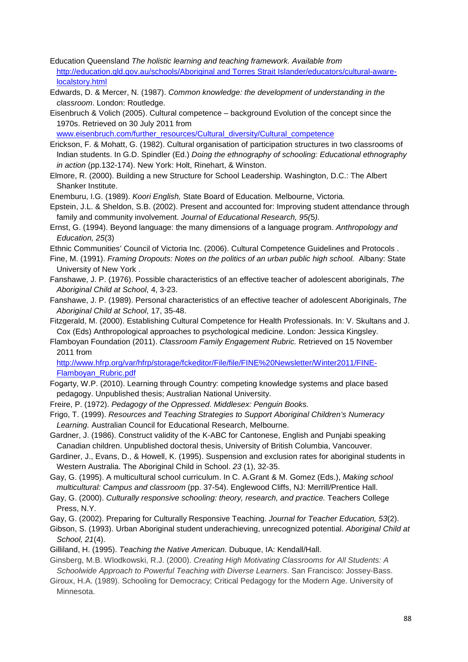Education Queensland The holistic learning and teaching framework. Available from http://education.qld.gov.au/schools/Aboriginal and Torres Strait Islander/educators/cultural-awarelocalstory.html

- Edwards, D. & Mercer, N. (1987). Common knowledge: the development of understanding in the classroom. London: Routledge.
- Eisenbruch & Volich (2005). Cultural competence background Evolution of the concept since the 1970s. Retrieved on 30 July 2011 from

www.eisenbruch.com/further\_resources/Cultural\_diversity/Cultural\_competence

- Erickson, F. & Mohatt, G. (1982). Cultural organisation of participation structures in two classrooms of Indian students. In G.D. Spindler (Ed.) Doing the ethnography of schooling: Educational ethnography in action (pp.132-174). New York: Holt, Rinehart, & Winston.
- Elmore, R. (2000). Building a new Structure for School Leadership. Washington, D.C.: The Albert Shanker Institute.

Enemburu, I.G. (1989). Koori English, State Board of Education. Melbourne, Victoria.

- Epstein, J.L. & Sheldon, S.B. (2002). Present and accounted for: Improving student attendance through family and community involvement. Journal of Educational Research, 95(5).
- Ernst, G. (1994). Beyond language: the many dimensions of a language program. Anthropology and Education, 25(3)

Ethnic Communities' Council of Victoria Inc. (2006). Cultural Competence Guidelines and Protocols .

- Fine, M. (1991). Framing Dropouts: Notes on the politics of an urban public high school. Albany: State University of New York .
- Fanshawe, J. P. (1976). Possible characteristics of an effective teacher of adolescent aboriginals, The Aboriginal Child at School, 4, 3-23.
- Fanshawe, J. P. (1989). Personal characteristics of an effective teacher of adolescent Aboriginals, The Aboriginal Child at School, 17, 35-48.
- Fitzgerald, M. (2000). Establishing Cultural Competence for Health Professionals. In: V. Skultans and J. Cox (Eds) Anthropological approaches to psychological medicine. London: Jessica Kingsley.
- Flamboyan Foundation (2011). Classroom Family Engagement Rubric. Retrieved on 15 November 2011 from

http://www.hfrp.org/var/hfrp/storage/fckeditor/File/file/FINE%20Newsletter/Winter2011/FINE-Flamboyan\_Rubric.pdf

- Fogarty, W.P. (2010). Learning through Country: competing knowledge systems and place based pedagogy. Unpublished thesis; Australian National University.
- Freire, P. (1972). Pedagogy of the Oppressed. Middlesex: Penguin Books.
- Frigo, T. (1999). Resources and Teaching Strategies to Support Aboriginal Children's Numeracy Learning. Australian Council for Educational Research, Melbourne.
- Gardner, J. (1986). Construct validity of the K-ABC for Cantonese, English and Punjabi speaking Canadian children. Unpublished doctoral thesis, University of British Columbia, Vancouver.
- Gardiner, J., Evans, D., & Howell, K. (1995). Suspension and exclusion rates for aboriginal students in Western Australia. The Aboriginal Child in School. 23 (1), 32-35.

Gay, G. (1995). A multicultural school curriculum. In C. A.Grant & M. Gomez (Eds.), Making school multicultural: Campus and classroom (pp. 37-54). Englewood Cliffs, NJ: Merrill/Prentice Hall.

- Gay, G. (2000). Culturally responsive schooling: theory, research, and practice. Teachers College Press, N.Y.
- Gay, G. (2002). Preparing for Culturally Responsive Teaching. Journal for Teacher Education, 53(2).

Gibson, S. (1993). Urban Aboriginal student underachieving, unrecognized potential. Aboriginal Child at School, 21(4).

Gilliland, H. (1995). Teaching the Native American. Dubuque, IA: Kendall/Hall.

Ginsberg, M.B. Wlodkowski, R.J. (2000). Creating High Motivating Classrooms for All Students: A Schoolwide Approach to Powerful Teaching with Diverse Learners. San Francisco: Jossey-Bass.

Giroux, H.A. (1989). Schooling for Democracy; Critical Pedagogy for the Modern Age. University of Minnesota.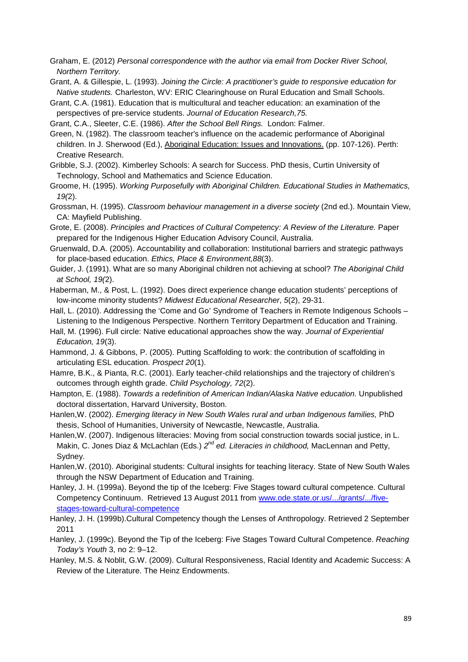Graham, E. (2012) Personal correspondence with the author via email from Docker River School, Northern Territory.

Grant, A. & Gillespie, L. (1993). Joining the Circle: A practitioner's guide to responsive education for Native students. Charleston, WV: ERIC Clearinghouse on Rural Education and Small Schools.

Grant, C.A. (1981). Education that is multicultural and teacher education: an examination of the perspectives of pre-service students. Journal of Education Research,75.

Grant, C.A., Sleeter, C.E. (1986). After the School Bell Rings. London: Falmer.

Green, N. (1982). The classroom teacher's influence on the academic performance of Aboriginal children. In J. Sherwood (Ed.), Aboriginal Education: Issues and Innovations. (pp. 107-126). Perth: Creative Research.

Gribble, S.J. (2002). Kimberley Schools: A search for Success. PhD thesis, Curtin University of Technology, School and Mathematics and Science Education.

Groome, H. (1995). Working Purposefully with Aboriginal Children. Educational Studies in Mathematics, 19(2).

Grossman, H. (1995). Classroom behaviour management in a diverse society (2nd ed.). Mountain View, CA: Mayfield Publishing.

Grote, E. (2008). Principles and Practices of Cultural Competency: A Review of the Literature. Paper prepared for the Indigenous Higher Education Advisory Council, Australia.

Gruenwald, D.A. (2005). Accountability and collaboration: Institutional barriers and strategic pathways for place-based education. Ethics, Place & Environment,88(3).

Guider, J. (1991). What are so many Aboriginal children not achieving at school? The Aboriginal Child at School, 19(2).

Haberman, M., & Post, L. (1992). Does direct experience change education students' perceptions of low-income minority students? Midwest Educational Researcher, 5(2), 29-31.

Hall, L. (2010). Addressing the 'Come and Go' Syndrome of Teachers in Remote Indigenous Schools – Listening to the Indigenous Perspective. Northern Territory Department of Education and Training.

Hall, M. (1996). Full circle: Native educational approaches show the way. Journal of Experiential Education, 19(3).

Hammond, J. & Gibbons, P. (2005). Putting Scaffolding to work: the contribution of scaffolding in articulating ESL education. Prospect 20(1).

Hamre, B.K., & Pianta, R.C. (2001). Early teacher-child relationships and the trajectory of children's outcomes through eighth grade. Child Psychology, 72(2).

Hampton, E. (1988). Towards a redefinition of American Indian/Alaska Native education. Unpublished doctoral dissertation, Harvard University, Boston.

Hanlen,W. (2002). Emerging literacy in New South Wales rural and urban Indigenous families, PhD thesis, School of Humanities, University of Newcastle, Newcastle, Australia.

Hanlen,W. (2007). Indigenous lilteracies: Moving from social construction towards social justice, in L. Makin, C. Jones Diaz & McLachlan (Eds.) 2<sup>nd</sup> ed. Literacies in childhood, MacLennan and Petty, Sydney.

Hanlen,W. (2010). Aboriginal students: Cultural insights for teaching literacy. State of New South Wales through the NSW Department of Education and Training.

Hanley, J. H. (1999a). Beyond the tip of the Iceberg: Five Stages toward cultural competence. Cultural Competency Continuum. Retrieved 13 August 2011 from www.ode.state.or.us/.../grants/.../fivestages-toward-cultural-competence

Hanley, J. H. (1999b).Cultural Competency though the Lenses of Anthropology. Retrieved 2 September 2011

Hanley, J. (1999c). Beyond the Tip of the Iceberg: Five Stages Toward Cultural Competence. Reaching Today's Youth 3, no 2: 9–12.

Hanley, M.S. & Noblit, G.W. (2009). Cultural Responsiveness, Racial Identity and Academic Success: A Review of the Literature. The Heinz Endowments.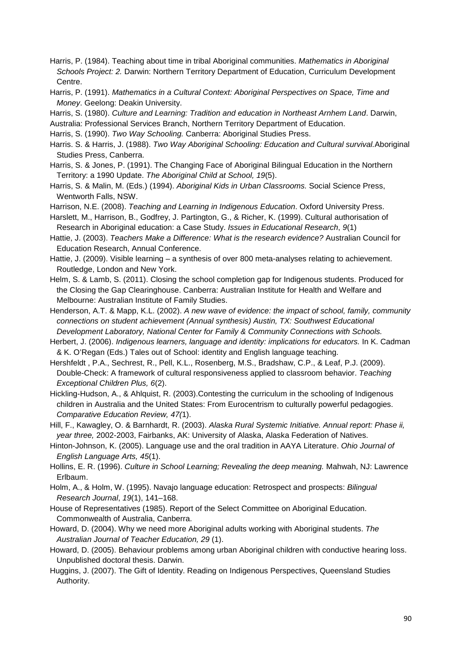- Harris, P. (1984). Teaching about time in tribal Aboriginal communities. Mathematics in Aboriginal Schools Project: 2. Darwin: Northern Territory Department of Education, Curriculum Development Centre.
- Harris, P. (1991). Mathematics in a Cultural Context: Aboriginal Perspectives on Space, Time and Money. Geelong: Deakin University.
- Harris, S. (1980). Culture and Learning: Tradition and education in Northeast Arnhem Land. Darwin,
- Australia: Professional Services Branch, Northern Territory Department of Education.
- Harris, S. (1990). Two Way Schooling. Canberra: Aboriginal Studies Press.
- Harris. S. & Harris, J. (1988). Two Way Aboriginal Schooling: Education and Cultural survival. Aboriginal Studies Press, Canberra.
- Harris, S. & Jones, P. (1991). The Changing Face of Aboriginal Bilingual Education in the Northern Territory: a 1990 Update. The Aboriginal Child at School, 19(5).
- Harris, S. & Malin, M. (Eds.) (1994). Aboriginal Kids in Urban Classrooms. Social Science Press, Wentworth Falls, NSW.
- Harrison, N.E. (2008). Teaching and Learning in Indigenous Education. Oxford University Press.
- Harslett, M., Harrison, B., Godfrey, J. Partington, G., & Richer, K. (1999). Cultural authorisation of Research in Aboriginal education: a Case Study. Issues in Educational Research, 9(1)
- Hattie, J. (2003). Teachers Make a Difference: What is the research evidence? Australian Council for Education Research, Annual Conference.
- Hattie, J. (2009). Visible learning a synthesis of over 800 meta-analyses relating to achievement. Routledge, London and New York.
- Helm, S. & Lamb, S. (2011). Closing the school completion gap for Indigenous students. Produced for the Closing the Gap Clearinghouse. Canberra: Australian Institute for Health and Welfare and Melbourne: Australian Institute of Family Studies.
- Henderson, A.T. & Mapp, K.L. (2002). A new wave of evidence: the impact of school, family, community connections on student achievement (Annual synthesis) Austin, TX: Southwest Educational Development Laboratory, National Center for Family & Community Connections with Schools.
- Herbert, J. (2006). Indigenous learners, language and identity: implications for educators. In K. Cadman & K. O'Regan (Eds.) Tales out of School: identity and English language teaching.
- Hershfeldt , P.A., Sechrest, R., Pell, K.L., Rosenberg, M.S., Bradshaw, C.P., & Leaf, P.J. (2009). Double-Check: A framework of cultural responsiveness applied to classroom behavior. Teaching Exceptional Children Plus, 6(2).
- Hickling-Hudson, A., & Ahlquist, R. (2003).Contesting the curriculum in the schooling of Indigenous children in Australia and the United States: From Eurocentrism to culturally powerful pedagogies. Comparative Education Review, 47(1).
- Hill, F., Kawagley, O. & Barnhardt, R. (2003). Alaska Rural Systemic Initiative. Annual report: Phase ii, year three, 2002-2003, Fairbanks, AK: University of Alaska, Alaska Federation of Natives.
- Hinton-Johnson, K. (2005). Language use and the oral tradition in AAYA Literature. Ohio Journal of English Language Arts, 45(1).
- Hollins, E. R. (1996). Culture in School Learning; Revealing the deep meaning. Mahwah, NJ: Lawrence Erlbaum.
- Holm, A., & Holm, W. (1995). Navaio language education: Retrospect and prospects: Bilingual Research Journal, 19(1), 141–168.
- House of Representatives (1985). Report of the Select Committee on Aboriginal Education. Commonwealth of Australia, Canberra.
- Howard, D. (2004). Why we need more Aboriginal adults working with Aboriginal students. The Australian Journal of Teacher Education, 29 (1).
- Howard, D. (2005). Behaviour problems among urban Aboriginal children with conductive hearing loss. Unpublished doctoral thesis. Darwin.
- Huggins, J. (2007). The Gift of Identity. Reading on Indigenous Perspectives, Queensland Studies Authority.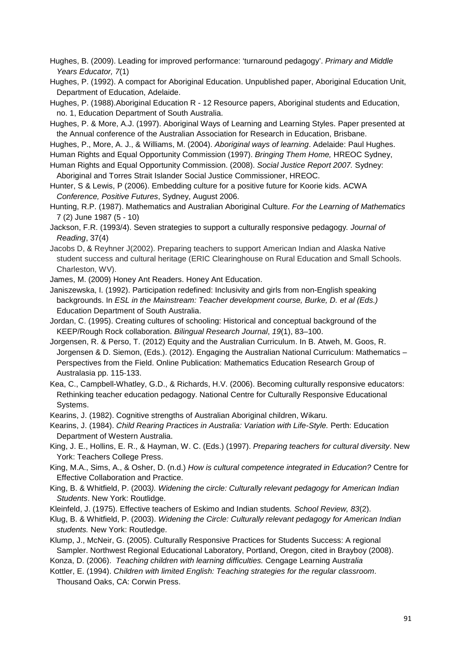Hughes, B. (2009). Leading for improved performance: 'turnaround pedagogy'. Primary and Middle Years Educator, 7(1)

Hughes, P. (1992). A compact for Aboriginal Education. Unpublished paper, Aboriginal Education Unit, Department of Education, Adelaide.

Hughes, P. (1988).Aboriginal Education R - 12 Resource papers, Aboriginal students and Education, no. 1, Education Department of South Australia.

Hughes, P. & More, A.J. (1997). Aboriginal Ways of Learning and Learning Styles. Paper presented at the Annual conference of the Australian Association for Research in Education, Brisbane.

Hughes, P., More, A. J., & Williams, M. (2004). Aboriginal ways of learning. Adelaide: Paul Hughes.

Human Rights and Equal Opportunity Commission (1997). Bringing Them Home, HREOC Sydney,

Human Rights and Equal Opportunity Commission. (2008). Social Justice Report 2007. Sydney: Aboriginal and Torres Strait Islander Social Justice Commissioner, HREOC.

- Hunter, S & Lewis, P (2006). Embedding culture for a positive future for Koorie kids. ACWA Conference, Positive Futures, Sydney, August 2006.
- Hunting, R.P. (1987). Mathematics and Australian Aboriginal Culture. For the Learning of Mathematics 7 (2) June 1987 (5 - 10)

Jackson, F.R. (1993/4). Seven strategies to support a culturally responsive pedagogy. Journal of Reading, 37(4)

Jacobs D, & Reyhner J(2002). Preparing teachers to support American Indian and Alaska Native student success and cultural heritage (ERIC Clearinghouse on Rural Education and Small Schools. Charleston, WV).

James, M. (2009) Honey Ant Readers. Honey Ant Education.

Janiszewska, I. (1992). Participation redefined: Inclusivity and girls from non-English speaking backgrounds. In ESL in the Mainstream: Teacher development course, Burke, D. et al (Eds.) Education Department of South Australia.

Jordan, C. (1995). Creating cultures of schooling: Historical and conceptual background of the KEEP/Rough Rock collaboration. Bilingual Research Journal, 19(1), 83–100.

Jorgensen, R. & Perso, T. (2012) Equity and the Australian Curriculum. In B. Atweh, M. Goos, R. Jorgensen & D. Siemon, (Eds.). (2012). Engaging the Australian National Curriculum: Mathematics – Perspectives from the Field. Online Publication: Mathematics Education Research Group of Australasia pp. 115-133.

Kea, C., Campbell-Whatley, G.D., & Richards, H.V. (2006). Becoming culturally responsive educators: Rethinking teacher education pedagogy. National Centre for Culturally Responsive Educational Systems.

Kearins, J. (1982). Cognitive strengths of Australian Aboriginal children, Wikaru.

Kearins, J. (1984). Child Rearing Practices in Australia: Variation with Life-Style. Perth: Education Department of Western Australia.

King, J. E., Hollins, E. R., & Hayman, W. C. (Eds.) (1997). Preparing teachers for cultural diversity. New York: Teachers College Press.

King, M.A., Sims, A., & Osher, D. (n.d.) How is cultural competence integrated in Education? Centre for Effective Collaboration and Practice.

King, B. & Whitfield, P. (2003). Widening the circle: Culturally relevant pedagogy for American Indian Students. New York: Routlidge.

Kleinfeld, J. (1975). Effective teachers of Eskimo and Indian students. School Review, 83(2).

Klug, B. & Whitfield, P. (2003). Widening the Circle: Culturally relevant pedagogy for American Indian students. New York: Routledge.

Klump, J., McNeir, G. (2005). Culturally Responsive Practices for Students Success: A regional Sampler. Northwest Regional Educational Laboratory, Portland, Oregon, cited in Brayboy (2008).

Konza, D. (2006). Teaching children with learning difficulties. Cengage Learning Australia

Kottler, E. (1994). Children with limited English: Teaching strategies for the regular classroom. Thousand Oaks, CA: Corwin Press.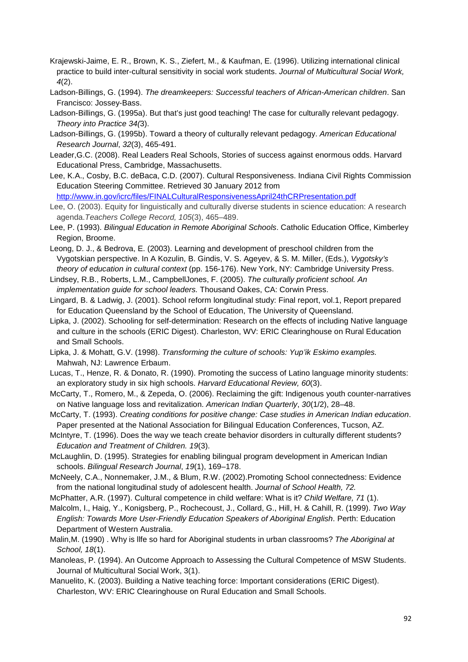- Krajewski-Jaime, E. R., Brown, K. S., Ziefert, M., & Kaufman, E. (1996). Utilizing international clinical practice to build inter-cultural sensitivity in social work students. Journal of Multicultural Social Work, 4(2).
- Ladson-Billings, G. (1994). The dreamkeepers: Successful teachers of African-American children. San Francisco: Jossey-Bass.
- Ladson-Billings, G. (1995a). But that's just good teaching! The case for culturally relevant pedagogy. Theory into Practice 34(3).
- Ladson-Billings, G. (1995b). Toward a theory of culturally relevant pedagogy. American Educational Research Journal, 32(3), 465-491.
- Leader,G.C. (2008). Real Leaders Real Schools, Stories of success against enormous odds. Harvard Educational Press, Cambridge, Massachusetts.
- Lee, K.A., Cosby, B.C. deBaca, C.D. (2007). Cultural Responsiveness. Indiana Civil Rights Commission Education Steering Committee. Retrieved 30 January 2012 from

http://www.in.gov/icrc/files/FINALCulturalResponsivenessApril24thCRPresentation.pdf

- Lee, O. (2003). Equity for linguistically and culturally diverse students in science education: A research agenda.Teachers College Record, 105(3), 465–489.
- Lee, P. (1993). Bilingual Education in Remote Aboriginal Schools. Catholic Education Office, Kimberley Region, Broome.
- Leong, D. J., & Bedrova, E. (2003). Learning and development of preschool children from the Vygotskian perspective. In A Kozulin, B. Gindis, V. S. Ageyev, & S. M. Miller, (Eds.), Vygotsky's theory of education in cultural context (pp. 156-176). New York, NY: Cambridge University Press.
- Lindsey, R.B., Roberts, L.M., CampbellJones, F. (2005). The culturally proficient school. An implementation guide for school leaders. Thousand Oakes, CA: Corwin Press.
- Lingard, B. & Ladwig, J. (2001). School reform longitudinal study: Final report, vol.1, Report prepared for Education Queensland by the School of Education, The University of Queensland.
- Lipka, J. (2002). Schooling for self-determination: Research on the effects of including Native language and culture in the schools (ERIC Digest). Charleston, WV: ERIC Clearinghouse on Rural Education and Small Schools.
- Lipka, J. & Mohatt, G.V. (1998). Transforming the culture of schools: Yup'ik Eskimo examples. Mahwah, NJ: Lawrence Erbaum.
- Lucas, T., Henze, R. & Donato, R. (1990). Promoting the success of Latino language minority students: an exploratory study in six high schools. Harvard Educational Review, 60(3).
- McCarty, T., Romero, M., & Zepeda, O. (2006). Reclaiming the gift: Indigenous youth counter-narratives on Native language loss and revitalization. American Indian Quarterly, 30(1/2), 28–48.
- McCarty, T. (1993). Creating conditions for positive change: Case studies in American Indian education. Paper presented at the National Association for Bilingual Education Conferences, Tucson, AZ.
- McIntyre, T. (1996). Does the way we teach create behavior disorders in culturally different students? Education and Treatment of Children. 19(3).
- McLaughlin, D. (1995). Strategies for enabling bilingual program development in American Indian schools. Bilingual Research Journal, 19(1), 169–178.
- McNeely, C.A., Nonnemaker, J.M., & Blum, R.W. (2002).Promoting School connectedness: Evidence from the national longitudinal study of adolescent health. Journal of School Health, 72.
- McPhatter, A.R. (1997). Cultural competence in child welfare: What is it? Child Welfare, 71 (1).
- Malcolm, I., Haig, Y., Konigsberg, P., Rochecoust, J., Collard, G., Hill, H. & Cahill, R. (1999). Two Way English: Towards More User-Friendly Education Speakers of Aboriginal English. Perth: Education Department of Western Australia.
- Malin, M. (1990). Why is Ilfe so hard for Aboriginal students in urban classrooms? The Aboriginal at School, 18(1).
- Manoleas, P. (1994). An Outcome Approach to Assessing the Cultural Competence of MSW Students. Journal of Multicultural Social Work, 3(1).
- Manuelito, K. (2003). Building a Native teaching force: Important considerations (ERIC Digest). Charleston, WV: ERIC Clearinghouse on Rural Education and Small Schools.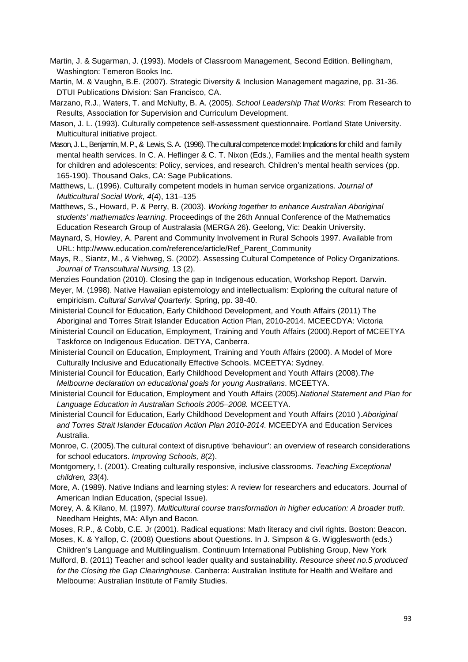- Martin, J. & Sugarman, J. (1993). Models of Classroom Management, Second Edition. Bellingham, Washington: Temeron Books Inc.
- Martin, M. & Vaughn, B.E. (2007). Strategic Diversity & Inclusion Management magazine, pp. 31-36. DTUI Publications Division: San Francisco, CA.
- Marzano, R.J., Waters, T. and McNulty, B. A. (2005). School Leadership That Works: From Research to Results, Association for Supervision and Curriculum Development.
- Mason, J. L. (1993). Culturally competence self-assessment questionnaire. Portland State University. Multicultural initiative project.
- Mason, J. L., Benjamin, M. P., & Lewis, S. A. (1996). The cultural competence model: Implications for child and family mental health services. In C. A. Heflinger & C. T. Nixon (Eds.), Families and the mental health system for children and adolescents: Policy, services, and research. Children's mental health services (pp. 165-190). Thousand Oaks, CA: Sage Publications.
- Matthews, L. (1996). Culturally competent models in human service organizations. Journal of Multicultural Social Work, 4(4), 131–135
- Matthews, S., Howard, P. & Perry, B. (2003). Working together to enhance Australian Aboriginal students' mathematics learning. Proceedings of the 26th Annual Conference of the Mathematics Education Research Group of Australasia (MERGA 26). Geelong, Vic: Deakin University.
- Maynard, S, Howley, A. Parent and Community Involvement in Rural Schools 1997. Available from URL: http://www.education.com/reference/article/Ref\_Parent\_Community
- Mays, R., Siantz, M., & Viehweg, S. (2002). Assessing Cultural Competence of Policy Organizations. Journal of Transcultural Nursing, 13 (2).
- Menzies Foundation (2010). Closing the gap in Indigenous education, Workshop Report. Darwin.

Meyer, M. (1998). Native Hawaiian epistemology and intellectualism: Exploring the cultural nature of empiricism. Cultural Survival Quarterly. Spring, pp. 38-40.

- Ministerial Council for Education, Early Childhood Development, and Youth Affairs (2011) The Aboriginal and Torres Strait Islander Education Action Plan, 2010-2014. MCEECDYA: Victoria
- Ministerial Council on Education, Employment, Training and Youth Affairs (2000).Report of MCEETYA Taskforce on Indigenous Education. DETYA, Canberra.
- Ministerial Council on Education, Employment, Training and Youth Affairs (2000). A Model of More Culturally Inclusive and Educationally Effective Schools. MCEETYA: Sydney.
- Ministerial Council for Education, Early Childhood Development and Youth Affairs (2008).The Melbourne declaration on educational goals for young Australians. MCEETYA.
- Ministerial Council for Education, Employment and Youth Affairs (2005).National Statement and Plan for Language Education in Australian Schools 2005–2008. MCEETYA.
- Ministerial Council for Education, Early Childhood Development and Youth Affairs (2010). Aboriginal and Torres Strait Islander Education Action Plan 2010-2014. MCEEDYA and Education Services Australia.
- Monroe, C. (2005).The cultural context of disruptive 'behaviour': an overview of research considerations for school educators. Improving Schools, 8(2).
- Montgomery, I. (2001). Creating culturally responsive, inclusive classrooms. Teaching Exceptional children, 33(4).
- More, A. (1989). Native Indians and learning styles: A review for researchers and educators. Journal of American Indian Education, (special Issue).
- Morey, A. & Kilano, M. (1997). Multicultural course transformation in higher education: A broader truth. Needham Heights, MA: Allyn and Bacon.
- Moses, R.P., & Cobb, C.E. Jr (2001). Radical equations: Math literacy and civil rights. Boston: Beacon.
- Moses, K. & Yallop, C. (2008) Questions about Questions. In J. Simpson & G. Wigglesworth (eds.) Children's Language and Multilingualism. Continuum International Publishing Group, New York
- Mulford, B. (2011) Teacher and school leader quality and sustainability. Resource sheet no.5 produced for the Closing the Gap Clearinghouse. Canberra: Australian Institute for Health and Welfare and Melbourne: Australian Institute of Family Studies.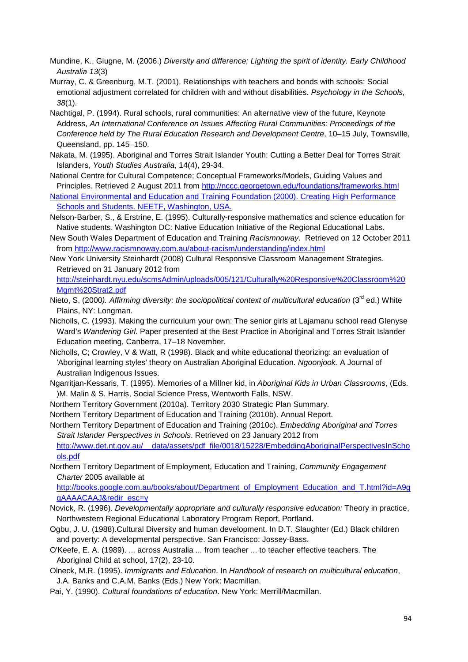Mundine, K., Giugne, M. (2006.) Diversity and difference; Lighting the spirit of identity. Early Childhood Australia 13(3)

- Murray, C. & Greenburg, M.T. (2001). Relationships with teachers and bonds with schools; Social emotional adjustment correlated for children with and without disabilities. Psychology in the Schools, 38(1).
- Nachtigal, P. (1994). Rural schools, rural communities: An alternative view of the future, Keynote Address, An International Conference on Issues Affecting Rural Communities: Proceedings of the Conference held by The Rural Education Research and Development Centre, 10–15 July, Townsville, Queensland, pp. 145–150.
- Nakata, M. (1995). Aboriginal and Torres Strait Islander Youth: Cutting a Better Deal for Torres Strait Islanders, Youth Studies Australia, 14(4), 29-34.
- National Centre for Cultural Competence; Conceptual Frameworks/Models, Guiding Values and Principles. Retrieved 2 August 2011 from http://nccc.georgetown.edu/foundations/frameworks.html
- National Environmental and Education and Training Foundation (2000). Creating High Performance Schools and Students. NEETF, Washington, USA.
- Nelson-Barber, S., & Erstrine, E. (1995). Culturally-responsive mathematics and science education for Native students. Washington DC: Native Education Initiative of the Regional Educational Labs.
- New South Wales Department of Education and Training Racismnoway. Retrieved on 12 October 2011 from http://www.racismnoway.com.au/about-racism/understanding/index.html
- New York University Steinhardt (2008) Cultural Responsive Classroom Management Strategies. Retrieved on 31 January 2012 from

http://steinhardt.nyu.edu/scmsAdmin/uploads/005/121/Culturally%20Responsive%20Classroom%20 Mgmt%20Strat2.pdf

- Nieto, S. (2000). Affirming diversity: the sociopolitical context of multicultural education (3<sup>rd</sup> ed.) White Plains, NY: Longman.
- Nicholls, C. (1993). Making the curriculum your own: The senior girls at Lajamanu school read Glenyse Ward's Wandering Girl. Paper presented at the Best Practice in Aboriginal and Torres Strait Islander Education meeting, Canberra, 17–18 November.
- Nicholls, C; Crowley, V & Watt, R (1998). Black and white educational theorizing: an evaluation of 'Aboriginal learning styles' theory on Australian Aboriginal Education. Ngoonjook. A Journal of Australian Indigenous Issues.
- Ngarritian-Kessaris, T. (1995). Memories of a Millner kid, in Aboriginal Kids in Urban Classrooms, (Eds. )M. Malin & S. Harris, Social Science Press, Wentworth Falls, NSW.
- Northern Territory Government (2010a). Territory 2030 Strategic Plan Summary.
- Northern Territory Department of Education and Training (2010b). Annual Report.

Northern Territory Department of Education and Training (2010c). Embedding Aboriginal and Torres Strait Islander Perspectives in Schools. Retrieved on 23 January 2012 from http://www.det.nt.gov.au/\_\_data/assets/pdf\_file/0018/15228/EmbeddingAboriginalPerspectivesInScho ols.pdf

Northern Territory Department of Employment, Education and Training, Community Engagement Charter 2005 available at

http://books.google.com.au/books/about/Department\_of\_Employment\_Education\_and\_T.html?id=A9g qAAAACAAJ&redir\_esc=y

- Novick, R. (1996). Developmentally appropriate and culturally responsive education: Theory in practice, Northwestern Regional Educational Laboratory Program Report, Portland.
- Ogbu, J. U. (1988).Cultural Diversity and human development. In D.T. Slaughter (Ed.) Black children and poverty: A developmental perspective. San Francisco: Jossey-Bass.
- O'Keefe, E. A. (1989). ... across Australia ... from teacher ... to teacher effective teachers. The Aboriginal Child at school, 17(2), 23-10.
- Olneck, M.R. (1995). Immigrants and Education. In Handbook of research on multicultural education, J.A. Banks and C.A.M. Banks (Eds.) New York: Macmillan.
- Pai, Y. (1990). Cultural foundations of education. New York: Merrill/Macmillan.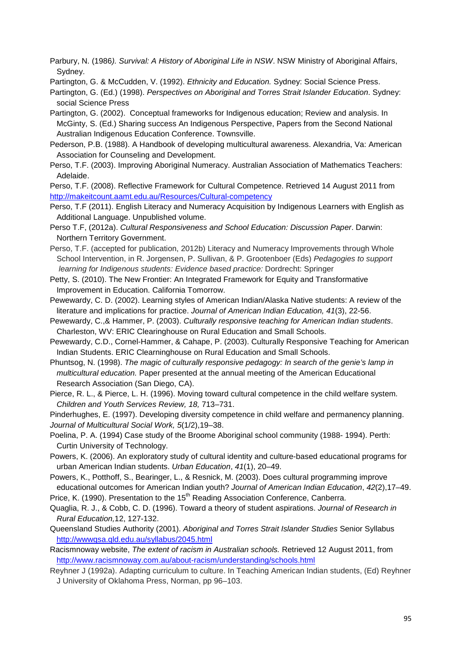Parbury, N. (1986). Survival: A History of Aboriginal Life in NSW. NSW Ministry of Aboriginal Affairs, Sydney.

Partington, G. & McCudden, V. (1992). Ethnicity and Education. Sydney: Social Science Press.

Partington, G. (Ed.) (1998). Perspectives on Aboriginal and Torres Strait Islander Education. Sydney: social Science Press

Partington, G. (2002). Conceptual frameworks for Indigenous education; Review and analysis. In McGinty, S. (Ed.) Sharing success An Indigenous Perspective, Papers from the Second National Australian Indigenous Education Conference. Townsville.

- Pederson, P.B. (1988). A Handbook of developing multicultural awareness. Alexandria, Va: American Association for Counseling and Development.
- Perso, T.F. (2003). Improving Aboriginal Numeracy. Australian Association of Mathematics Teachers: Adelaide.

Perso, T.F. (2008). Reflective Framework for Cultural Competence. Retrieved 14 August 2011 from http://makeitcount.aamt.edu.au/Resources/Cultural-competency

Perso, T.F (2011). English Literacy and Numeracy Acquisition by Indigenous Learners with English as Additional Language. Unpublished volume.

Perso T.F, (2012a). Cultural Responsiveness and School Education: Discussion Paper. Darwin: Northern Territory Government.

Perso, T.F. (accepted for publication, 2012b) Literacy and Numeracy Improvements through Whole School Intervention, in R. Jorgensen, P. Sullivan, & P. Grootenboer (Eds) Pedagogies to support learning for Indigenous students: Evidence based practice: Dordrecht: Springer

Petty, S. (2010). The New Frontier: An Integrated Framework for Equity and Transformative Improvement in Education. California Tomorrow.

Pewewardy, C. D. (2002). Learning styles of American Indian/Alaska Native students: A review of the literature and implications for practice. Journal of American Indian Education, 41(3), 22-56.

Pewewardy, C.,& Hammer, P. (2003). Culturally responsive teaching for American Indian students. Charleston, WV: ERIC Clearinghouse on Rural Education and Small Schools.

Pewewardy, C.D., Cornel-Hammer, & Cahape, P. (2003). Culturally Responsive Teaching for American Indian Students. ERIC Clearninghouse on Rural Education and Small Schools.

Phuntsog, N. (1998). The magic of culturally responsive pedagogy: In search of the genie's lamp in multicultural education. Paper presented at the annual meeting of the American Educational Research Association (San Diego, CA).

Pierce, R. L., & Pierce, L. H. (1996). Moving toward cultural competence in the child welfare system. Children and Youth Services Review, 18, 713–731.

Pinderhughes, E. (1997). Developing diversity competence in child welfare and permanency planning. Journal of Multicultural Social Work, 5(1/2),19–38.

Poelina, P. A. (1994) Case study of the Broome Aboriginal school community (1988- 1994). Perth: Curtin University of Technology.

Powers, K. (2006). An exploratory study of cultural identity and culture-based educational programs for urban American Indian students. Urban Education, 41(1), 20–49.

Powers, K., Potthoff, S., Bearinger, L., & Resnick, M. (2003). Does cultural programming improve educational outcomes for American Indian youth? Journal of American Indian Education, 42(2), 17-49.

Price, K. (1990). Presentation to the 15<sup>th</sup> Reading Association Conference, Canberra.

Quaglia, R. J., & Cobb, C. D. (1996). Toward a theory of student aspirations. Journal of Research in Rural Education,12, 127-132.

Queensland Studies Authority (2001). Aboriginal and Torres Strait Islander Studies Senior Syllabus http://wwwqsa.qld.edu.au/syllabus/2045.html

Racismnoway website, The extent of racism in Australian schools. Retrieved 12 August 2011, from http://www.racismnoway.com.au/about-racism/understanding/schools.html

Reyhner J (1992a). Adapting curriculum to culture. In Teaching American Indian students, (Ed) Reyhner J University of Oklahoma Press, Norman, pp 96–103.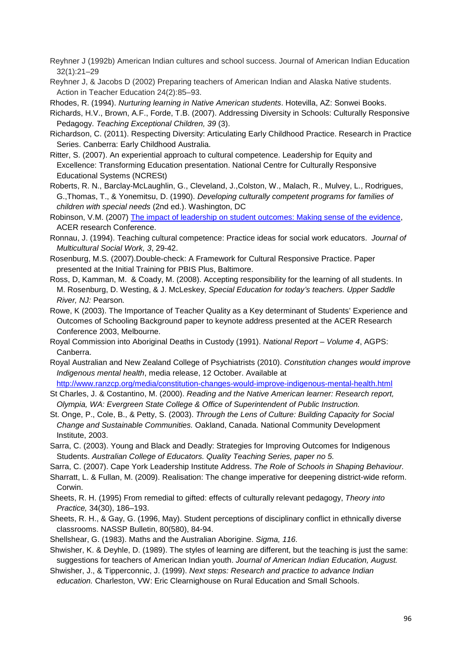- Reyhner J (1992b) American Indian cultures and school success. Journal of American Indian Education 32(1):21–29
- Reyhner J, & Jacobs D (2002) Preparing teachers of American Indian and Alaska Native students. Action in Teacher Education 24(2):85–93.
- Rhodes, R. (1994). Nurturing learning in Native American students. Hotevilla, AZ: Sonwei Books.
- Richards, H.V., Brown, A.F., Forde, T.B. (2007). Addressing Diversity in Schools: Culturally Responsive Pedagogy. Teaching Exceptional Children, 39 (3).
- Richardson, C. (2011). Respecting Diversity: Articulating Early Childhood Practice. Research in Practice Series. Canberra: Early Childhood Australia.
- Ritter, S. (2007). An experiential approach to cultural competence. Leadership for Equity and Excellence: Transforming Education presentation. National Centre for Culturally Responsive Educational Systems (NCRESt)
- Roberts, R. N., Barclay-McLaughlin, G., Cleveland, J.,Colston, W., Malach, R., Mulvey, L., Rodrigues, G.,Thomas, T., & Yonemitsu, D. (1990). Developing culturally competent programs for families of children with special needs (2nd ed.). Washington, DC
- Robinson, V.M. (2007) The impact of leadership on student outcomes: Making sense of the evidence, ACER research Conference.
- Ronnau, J. (1994). Teaching cultural competence: Practice ideas for social work educators. Journal of Multicultural Social Work, 3, 29-42.
- Rosenburg, M.S. (2007).Double-check: A Framework for Cultural Responsive Practice. Paper presented at the Initial Training for PBIS Plus, Baltimore.
- Ross, D, Kamman, M. & Coady, M. (2008). Accepting responsibility for the learning of all students. In M. Rosenburg, D. Westing, & J. McLeskey, Special Education for today's teachers. Upper Saddle River, NJ: Pearson.
- Rowe, K (2003). The Importance of Teacher Quality as a Key determinant of Students' Experience and Outcomes of Schooling Background paper to keynote address presented at the ACER Research Conference 2003, Melbourne.
- Royal Commission into Aboriginal Deaths in Custody (1991). National Report Volume 4, AGPS: Canberra.
- Royal Australian and New Zealand College of Psychiatrists (2010). Constitution changes would improve Indigenous mental health, media release, 12 October. Available at
- http://www.ranzcp.org/media/constitution-changes-would-improve-indigenous-mental-health.html
- St Charles, J. & Costantino, M. (2000). Reading and the Native American learner: Research report, Olympia, WA: Evergreen State College & Office of Superintendent of Public Instruction.
- St. Onge, P., Cole, B., & Petty, S. (2003). Through the Lens of Culture: Building Capacity for Social Change and Sustainable Communities. Oakland, Canada. National Community Development Institute, 2003.
- Sarra, C. (2003). Young and Black and Deadly: Strategies for Improving Outcomes for Indigenous Students. Australian College of Educators. Quality Teaching Series, paper no 5.
- Sarra, C. (2007). Cape York Leadership Institute Address. The Role of Schools in Shaping Behaviour.
- Sharratt, L. & Fullan, M. (2009). Realisation: The change imperative for deepening district-wide reform. Corwin.
- Sheets, R. H. (1995) From remedial to gifted: effects of culturally relevant pedagogy, Theory into Practice, 34(30), 186–193.
- Sheets, R. H., & Gay, G. (1996, May). Student perceptions of disciplinary conflict in ethnically diverse classrooms. NASSP Bulletin, 80(580), 84-94.
- Shellshear, G. (1983). Maths and the Australian Aborigine. Sigma, 116.
- Shwisher, K. & Deyhle, D. (1989). The styles of learning are different, but the teaching is just the same: suggestions for teachers of American Indian youth. Journal of American Indian Education, August.
- Shwisher, J., & Tipperconnic, J. (1999). Next steps: Research and practice to advance Indian education. Charleston, VW: Eric Clearnighouse on Rural Education and Small Schools.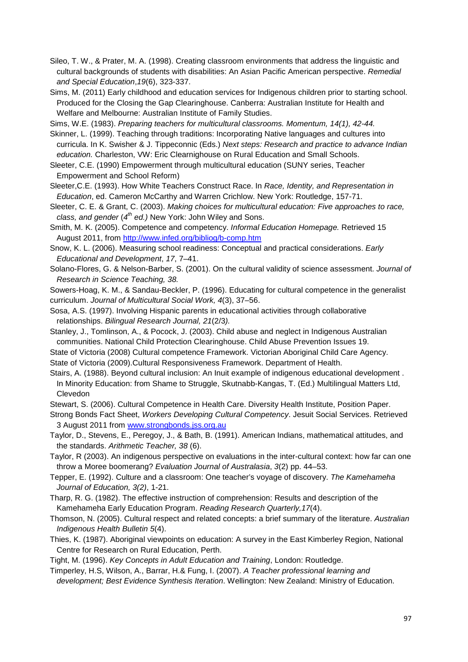Sileo, T. W., & Prater, M. A. (1998). Creating classroom environments that address the linguistic and cultural backgrounds of students with disabilities: An Asian Pacific American perspective. Remedial and Special Education,19(6), 323-337.

Sims, M. (2011) Early childhood and education services for Indigenous children prior to starting school. Produced for the Closing the Gap Clearinghouse. Canberra: Australian Institute for Health and Welfare and Melbourne: Australian Institute of Family Studies.

Sims, W.E. (1983). Preparing teachers for multicultural classrooms. Momentum, 14(1), 42-44.

Skinner, L. (1999). Teaching through traditions: Incorporating Native languages and cultures into curricula. In K. Swisher & J. Tippeconnic (Eds.) Next steps: Research and practice to advance Indian education. Charleston, VW: Eric Clearnighouse on Rural Education and Small Schools.

- Sleeter, C.E. (1990) Empowerment through multicultural education (SUNY series, Teacher Empowerment and School Reform)
- Sleeter, C.E. (1993). How White Teachers Construct Race. In Race, Identity, and Representation in Education, ed. Cameron McCarthy and Warren Crichlow. New York: Routledge, 157-71.
- Sleeter, C. E. & Grant, C. (2003). Making choices for multicultural education: Five approaches to race, class, and gender ( $4^{th}$  ed.) New York: John Wiley and Sons.
- Smith, M. K. (2005). Competence and competency. Informal Education Homepage. Retrieved 15 August 2011, from http://www.infed.org/bibliog/b-comp.htm
- Snow, K. L. (2006). Measuring school readiness: Conceptual and practical considerations. Early Educational and Development, 17, 7–41.
- Solano-Flores, G. & Nelson-Barber, S. (2001). On the cultural validity of science assessment. Journal of Research in Science Teaching, 38.

Sowers-Hoag, K. M., & Sandau-Beckler, P. (1996). Educating for cultural competence in the generalist curriculum. Journal of Multicultural Social Work, 4(3), 37–56.

- Sosa, A.S. (1997). Involving Hispanic parents in educational activities through collaborative relationships. Bilingual Research Journal, 21(2/3).
- Stanley, J., Tomlinson, A., & Pocock, J. (2003). Child abuse and neglect in Indigenous Australian communities. National Child Protection Clearinghouse. Child Abuse Prevention Issues 19.

State of Victoria (2008) Cultural competence Framework. Victorian Aboriginal Child Care Agency. State of Victoria (2009).Cultural Responsiveness Framework. Department of Health.

Stairs, A. (1988). Beyond cultural inclusion: An Inuit example of indigenous educational development . In Minority Education: from Shame to Struggle, Skutnabb-Kangas, T. (Ed.) Multilingual Matters Ltd, Clevedon

Stewart, S. (2006). Cultural Competence in Health Care. Diversity Health Institute, Position Paper.

- Strong Bonds Fact Sheet, Workers Developing Cultural Competency. Jesuit Social Services. Retrieved 3 August 2011 from www.strongbonds.jss.org.au
- Taylor, D., Stevens, E., Peregoy, J., & Bath, B. (1991). American Indians, mathematical attitudes, and the standards. Arithmetic Teacher, 38 (6).

Taylor, R (2003). An indigenous perspective on evaluations in the inter-cultural context: how far can one throw a Moree boomerang? Evaluation Journal of Australasia, 3(2) pp. 44–53.

Tepper, E. (1992). Culture and a classroom: One teacher's voyage of discovery. The Kamehameha Journal of Education, 3(2), 1-21.

Tharp, R. G. (1982). The effective instruction of comprehension: Results and description of the Kamehameha Early Education Program. Reading Research Quarterly,17(4).

- Thomson, N. (2005). Cultural respect and related concepts: a brief summary of the literature. Australian Indigenous Health Bulletin 5(4).
- Thies, K. (1987). Aboriginal viewpoints on education: A survey in the East Kimberley Region, National Centre for Research on Rural Education, Perth.

Tight, M. (1996). Key Concepts in Adult Education and Training, London: Routledge.

Timperley, H.S, Wilson, A., Barrar, H.& Fung, I. (2007). A Teacher professional learning and development; Best Evidence Synthesis Iteration. Wellington: New Zealand: Ministry of Education.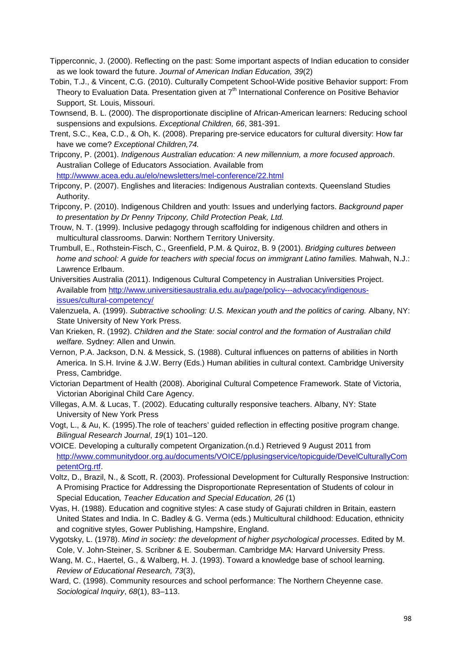- Tipperconnic, J. (2000). Reflecting on the past: Some important aspects of Indian education to consider as we look toward the future. Journal of American Indian Education, 39(2)
- Tobin, T.J., & Vincent, C.G. (2010). Culturally Competent School-Wide positive Behavior support: From Theory to Evaluation Data. Presentation given at 7<sup>th</sup> International Conference on Positive Behavior Support, St. Louis, Missouri.
- Townsend, B. L. (2000). The disproportionate discipline of African-American learners: Reducing school suspensions and expulsions. Exceptional Children, 66, 381-391.
- Trent, S.C., Kea, C.D., & Oh, K. (2008). Preparing pre-service educators for cultural diversity: How far have we come? Exceptional Children, 74.
- Tripcony, P. (2001). Indigenous Australian education: A new millennium, a more focused approach. Australian College of Educators Association. Available from

http://wwww.acea.edu.au/elo/newsletters/mel-conference/22.html

- Tripcony, P. (2007). Englishes and literacies: Indigenous Australian contexts. Queensland Studies Authority.
- Tripcony, P. (2010). Indigenous Children and youth: Issues and underlying factors. Background paper to presentation by Dr Penny Tripcony, Child Protection Peak, Ltd.
- Trouw, N. T. (1999). Inclusive pedagogy through scaffolding for indigenous children and others in multicultural classrooms. Darwin: Northern Territory University.
- Trumbull, E., Rothstein-Fisch, C., Greenfield, P.M. & Quiroz, B. 9 (2001). Bridging cultures between home and school: A guide for teachers with special focus on immigrant Latino families. Mahwah, N.J.: Lawrence Erlbaum.
- Universities Australia (2011). Indigenous Cultural Competency in Australian Universities Project. Available from http://www.universitiesaustralia.edu.au/page/policy---advocacy/indigenousissues/cultural-competency/
- Valenzuela, A. (1999). Subtractive schooling: U.S. Mexican youth and the politics of caring. Albany, NY: State University of New York Press.
- Van Krieken, R. (1992). Children and the State: social control and the formation of Australian child welfare. Sydney: Allen and Unwin.
- Vernon, P.A. Jackson, D.N. & Messick, S. (1988). Cultural influences on patterns of abilities in North America. In S.H. Irvine & J.W. Berry (Eds.) Human abilities in cultural context. Cambridge University Press, Cambridge.
- Victorian Department of Health (2008). Aboriginal Cultural Competence Framework. State of Victoria, Victorian Aboriginal Child Care Agency.
- Villegas, A.M. & Lucas, T. (2002). Educating culturally responsive teachers. Albany, NY: State University of New York Press
- Vogt, L., & Au, K. (1995).The role of teachers' guided reflection in effecting positive program change. Bilingual Research Journal, 19(1) 101–120.
- VOICE. Developing a culturally competent Organization.(n.d.) Retrieved 9 August 2011 from http://www.communitydoor.org.au/documents/VOICE/pplusingservice/topicguide/DevelCulturallyCom petentOrg.rtf.
- Voltz, D., Brazil, N., & Scott, R. (2003). Professional Development for Culturally Responsive Instruction: A Promising Practice for Addressing the Disproportionate Representation of Students of colour in Special Education, Teacher Education and Special Education, 26 (1)
- Vyas, H. (1988). Education and cognitive styles: A case study of Gajurati children in Britain, eastern United States and India. In C. Badley & G. Verma (eds.) Multicultural childhood: Education, ethnicity and cognitive styles, Gower Publishing, Hampshire, England.
- Vygotsky, L. (1978). Mind in society: the development of higher psychological processes. Edited by M. Cole, V. John-Steiner, S. Scribner & E. Souberman. Cambridge MA: Harvard University Press.
- Wang, M. C., Haertel, G., & Walberg, H. J. (1993). Toward a knowledge base of school learning. Review of Educational Research, 73(3),
- Ward, C. (1998). Community resources and school performance: The Northern Cheyenne case. Sociological Inquiry, 68(1), 83–113.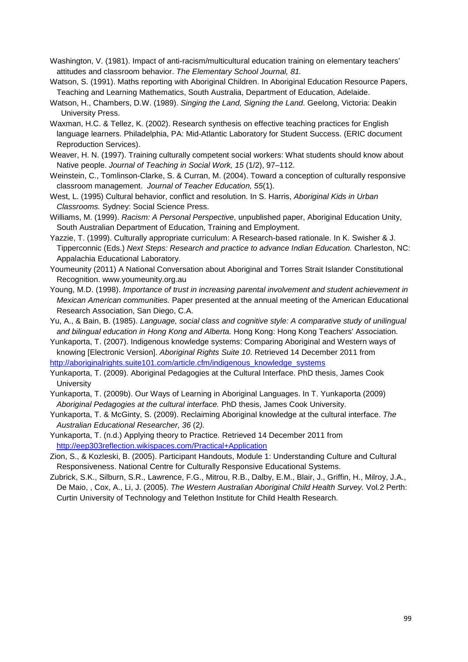- Washington, V. (1981). Impact of anti-racism/multicultural education training on elementary teachers' attitudes and classroom behavior. The Elementary School Journal, 81.
- Watson, S. (1991). Maths reporting with Aboriginal Children. In Aboriginal Education Resource Papers, Teaching and Learning Mathematics, South Australia, Department of Education, Adelaide.
- Watson, H., Chambers, D.W. (1989). Singing the Land, Signing the Land. Geelong, Victoria: Deakin University Press.
- Waxman, H.C. & Tellez, K. (2002). Research synthesis on effective teaching practices for English language learners. Philadelphia, PA: Mid-Atlantic Laboratory for Student Success. (ERIC document Reproduction Services).
- Weaver, H. N. (1997). Training culturally competent social workers: What students should know about Native people. Journal of Teaching in Social Work, 15 (1/2), 97–112.
- Weinstein, C., Tomlinson-Clarke, S. & Curran, M. (2004). Toward a conception of culturally responsive classroom management. Journal of Teacher Education, 55(1).
- West, L. (1995) Cultural behavior, conflict and resolution. In S. Harris, Aboriginal Kids in Urban Classrooms. Sydney: Social Science Press.
- Williams, M. (1999). Racism: A Personal Perspective, unpublished paper, Aboriginal Education Unity, South Australian Department of Education, Training and Employment.
- Yazzie, T. (1999). Culturally appropriate curriculum: A Research-based rationale. In K. Swisher & J. Tipperconnic (Eds.) Next Steps: Research and practice to advance Indian Education. Charleston, NC: Appalachia Educational Laboratory.
- Youmeunity (2011) A National Conversation about Aboriginal and Torres Strait Islander Constitutional Recognition. www.youmeunity.org.au
- Young, M.D. (1998). Importance of trust in increasing parental involvement and student achievement in Mexican American communities. Paper presented at the annual meeting of the American Educational Research Association, San Diego, C.A.
- Yu, A., & Bain, B. (1985). Language, social class and cognitive style: A comparative study of unilingual and bilingual education in Hong Kong and Alberta. Hong Kong: Hong Kong Teachers' Association.

Yunkaporta, T. (2007). Indigenous knowledge systems: Comparing Aboriginal and Western ways of knowing [Electronic Version]. Aboriginal Rights Suite 10. Retrieved 14 December 2011 from http://aboriginalrights.suite101.com/article.cfm/indigenous\_knowledge\_systems

- Yunkaporta, T. (2009). Aboriginal Pedagogies at the Cultural Interface. PhD thesis, James Cook **University**
- Yunkaporta, T. (2009b). Our Ways of Learning in Aboriginal Languages. In T. Yunkaporta (2009) Aboriginal Pedagogies at the cultural interface. PhD thesis, James Cook University.
- Yunkaporta, T. & McGinty, S. (2009). Reclaiming Aboriginal knowledge at the cultural interface. The Australian Educational Researcher, 36 (2).
- Yunkaporta, T. (n.d.) Applying theory to Practice. Retrieved 14 December 2011 from http://eep303reflection.wikispaces.com/Practical+Application
- Zion, S., & Kozleski, B. (2005). Participant Handouts, Module 1: Understanding Culture and Cultural Responsiveness. National Centre for Culturally Responsive Educational Systems.
- Zubrick, S.K., Silburn, S.R., Lawrence, F.G., Mitrou, R.B., Dalby, E.M., Blair, J., Griffin, H., Milroy, J.A., De Maio, , Cox, A., Li, J. (2005). The Western Australian Aboriginal Child Health Survey. Vol.2 Perth: Curtin University of Technology and Telethon Institute for Child Health Research.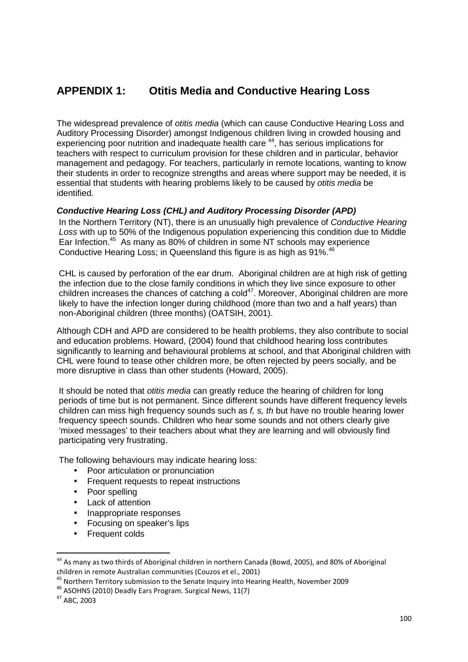# **APPENDIX 1: Otitis Media and Conductive Hearing Loss**

The widespread prevalence of otitis media (which can cause Conductive Hearing Loss and Auditory Processing Disorder) amongst Indigenous children living in crowded housing and experiencing poor nutrition and inadequate health care <sup>44</sup>, has serious implications for teachers with respect to curriculum provision for these children and in particular, behavior management and pedagogy. For teachers, particularly in remote locations, wanting to know their students in order to recognize strengths and areas where support may be needed, it is essential that students with hearing problems likely to be caused by otitis media be identified.

#### **Conductive Hearing Loss (CHL) and Auditory Processing Disorder (APD)**

In the Northern Territory (NT), there is an unusually high prevalence of Conductive Hearing Loss with up to 50% of the Indigenous population experiencing this condition due to Middle Ear Infection.<sup>45</sup> As many as 80% of children in some NT schools may experience Conductive Hearing Loss; in Queensland this figure is as high as 91%.<sup>46</sup>

CHL is caused by perforation of the ear drum. Aboriginal children are at high risk of getting the infection due to the close family conditions in which they live since exposure to other children increases the chances of catching a cold<sup>47</sup>. Moreover, Aboriginal children are more likely to have the infection longer during childhood (more than two and a half years) than non-Aboriginal children (three months) (OATSIH, 2001).

Although CDH and APD are considered to be health problems, they also contribute to social and education problems. Howard, (2004) found that childhood hearing loss contributes significantly to learning and behavioural problems at school, and that Aboriginal children with CHL were found to tease other children more, be often rejected by peers socially, and be more disruptive in class than other students (Howard, 2005).

It should be noted that otitis media can greatly reduce the hearing of children for long periods of time but is not permanent. Since different sounds have different frequency levels children can miss high frequency sounds such as f, s, th but have no trouble hearing lower frequency speech sounds. Children who hear some sounds and not others clearly give 'mixed messages' to their teachers about what they are learning and will obviously find participating very frustrating.

The following behaviours may indicate hearing loss:

- Poor articulation or pronunciation
- Frequent requests to repeat instructions
- Poor spelling
- Lack of attention
- Inappropriate responses
- Focusing on speaker's lips
- Frequent colds

l

<sup>44</sup> As many as two thirds of Aboriginal children in northern Canada (Bowd, 2005), and 80% of Aboriginal children in remote Australian communities (Couzos et el., 2001)

<sup>&</sup>lt;sup>45</sup> Northern Territory submission to the Senate Inquiry into Hearing Health, November 2009

<sup>46</sup> ASOHNS (2010) Deadly Ears Program. Surgical News, 11(7)

<sup>47</sup> ABC, 2003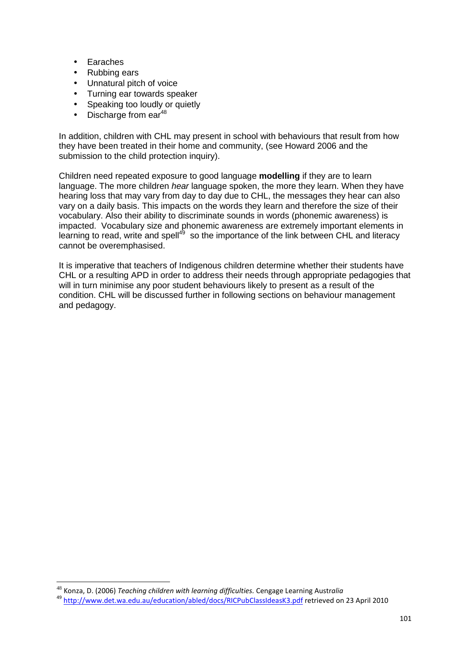**Earaches** 

 $\overline{\phantom{0}}$ 

- Rubbing ears
- Unnatural pitch of voice
- Turning ear towards speaker
- Speaking too loudly or quietly
- Discharge from ear $48$

In addition, children with CHL may present in school with behaviours that result from how they have been treated in their home and community, (see Howard 2006 and the submission to the child protection inquiry).

Children need repeated exposure to good language **modelling** if they are to learn language. The more children *hear* language spoken, the more they learn. When they have hearing loss that may vary from day to day due to CHL, the messages they hear can also vary on a daily basis. This impacts on the words they learn and therefore the size of their vocabulary. Also their ability to discriminate sounds in words (phonemic awareness) is impacted. Vocabulary size and phonemic awareness are extremely important elements in learning to read, write and spell<sup>49</sup> so the importance of the link between CHL and literacy cannot be overemphasised.

It is imperative that teachers of Indigenous children determine whether their students have CHL or a resulting APD in order to address their needs through appropriate pedagogies that will in turn minimise any poor student behaviours likely to present as a result of the condition. CHL will be discussed further in following sections on behaviour management and pedagogy.

<sup>48</sup> Konza, D. (2006) *Teaching children with learning difficulties.* Cengage Learning Austr*alia* 

<sup>49</sup> http://www.det.wa.edu.au/education/abled/docs/RICPubClassIdeasK3.pdf retrieved on 23 April 2010